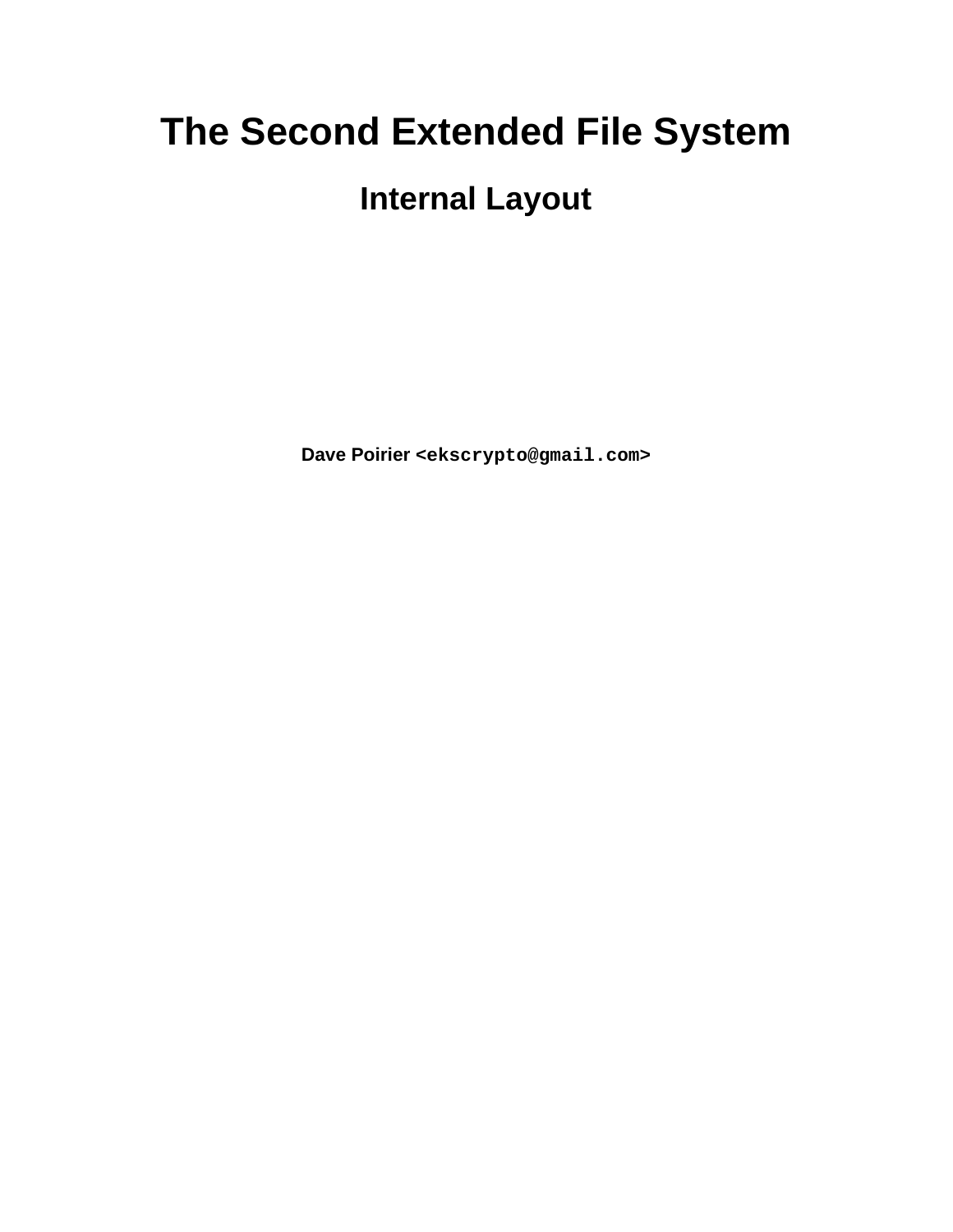# **The Second Extended File System**

## **Internal Layout**

**Dave Poirier <ekscrypto@gmail.com>**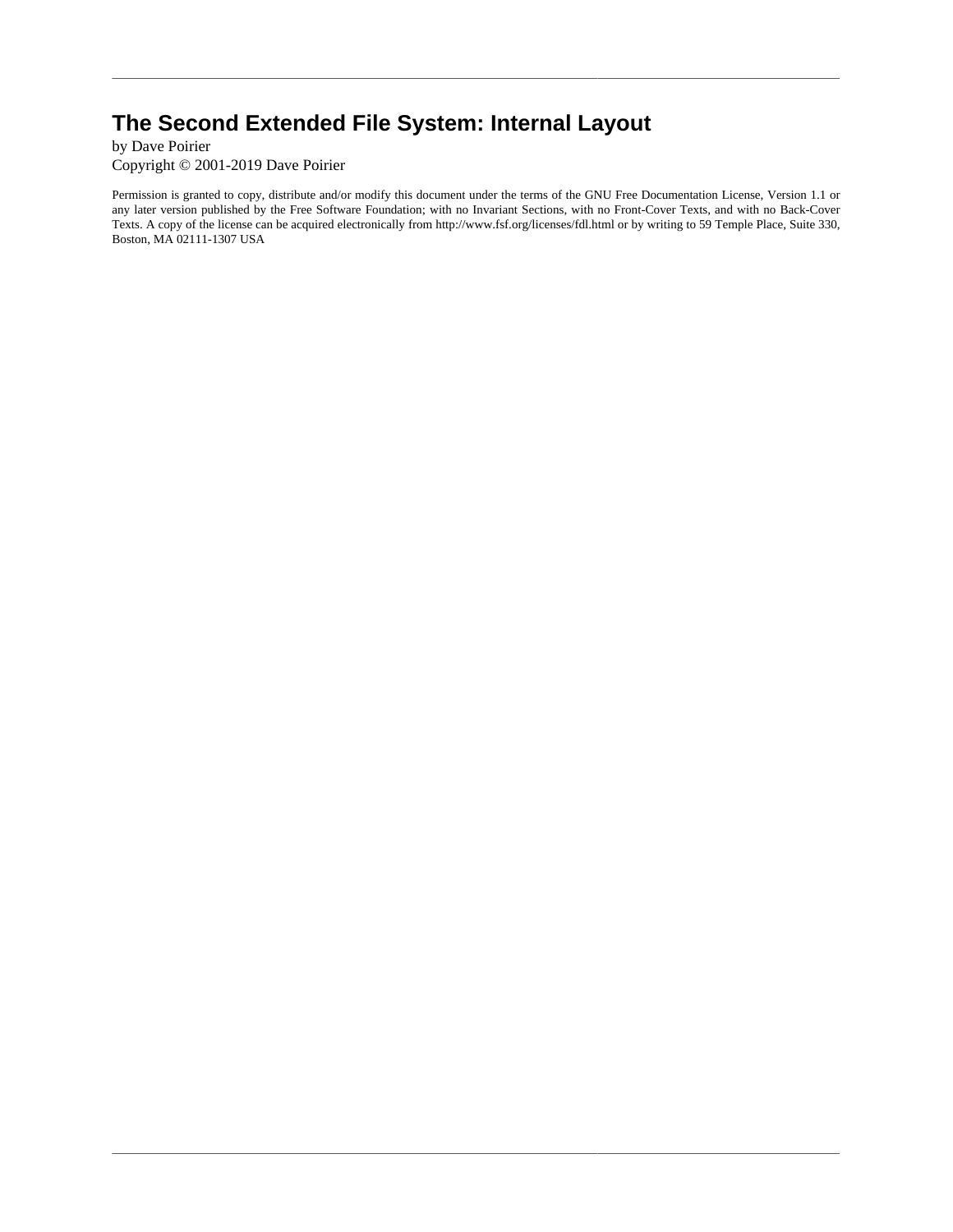### **The Second Extended File System: Internal Layout**

by Dave Poirier Copyright © 2001-2019 Dave Poirier

Permission is granted to copy, distribute and/or modify this document under the terms of the GNU Free Documentation License, Version 1.1 or any later version published by the Free Software Foundation; with no Invariant Sections, with no Front-Cover Texts, and with no Back-Cover Texts. A copy of the license can be acquired electronically from http://www.fsf.org/licenses/fdl.html or by writing to 59 Temple Place, Suite 330, Boston, MA 02111-1307 USA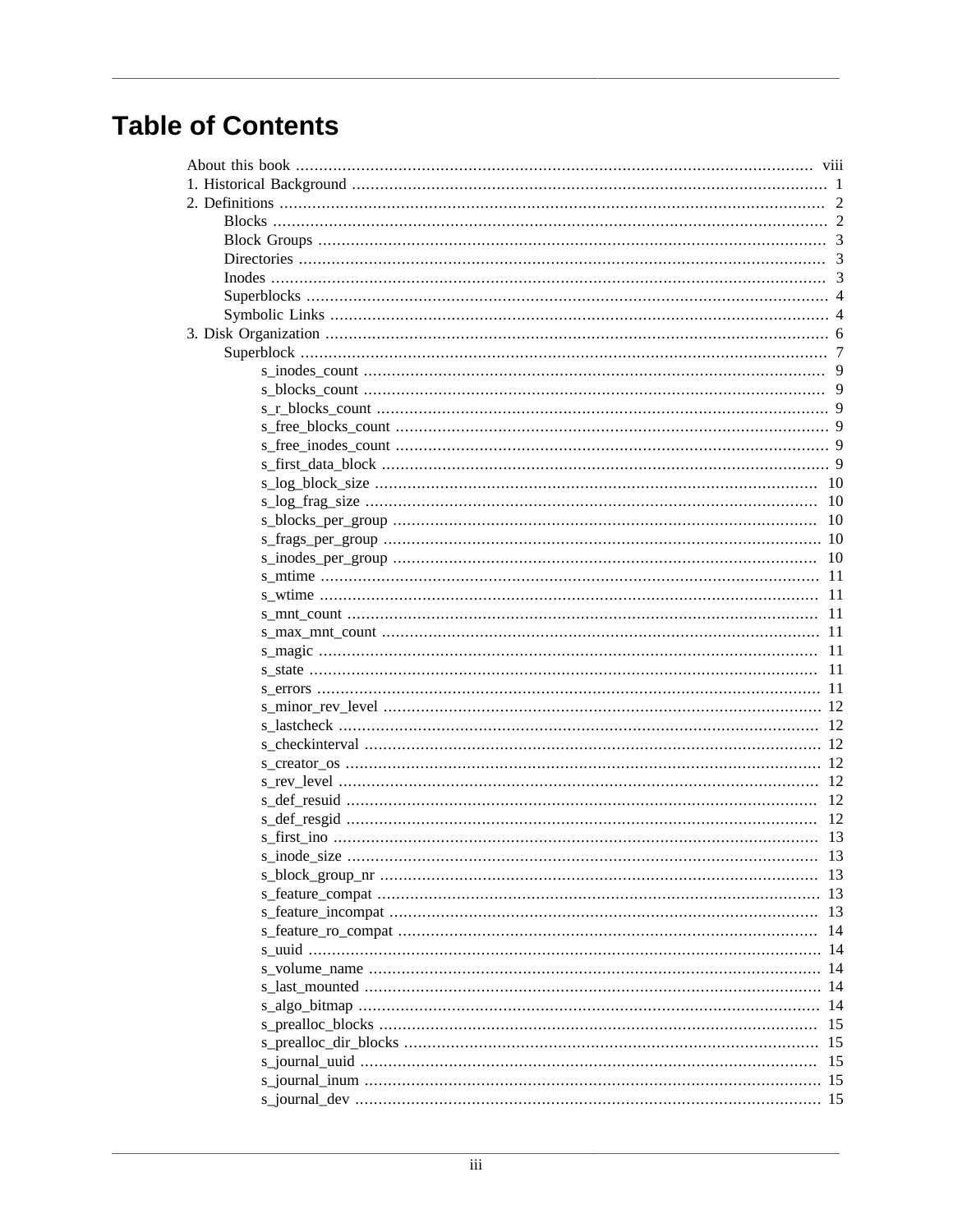## **Table of Contents**

| 15 |
|----|
|    |
| 15 |
|    |
|    |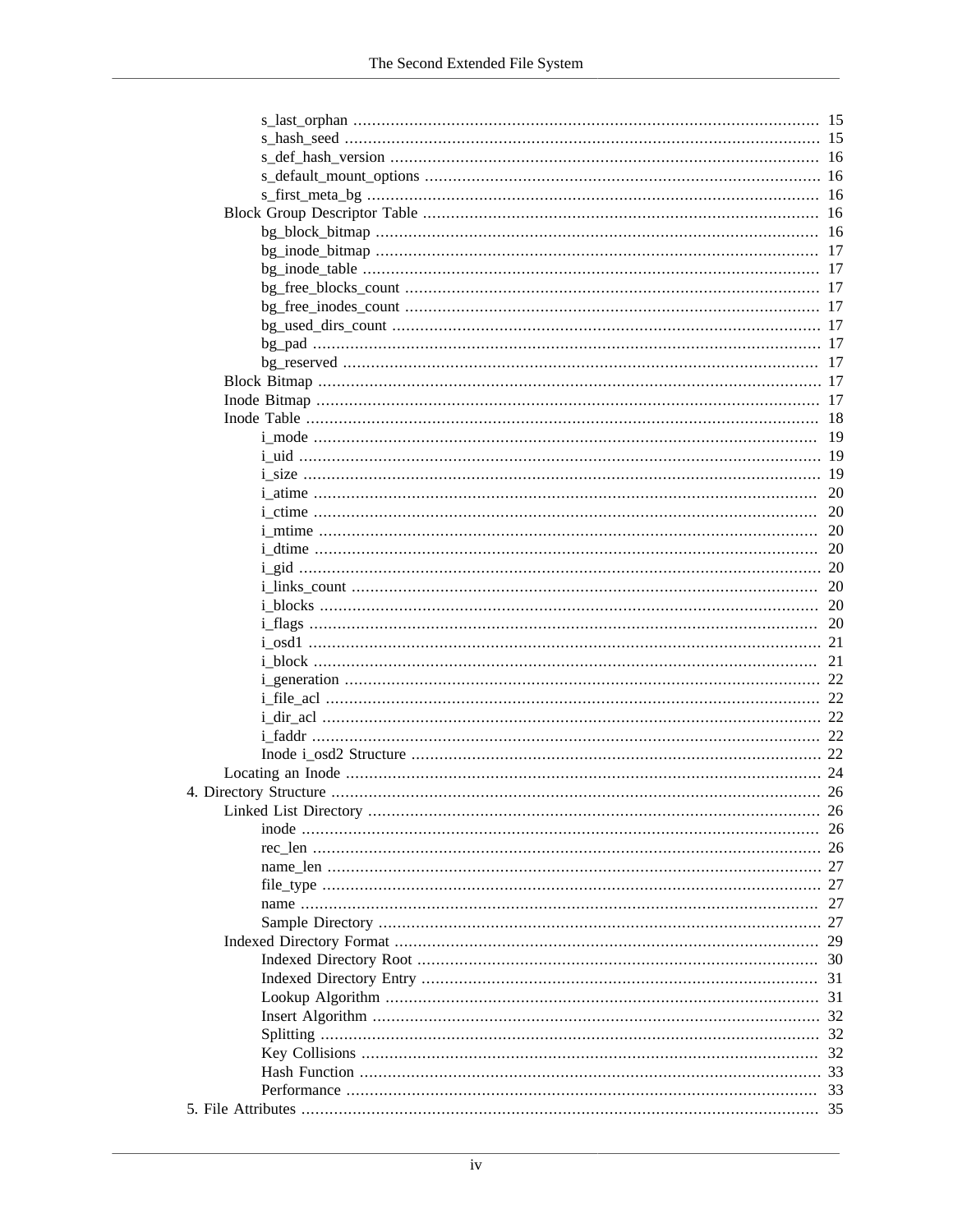|                                                   | -16 |
|---------------------------------------------------|-----|
|                                                   |     |
|                                                   | 16  |
|                                                   | 16  |
|                                                   | 16  |
|                                                   | 17  |
|                                                   | 17  |
|                                                   | -17 |
|                                                   | -17 |
|                                                   |     |
|                                                   | -17 |
|                                                   | 17  |
|                                                   |     |
|                                                   | 17  |
|                                                   | 18  |
| <u>i_mode …………………………………………………………………………………………</u>  | 19  |
|                                                   |     |
|                                                   | 19  |
|                                                   | 20  |
|                                                   | 20  |
|                                                   | 20  |
|                                                   | 20  |
|                                                   | 20  |
|                                                   | 20  |
|                                                   | 20  |
| <u>i_flags …………………………………………………………………………………………</u> | 20  |
|                                                   | 21  |
|                                                   | 21  |
|                                                   | 22  |
|                                                   |     |
|                                                   |     |
|                                                   |     |
|                                                   | 22  |
|                                                   |     |
|                                                   |     |
|                                                   | 26  |
|                                                   | -26 |
|                                                   |     |
|                                                   | 27  |
|                                                   | 27  |
|                                                   | 27  |
|                                                   | 27  |
|                                                   | 29  |
|                                                   | 30  |
|                                                   | 31  |
|                                                   | 31  |
|                                                   | 32  |
|                                                   | 32  |
|                                                   | 32  |
|                                                   | 33  |
|                                                   | 33  |
|                                                   |     |
|                                                   |     |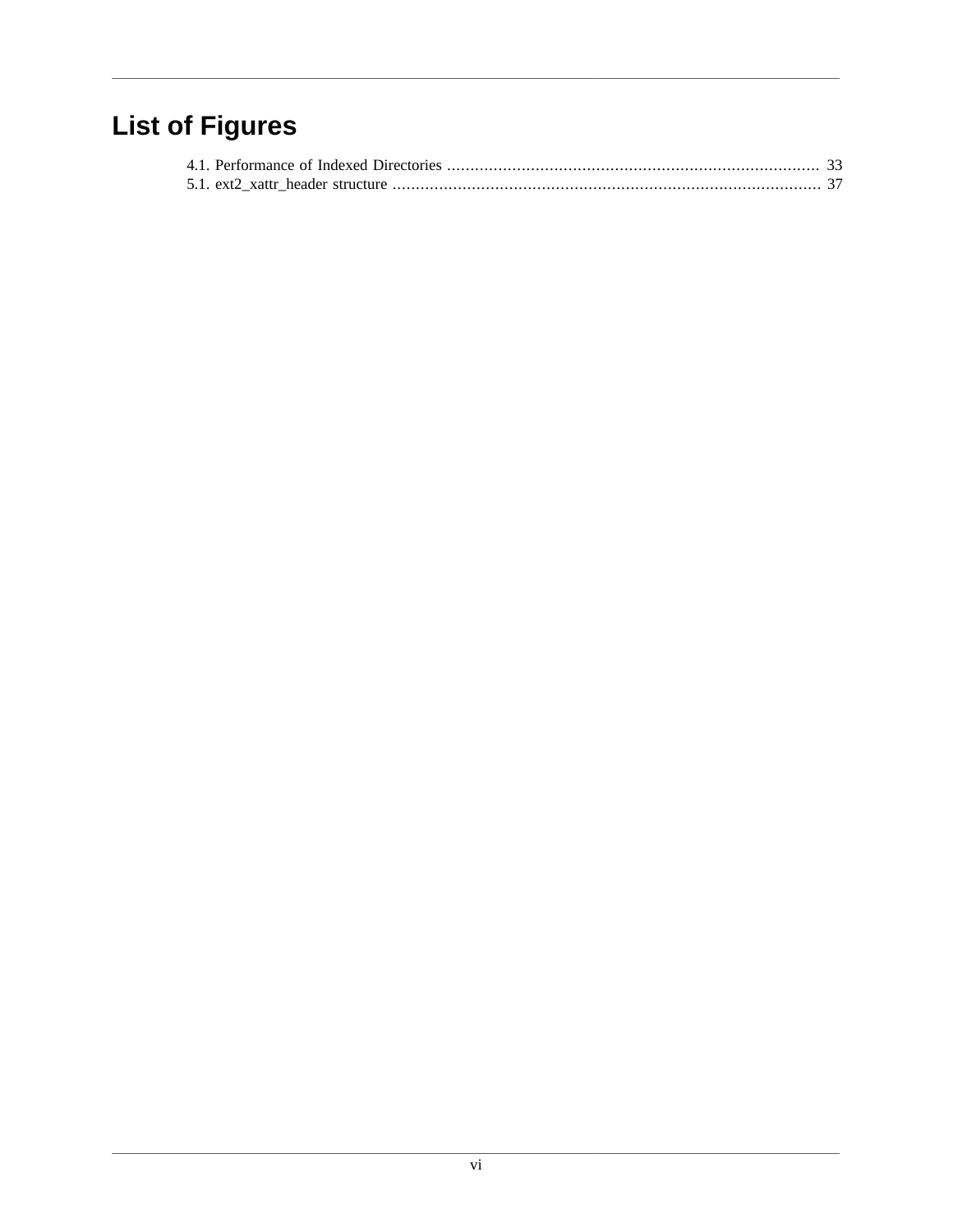## **List of Figures**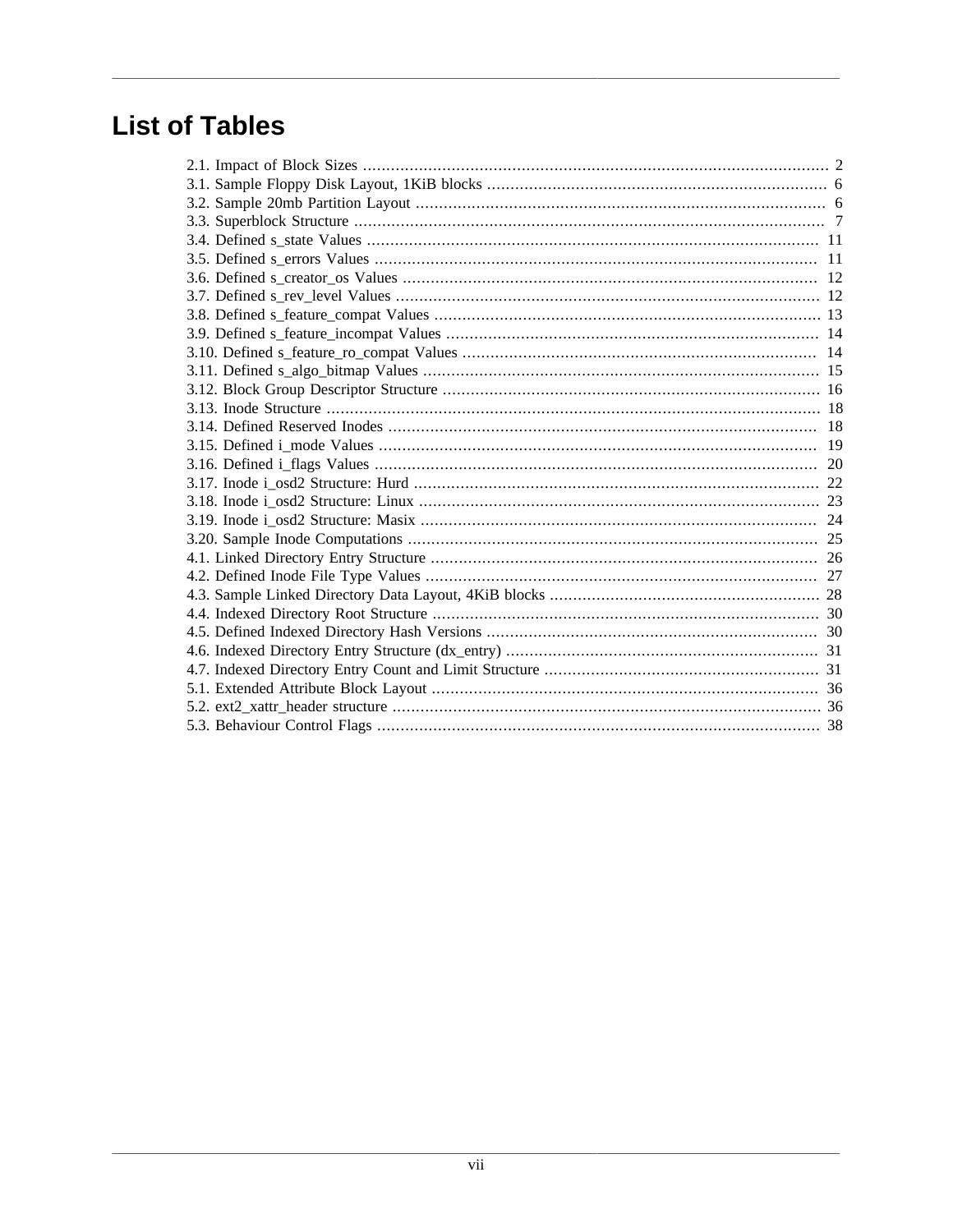## **List of Tables**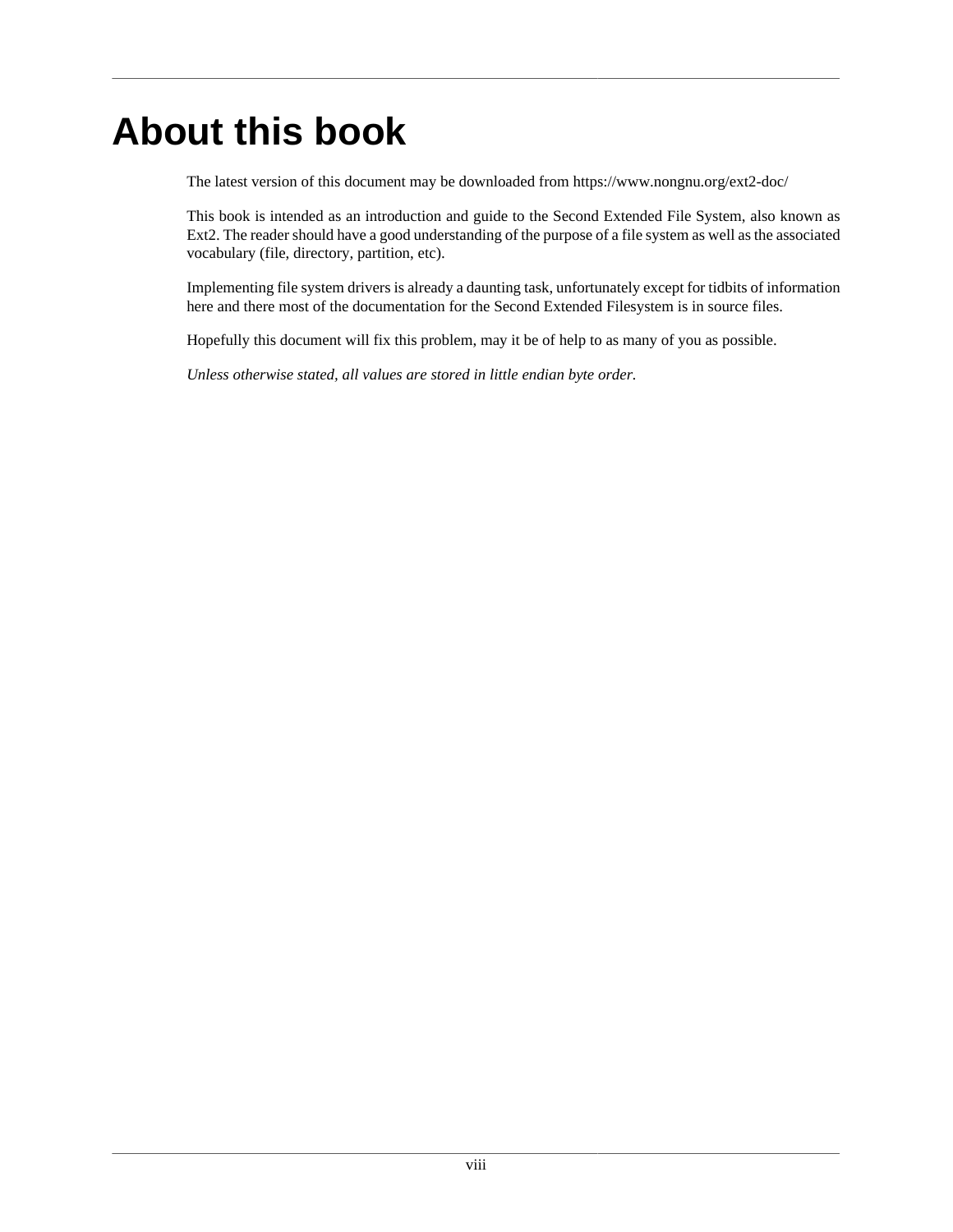# <span id="page-7-0"></span>**About this book**

The latest version of this document may be downloaded from https://www.nongnu.org/ext2-doc/

This book is intended as an introduction and guide to the Second Extended File System, also known as Ext2. The reader should have a good understanding of the purpose of a file system as well as the associated vocabulary (file, directory, partition, etc).

Implementing file system drivers is already a daunting task, unfortunately except for tidbits of information here and there most of the documentation for the Second Extended Filesystem is in source files.

Hopefully this document will fix this problem, may it be of help to as many of you as possible.

*Unless otherwise stated, all values are stored in little endian byte order.*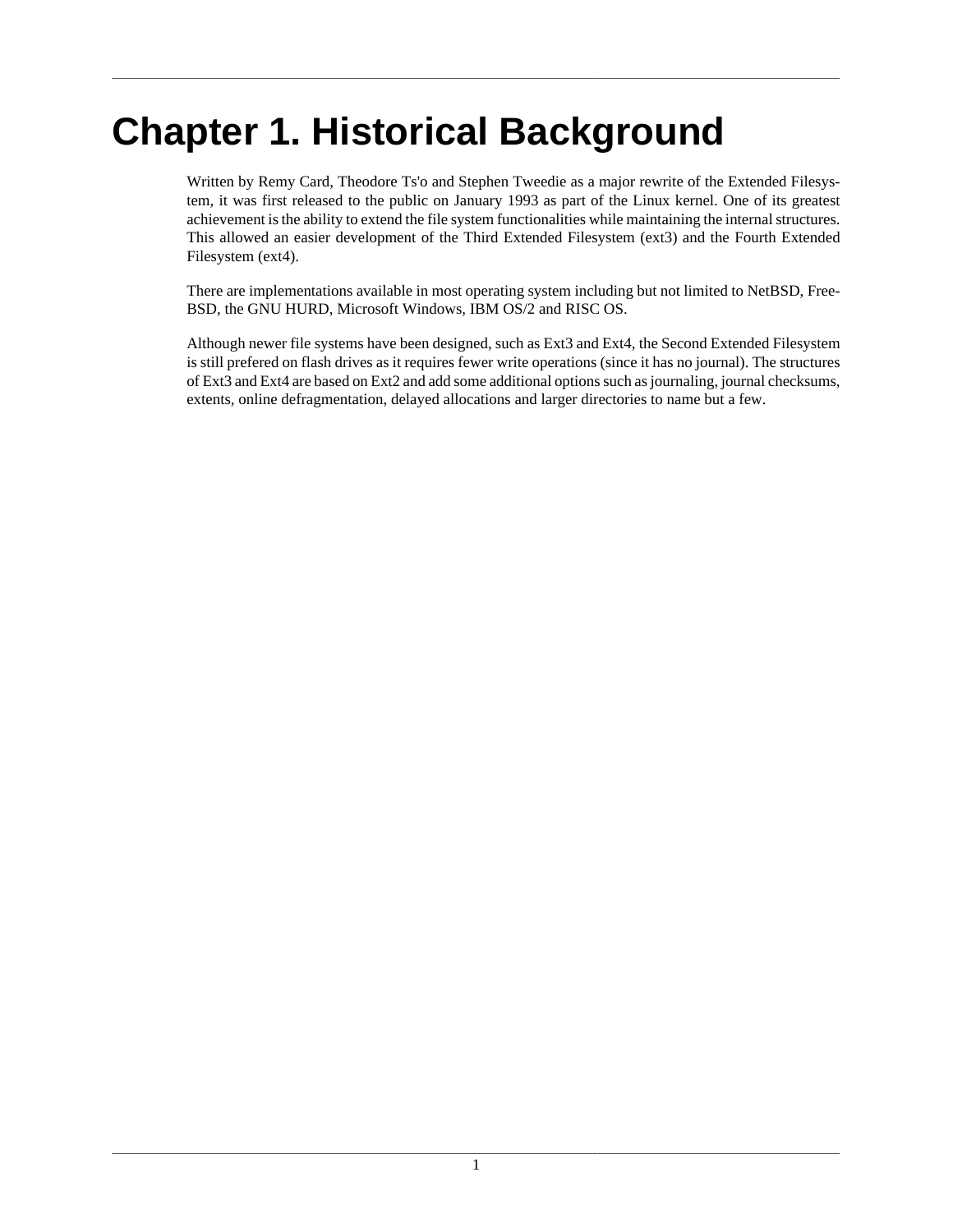# <span id="page-8-0"></span>**Chapter 1. Historical Background**

Written by Remy Card, Theodore Ts'o and Stephen Tweedie as a major rewrite of the Extended Filesystem, it was first released to the public on January 1993 as part of the Linux kernel. One of its greatest achievement is the ability to extend the file system functionalities while maintaining the internal structures. This allowed an easier development of the Third Extended Filesystem (ext3) and the Fourth Extended Filesystem (ext4).

There are implementations available in most operating system including but not limited to NetBSD, Free-BSD, the GNU HURD, Microsoft Windows, IBM OS/2 and RISC OS.

Although newer file systems have been designed, such as Ext3 and Ext4, the Second Extended Filesystem is still prefered on flash drives as it requires fewer write operations (since it has no journal). The structures of Ext3 and Ext4 are based on Ext2 and add some additional options such as journaling, journal checksums, extents, online defragmentation, delayed allocations and larger directories to name but a few.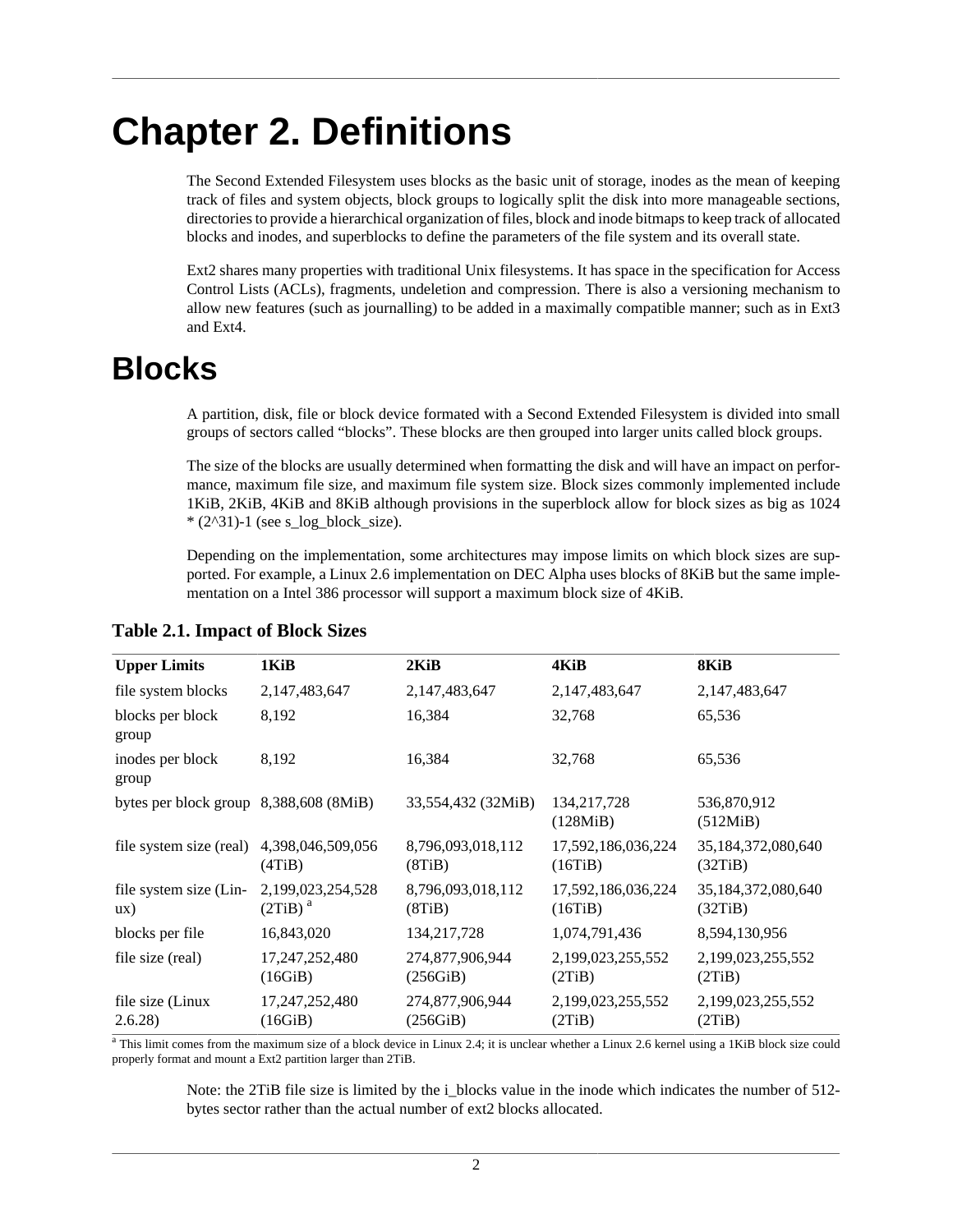# <span id="page-9-0"></span>**Chapter 2. Definitions**

The Second Extended Filesystem uses blocks as the basic unit of storage, inodes as the mean of keeping track of files and system objects, block groups to logically split the disk into more manageable sections, directories to provide a hierarchical organization of files, block and inode bitmaps to keep track of allocated blocks and inodes, and superblocks to define the parameters of the file system and its overall state.

Ext2 shares many properties with traditional Unix filesystems. It has space in the specification for Access Control Lists (ACLs), fragments, undeletion and compression. There is also a versioning mechanism to allow new features (such as journalling) to be added in a maximally compatible manner; such as in Ext3 and Ext4.

## <span id="page-9-1"></span>**Blocks**

A partition, disk, file or block device formated with a Second Extended Filesystem is divided into small groups of sectors called "blocks". These blocks are then grouped into larger units called block groups.

The size of the blocks are usually determined when formatting the disk and will have an impact on performance, maximum file size, and maximum file system size. Block sizes commonly implemented include 1KiB, 2KiB, 4KiB and 8KiB although provisions in the superblock allow for block sizes as big as 1024  $*(2^31)-1$  (see [s\\_log\\_block\\_size\)](#page-17-0).

Depending on the implementation, some architectures may impose limits on which block sizes are supported. For example, a Linux 2.6 implementation on DEC Alpha uses blocks of 8KiB but the same implementation on a Intel 386 processor will support a maximum block size of 4KiB.

| <b>Upper Limits</b>                      | 1KiB                                     | $2$ KiB                     | 4KiB                          | 8KiB                          |
|------------------------------------------|------------------------------------------|-----------------------------|-------------------------------|-------------------------------|
| file system blocks                       | 2,147,483,647                            | 2,147,483,647               | 2,147,483,647                 | 2,147,483,647                 |
| blocks per block<br>group                | 8,192                                    | 16,384                      | 32,768                        | 65,536                        |
| inodes per block<br>group                | 8,192                                    | 16,384                      | 32,768                        | 65,536                        |
| bytes per block group $8,388,608$ (8MiB) |                                          | 33,554,432 (32MiB)          | 134, 217, 728<br>(128MiB)     | 536,870,912<br>(512MiB)       |
| file system size (real)                  | 4,398,046,509,056<br>(4TiB)              | 8,796,093,018,112<br>(8TiB) | 17,592,186,036,224<br>(16TiB) | 35,184,372,080,640<br>(32TiB) |
| file system size (Lin-<br>ux)            | 2,199,023,254,528<br>(2TiB) <sup>a</sup> | 8,796,093,018,112<br>(8TiB) | 17,592,186,036,224<br>(16TiB) | 35,184,372,080,640<br>(32TiB) |
| blocks per file                          | 16,843,020                               | 134, 217, 728               | 1,074,791,436                 | 8,594,130,956                 |
| file size (real)                         | 17,247,252,480<br>(16GiB)                | 274,877,906,944<br>(256GiB) | 2,199,023,255,552<br>(2TiB)   | 2,199,023,255,552<br>(2TiB)   |
| file size (Linux)<br>2.6.28              | 17,247,252,480<br>(16GiB)                | 274,877,906,944<br>(256GiB) | 2,199,023,255,552<br>(2TiB)   | 2,199,023,255,552<br>(2TiB)   |

#### <span id="page-9-2"></span>**Table 2.1. Impact of Block Sizes**

<sup>a</sup> This limit comes from the maximum size of a block device in Linux 2.4; it is unclear whether a Linux 2.6 kernel using a 1KiB block size could properly format and mount a Ext2 partition larger than 2TiB.

Note: the 2TiB file size is limited by the i\_blocks value in the inode which indicates the number of 512 bytes sector rather than the actual number of ext2 blocks allocated.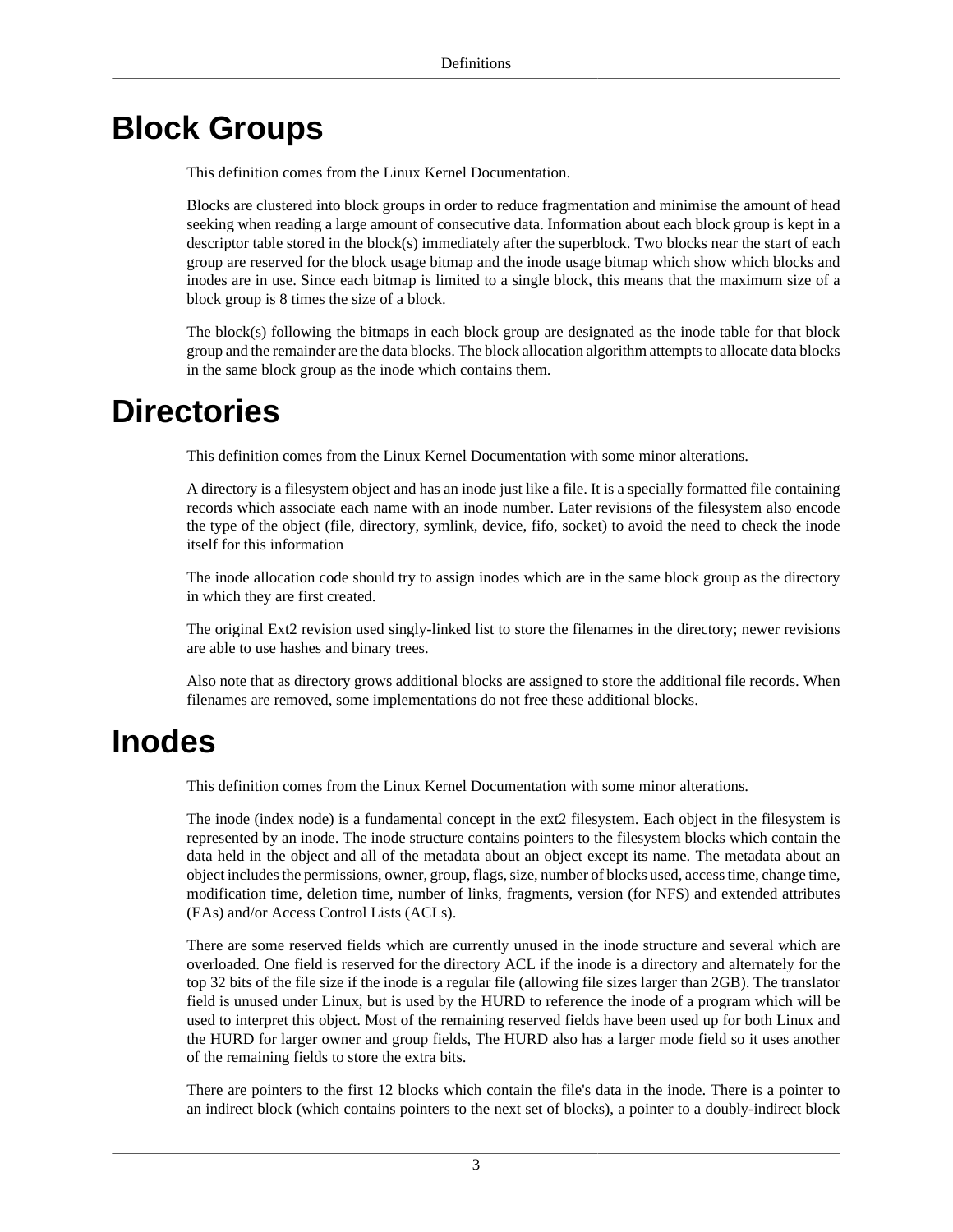## <span id="page-10-0"></span>**Block Groups**

This definition comes from the Linux Kernel Documentation.

Blocks are clustered into block groups in order to reduce fragmentation and minimise the amount of head seeking when reading a large amount of consecutive data. Information about each block group is kept in a descriptor table stored in the block(s) immediately after the superblock. Two blocks near the start of each group are reserved for the block usage bitmap and the inode usage bitmap which show which blocks and inodes are in use. Since each bitmap is limited to a single block, this means that the maximum size of a block group is 8 times the size of a block.

The block(s) following the bitmaps in each block group are designated as the inode table for that block group and the remainder are the data blocks. The block allocation algorithm attempts to allocate data blocks in the same block group as the inode which contains them.

## <span id="page-10-1"></span>**Directories**

This definition comes from the Linux Kernel Documentation with some minor alterations.

A directory is a filesystem object and has an inode just like a file. It is a specially formatted file containing records which associate each name with an inode number. Later revisions of the filesystem also encode the type of the object (file, directory, symlink, device, fifo, socket) to avoid the need to check the inode itself for this information

The inode allocation code should try to assign inodes which are in the same block group as the directory in which they are first created.

The original Ext2 revision used singly-linked list to store the filenames in the directory; newer revisions are able to use hashes and binary trees.

Also note that as directory grows additional blocks are assigned to store the additional file records. When filenames are removed, some implementations do not free these additional blocks.

## <span id="page-10-2"></span>**Inodes**

This definition comes from the Linux Kernel Documentation with some minor alterations.

The inode (index node) is a fundamental concept in the ext2 filesystem. Each object in the filesystem is represented by an inode. The inode structure contains pointers to the filesystem blocks which contain the data held in the object and all of the metadata about an object except its name. The metadata about an object includes the permissions, owner, group, flags, size, number of blocks used, access time, change time, modification time, deletion time, number of links, fragments, version (for NFS) and extended attributes (EAs) and/or Access Control Lists (ACLs).

There are some reserved fields which are currently unused in the inode structure and several which are overloaded. One field is reserved for the directory ACL if the inode is a directory and alternately for the top 32 bits of the file size if the inode is a regular file (allowing file sizes larger than 2GB). The translator field is unused under Linux, but is used by the HURD to reference the inode of a program which will be used to interpret this object. Most of the remaining reserved fields have been used up for both Linux and the HURD for larger owner and group fields, The HURD also has a larger mode field so it uses another of the remaining fields to store the extra bits.

There are pointers to the first 12 blocks which contain the file's data in the inode. There is a pointer to an indirect block (which contains pointers to the next set of blocks), a pointer to a doubly-indirect block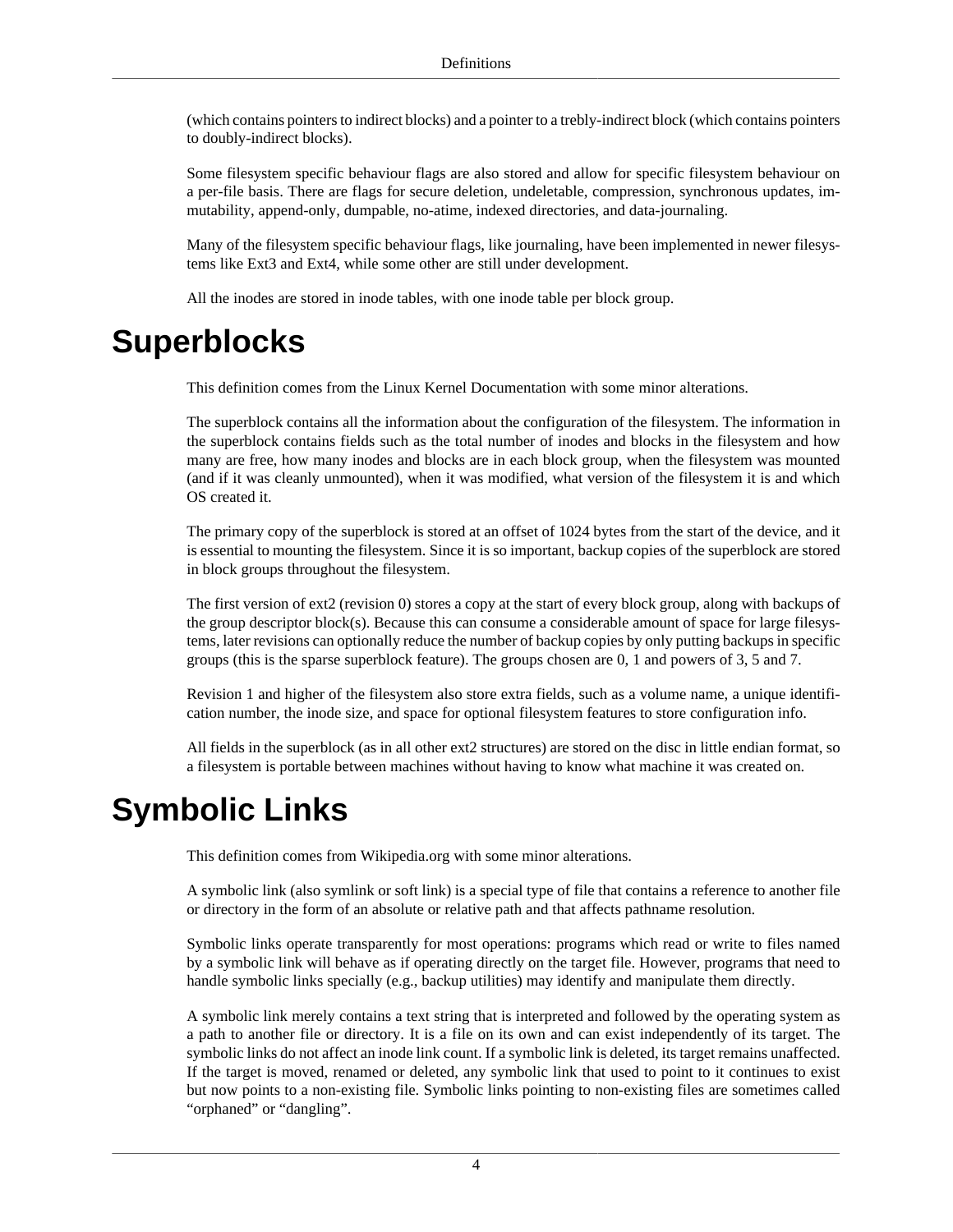(which contains pointers to indirect blocks) and a pointer to a trebly-indirect block (which contains pointers to doubly-indirect blocks).

Some filesystem specific behaviour flags are also stored and allow for specific filesystem behaviour on a per-file basis. There are flags for secure deletion, undeletable, compression, synchronous updates, immutability, append-only, dumpable, no-atime, indexed directories, and data-journaling.

Many of the filesystem specific behaviour flags, like journaling, have been implemented in newer filesystems like Ext3 and Ext4, while some other are still under development.

All the inodes are stored in inode tables, with one inode table per block group.

## <span id="page-11-0"></span>**Superblocks**

This definition comes from the Linux Kernel Documentation with some minor alterations.

The superblock contains all the information about the configuration of the filesystem. The information in the superblock contains fields such as the total number of inodes and blocks in the filesystem and how many are free, how many inodes and blocks are in each block group, when the filesystem was mounted (and if it was cleanly unmounted), when it was modified, what version of the filesystem it is and which OS created it.

The primary copy of the superblock is stored at an offset of 1024 bytes from the start of the device, and it is essential to mounting the filesystem. Since it is so important, backup copies of the superblock are stored in block groups throughout the filesystem.

The first version of ext2 (revision 0) stores a copy at the start of every block group, along with backups of the group descriptor block(s). Because this can consume a considerable amount of space for large filesystems, later revisions can optionally reduce the number of backup copies by only putting backups in specific groups (this is the sparse superblock feature). The groups chosen are 0, 1 and powers of 3, 5 and 7.

Revision 1 and higher of the filesystem also store extra fields, such as a volume name, a unique identification number, the inode size, and space for optional filesystem features to store configuration info.

All fields in the superblock (as in all other ext2 structures) are stored on the disc in little endian format, so a filesystem is portable between machines without having to know what machine it was created on.

## <span id="page-11-1"></span>**Symbolic Links**

This definition comes from Wikipedia.org with some minor alterations.

A symbolic link (also symlink or soft link) is a special type of file that contains a reference to another file or directory in the form of an absolute or relative path and that affects pathname resolution.

Symbolic links operate transparently for most operations: programs which read or write to files named by a symbolic link will behave as if operating directly on the target file. However, programs that need to handle symbolic links specially (e.g., backup utilities) may identify and manipulate them directly.

A symbolic link merely contains a text string that is interpreted and followed by the operating system as a path to another file or directory. It is a file on its own and can exist independently of its target. The symbolic links do not affect an inode link count. If a symbolic link is deleted, its target remains unaffected. If the target is moved, renamed or deleted, any symbolic link that used to point to it continues to exist but now points to a non-existing file. Symbolic links pointing to non-existing files are sometimes called "orphaned" or "dangling".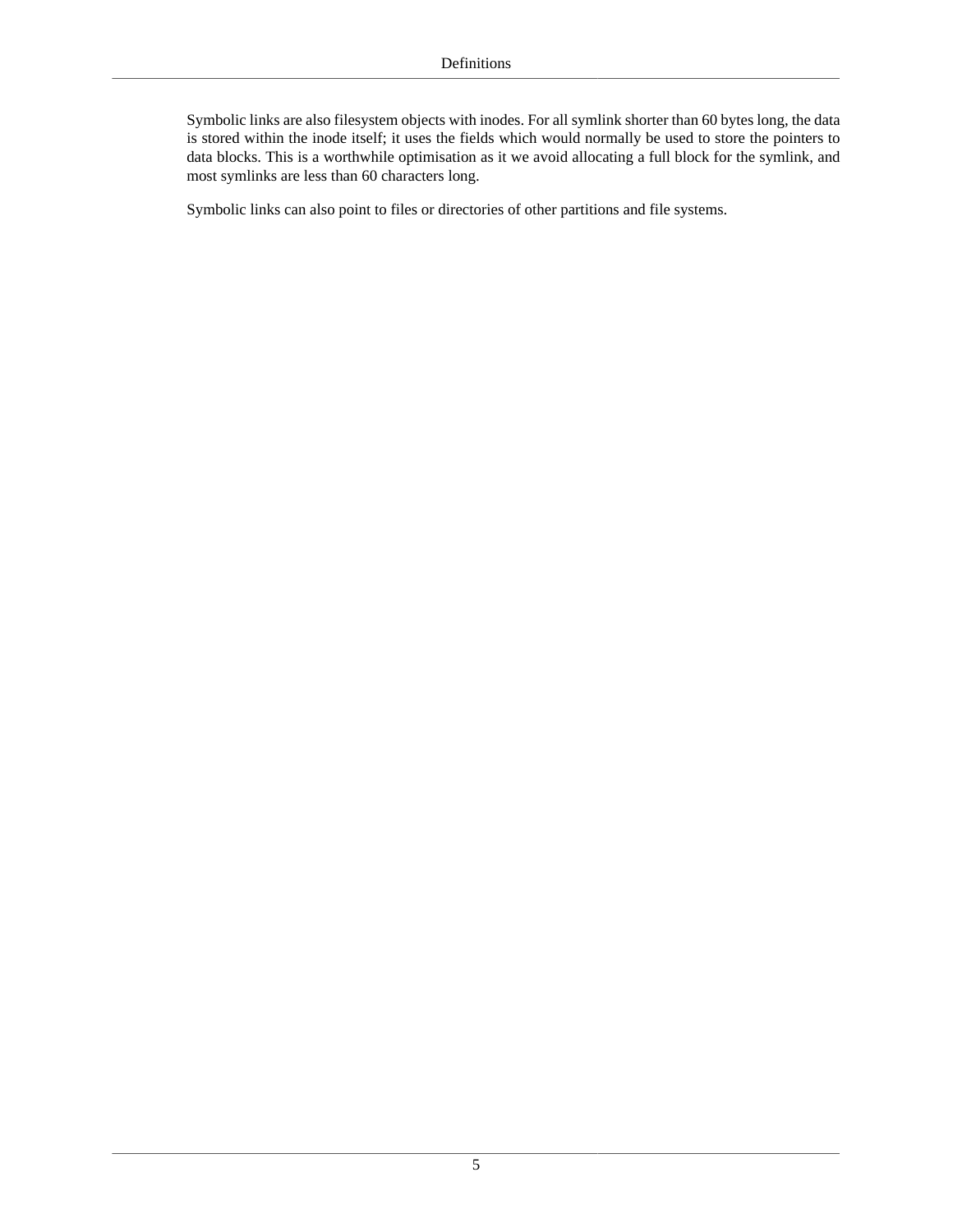Symbolic links are also filesystem objects with inodes. For all symlink shorter than 60 bytes long, the data is stored within the inode itself; it uses the fields which would normally be used to store the pointers to data blocks. This is a worthwhile optimisation as it we avoid allocating a full block for the symlink, and most symlinks are less than 60 characters long.

Symbolic links can also point to files or directories of other partitions and file systems.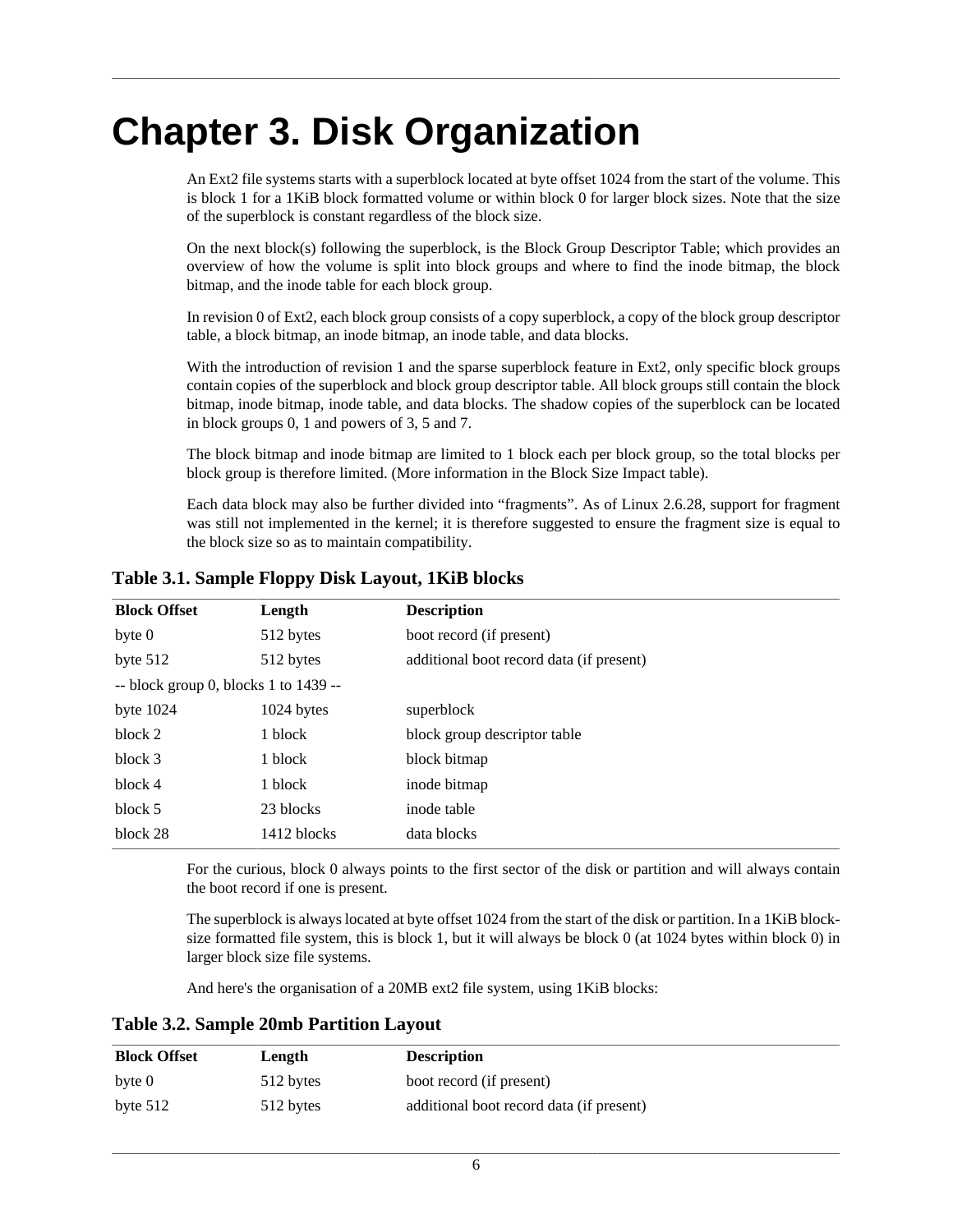# <span id="page-13-0"></span>**Chapter 3. Disk Organization**

An Ext2 file systems starts with a [superblock](#page-14-0) located at byte offset 1024 from the start of the volume. This is block 1 for a 1KiB block formatted volume or within block 0 for larger block sizes. Note that the size of the superblock is constant regardless of the block size.

On the next block(s) following the superblock, is the Block Group Descriptor Table; which provides an overview of how the volume is split into block groups and where to find the inode bitmap, the block bitmap, and the inode table for each block group.

In revision 0 of Ext2, each block group consists of a copy superblock, a copy of the block group descriptor table, a block bitmap, an inode bitmap, an inode table, and data blocks.

With the introduction of revision 1 and the sparse superblock feature in Ext2, only specific block groups contain copies of the superblock and block group descriptor table. All block groups still contain the block bitmap, inode bitmap, inode table, and data blocks. The shadow copies of the superblock can be located in block groups 0, 1 and powers of 3, 5 and 7.

The block bitmap and inode bitmap are limited to 1 block each per block group, so the total blocks per block group is therefore limited. (More information in the [Block Size Impact](#page-9-2) table).

Each data block may also be further divided into "fragments". As of Linux 2.6.28, support for fragment was still not implemented in the kernel; it is therefore suggested to ensure the fragment size is equal to the block size so as to maintain compatibility.

<span id="page-13-1"></span>

| Table 3.1. Sample Floppy Disk Layout, 1KiB blocks |  |  |  |  |  |  |
|---------------------------------------------------|--|--|--|--|--|--|
|---------------------------------------------------|--|--|--|--|--|--|

| <b>Block Offset</b>                     | Length      | <b>Description</b>                       |
|-----------------------------------------|-------------|------------------------------------------|
| byte 0                                  | 512 bytes   | boot record (if present)                 |
| byte $512$                              | 512 bytes   | additional boot record data (if present) |
| $-$ block group 0, blocks 1 to 1439 $-$ |             |                                          |
| byte $1024$                             | 1024 bytes  | superblock                               |
| block 2                                 | 1 block     | block group descriptor table             |
| block 3                                 | 1 block     | block bitmap                             |
| block 4                                 | 1 block     | inode bitmap                             |
| block 5                                 | 23 blocks   | inode table                              |
| block 28                                | 1412 blocks | data blocks                              |

For the curious, block 0 always points to the first sector of the disk or partition and will always contain the boot record if one is present.

The superblock is always located at byte offset 1024 from the start of the disk or partition. In a 1KiB blocksize formatted file system, this is block 1, but it will always be block 0 (at 1024 bytes within block 0) in larger block size file systems.

And here's the organisation of a 20MB ext2 file system, using 1KiB blocks:

<span id="page-13-2"></span>**Table 3.2. Sample 20mb Partition Layout**

| <b>Block Offset</b> | Length    | <b>Description</b>                       |  |
|---------------------|-----------|------------------------------------------|--|
| byte 0              | 512 bytes | boot record (if present)                 |  |
| byte $512$          | 512 bytes | additional boot record data (if present) |  |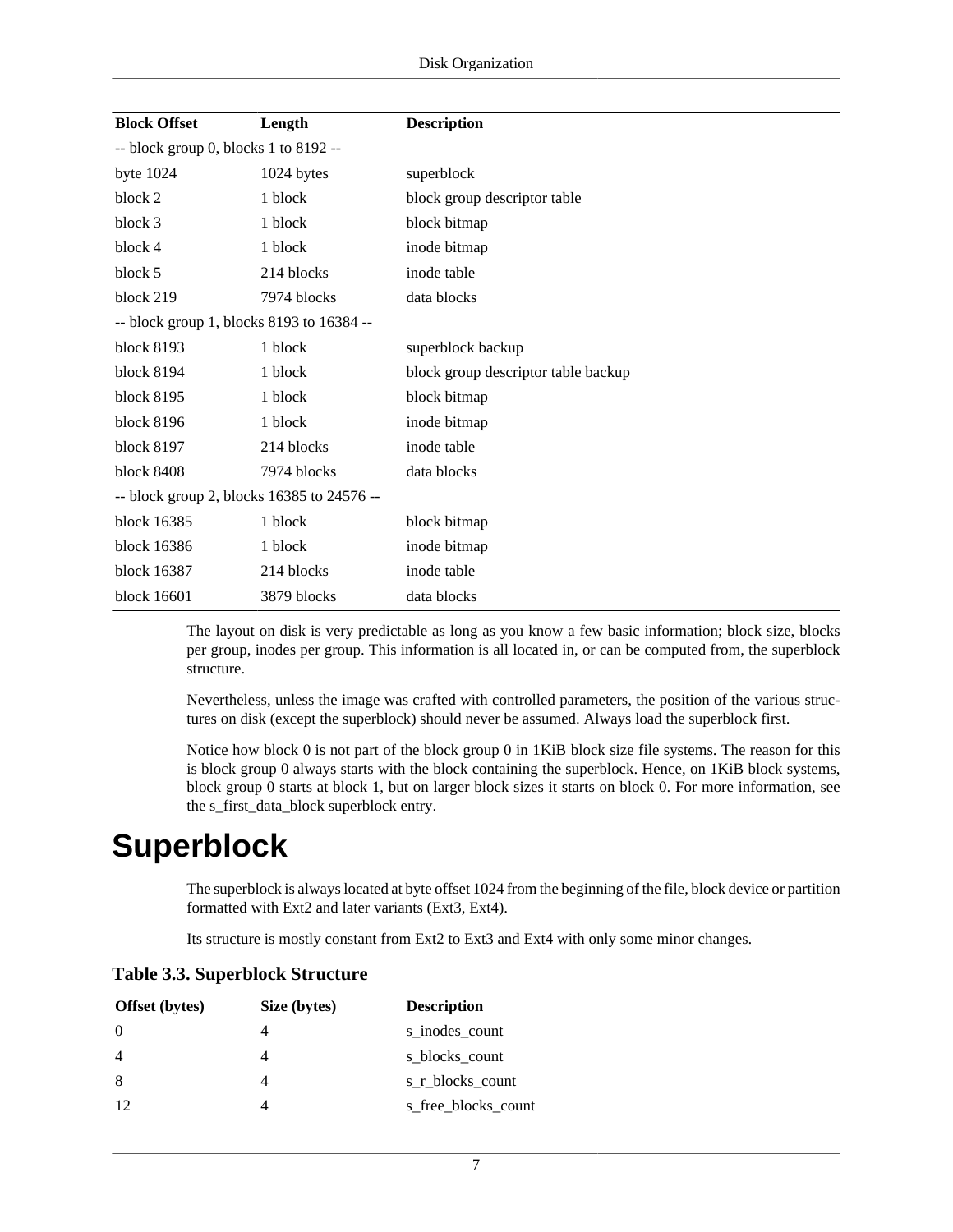| <b>Block Offset</b>                        | Length      | <b>Description</b>                  |  |  |
|--------------------------------------------|-------------|-------------------------------------|--|--|
| $-$ block group 0, blocks 1 to 8192 $-$    |             |                                     |  |  |
| byte $1024$                                | 1024 bytes  | superblock                          |  |  |
| block 2                                    | 1 block     | block group descriptor table        |  |  |
| block 3                                    | 1 block     | block bitmap                        |  |  |
| block 4                                    | 1 block     | inode bitmap                        |  |  |
| block 5                                    | 214 blocks  | inode table                         |  |  |
| block 219                                  | 7974 blocks | data blocks                         |  |  |
| -- block group 1, blocks 8193 to 16384 --  |             |                                     |  |  |
| block 8193                                 | 1 block     | superblock backup                   |  |  |
| <b>block 8194</b>                          | 1 block     | block group descriptor table backup |  |  |
| block 8195                                 | 1 block     | block bitmap                        |  |  |
| block 8196                                 | 1 block     | inode bitmap                        |  |  |
| block 8197                                 | 214 blocks  | inode table                         |  |  |
| block 8408                                 | 7974 blocks | data blocks                         |  |  |
| -- block group 2, blocks 16385 to 24576 -- |             |                                     |  |  |
| block 16385                                | 1 block     | block bitmap                        |  |  |
| block 16386                                | 1 block     | inode bitmap                        |  |  |
| block 16387                                | 214 blocks  | inode table                         |  |  |
| block 16601                                | 3879 blocks | data blocks                         |  |  |

The layout on disk is very predictable as long as you know a few basic information; block size, blocks per group, inodes per group. This information is all located in, or can be computed from, the superblock structure.

Nevertheless, unless the image was crafted with controlled parameters, the position of the various structures on disk (except the superblock) should never be assumed. Always load the superblock first.

Notice how block 0 is not part of the block group 0 in 1KiB block size file systems. The reason for this is block group 0 always starts with the block containing the superblock. Hence, on 1KiB block systems, block group 0 starts at block 1, but on larger block sizes it starts on block 0. For more information, see the [s\\_first\\_data\\_block](#page-16-5) superblock entry.

## <span id="page-14-0"></span>**Superblock**

The [superblock](#page-11-0) is always located at byte offset 1024 from the beginning of the file, block device or partition formatted with Ext2 and later variants (Ext3, Ext4).

Its structure is mostly constant from Ext2 to Ext3 and Ext4 with only some minor changes.

| <b>Offset</b> (bytes) | Size (bytes) | <b>Description</b>  |
|-----------------------|--------------|---------------------|
| $\overline{0}$        |              | s_inodes_count      |
| $\overline{4}$        |              | s_blocks_count      |
| 8                     |              | s_r_blocks_count    |
| 12                    |              | s_free_blocks_count |

<span id="page-14-1"></span>**Table 3.3. Superblock Structure**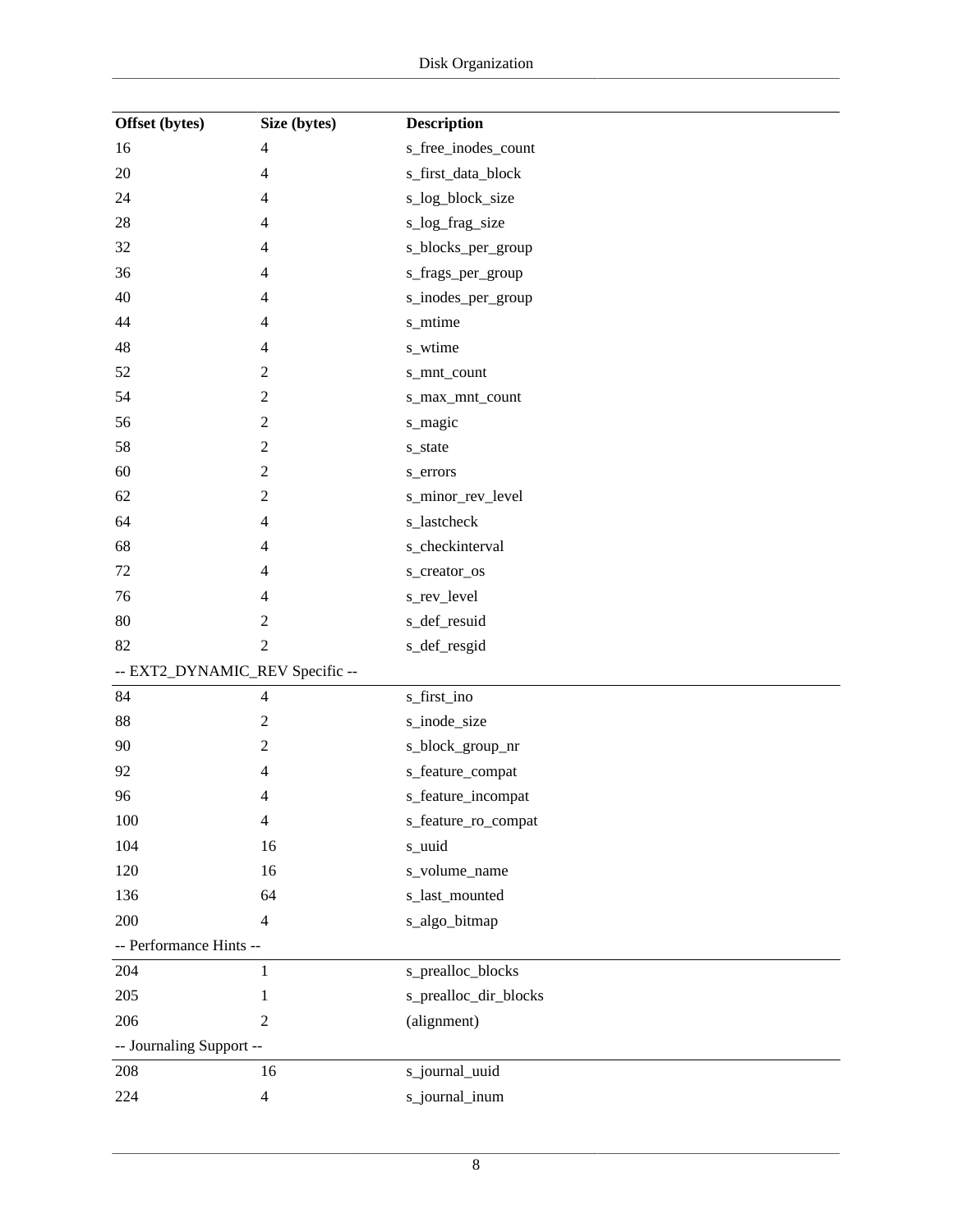| Offset (bytes)                  | Size (bytes)             | <b>Description</b>    |
|---------------------------------|--------------------------|-----------------------|
| 16                              | $\overline{4}$           | s_free_inodes_count   |
| 20                              | $\overline{4}$           | s_first_data_block    |
| 24                              | $\overline{\mathcal{A}}$ | s_log_block_size      |
| 28                              | $\overline{4}$           | s_log_frag_size       |
| 32                              | $\overline{4}$           | s_blocks_per_group    |
| 36                              | 4                        | s_frags_per_group     |
| 40                              | $\overline{4}$           | s_inodes_per_group    |
| 44                              | 4                        | s_mtime               |
| 48                              | 4                        | s_wtime               |
| 52                              | $\boldsymbol{2}$         | s_mnt_count           |
| 54                              | $\sqrt{2}$               | s_max_mnt_count       |
| 56                              | $\overline{c}$           | s_magic               |
| 58                              | $\boldsymbol{2}$         | s_state               |
| 60                              | $\sqrt{2}$               | s_errors              |
| 62                              | $\overline{c}$           | s_minor_rev_level     |
| 64                              | $\overline{4}$           | s_lastcheck           |
| 68                              | $\overline{\mathcal{A}}$ | s_checkinterval       |
| 72                              | 4                        | s_creator_os          |
| 76                              | 4                        | s_rev_level           |
| 80                              | $\sqrt{2}$               | s_def_resuid          |
| 82                              | 2                        | s_def_resgid          |
| -- EXT2_DYNAMIC_REV Specific -- |                          |                       |
| 84                              | $\overline{4}$           | s_first_ino           |
| 88                              | $\sqrt{2}$               | s_inode_size          |
| 90                              | $\boldsymbol{2}$         | s_block_group_nr      |
| 92                              | $\overline{4}$           | s_feature_compat      |
| 96                              | 4                        | s_feature_incompat    |
| 100                             | $\overline{4}$           | s_feature_ro_compat   |
| 104                             | 16                       | s_uuid                |
| 120                             | 16                       | s_volume_name         |
| 136                             | 64                       | s_last_mounted        |
| 200                             | $\overline{4}$           | s_algo_bitmap         |
| -- Performance Hints --         |                          |                       |
| 204                             | 1                        | s_prealloc_blocks     |
| 205                             | 1                        | s_prealloc_dir_blocks |
| 206                             | $\mathbf{2}$             | (alignment)           |
| -- Journaling Support --        |                          |                       |
| 208                             | 16                       | s_journal_uuid        |
| 224                             | $\overline{4}$           | s_journal_inum        |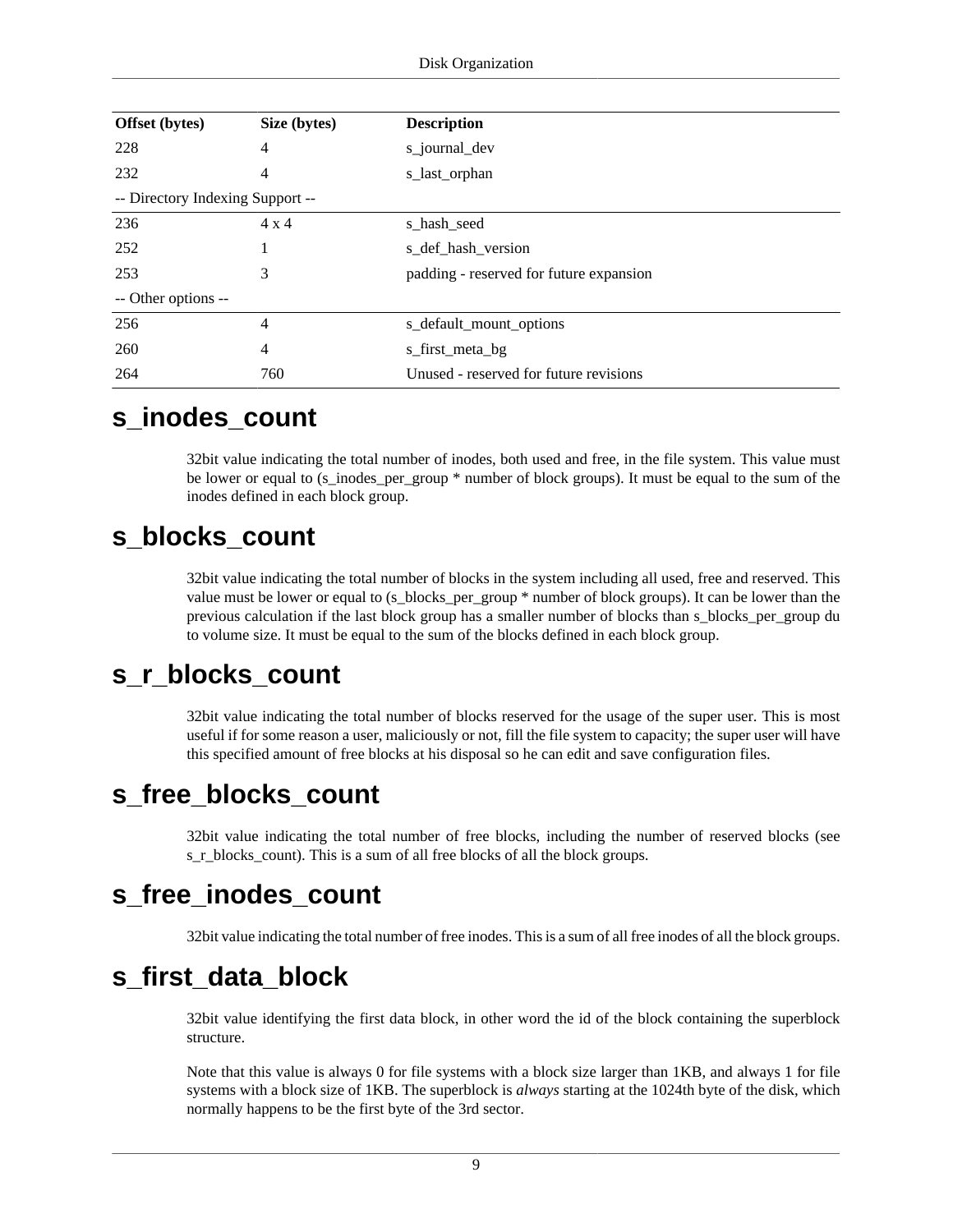| Offset (bytes)                   | Size (bytes)   | <b>Description</b>                      |
|----------------------------------|----------------|-----------------------------------------|
| 228                              | 4              | s_journal_dev                           |
| 232                              | 4              | s_last_orphan                           |
| -- Directory Indexing Support -- |                |                                         |
| 236                              | $4 \times 4$   | s_hash_seed                             |
| 252                              |                | s_def_hash_version                      |
| 253                              | 3              | padding - reserved for future expansion |
| -- Other options --              |                |                                         |
| 256                              | $\overline{4}$ | s_default_mount_options                 |
| 260                              | $\overline{4}$ | s_first_meta_bg                         |
| 264                              | 760            | Unused - reserved for future revisions  |

### <span id="page-16-0"></span>**s\_inodes\_count**

32bit value indicating the total number of inodes, both used and free, in the file system. This value must be lower or equal to (s\_inodes\_per\_group \* number of block groups). It must be equal to the sum of the inodes defined in each block group.

### <span id="page-16-1"></span>**s\_blocks\_count**

32bit value indicating the total number of blocks in the system including all used, free and reserved. This value must be lower or equal to (s\_blocks\_per\_group \* number of block groups). It can be lower than the previous calculation if the last block group has a smaller number of blocks than s\_blocks\_per\_group du to volume size. It must be equal to the sum of the blocks defined in each block group.

### <span id="page-16-2"></span>**s\_r\_blocks\_count**

32bit value indicating the total number of blocks reserved for the usage of the super user. This is most useful if for some reason a user, maliciously or not, fill the file system to capacity; the super user will have this specified amount of free blocks at his disposal so he can edit and save configuration files.

### <span id="page-16-3"></span>**s\_free\_blocks\_count**

32bit value indicating the total number of free blocks, including the number of reserved blocks (see [s\\_r\\_blocks\\_count\)](#page-16-2). This is a sum of all free blocks of all the block groups.

## <span id="page-16-4"></span>**s\_free\_inodes\_count**

32bit value indicating the total number of free inodes. This is a sum of all free inodes of all the block groups.

## <span id="page-16-5"></span>**s\_first\_data\_block**

32bit value identifying the first data block, in other word the id of the block containing the superblock structure.

Note that this value is always 0 for file systems with a block size larger than 1KB, and always 1 for file systems with a block size of 1KB. The superblock is *always* starting at the 1024th byte of the disk, which normally happens to be the first byte of the 3rd sector.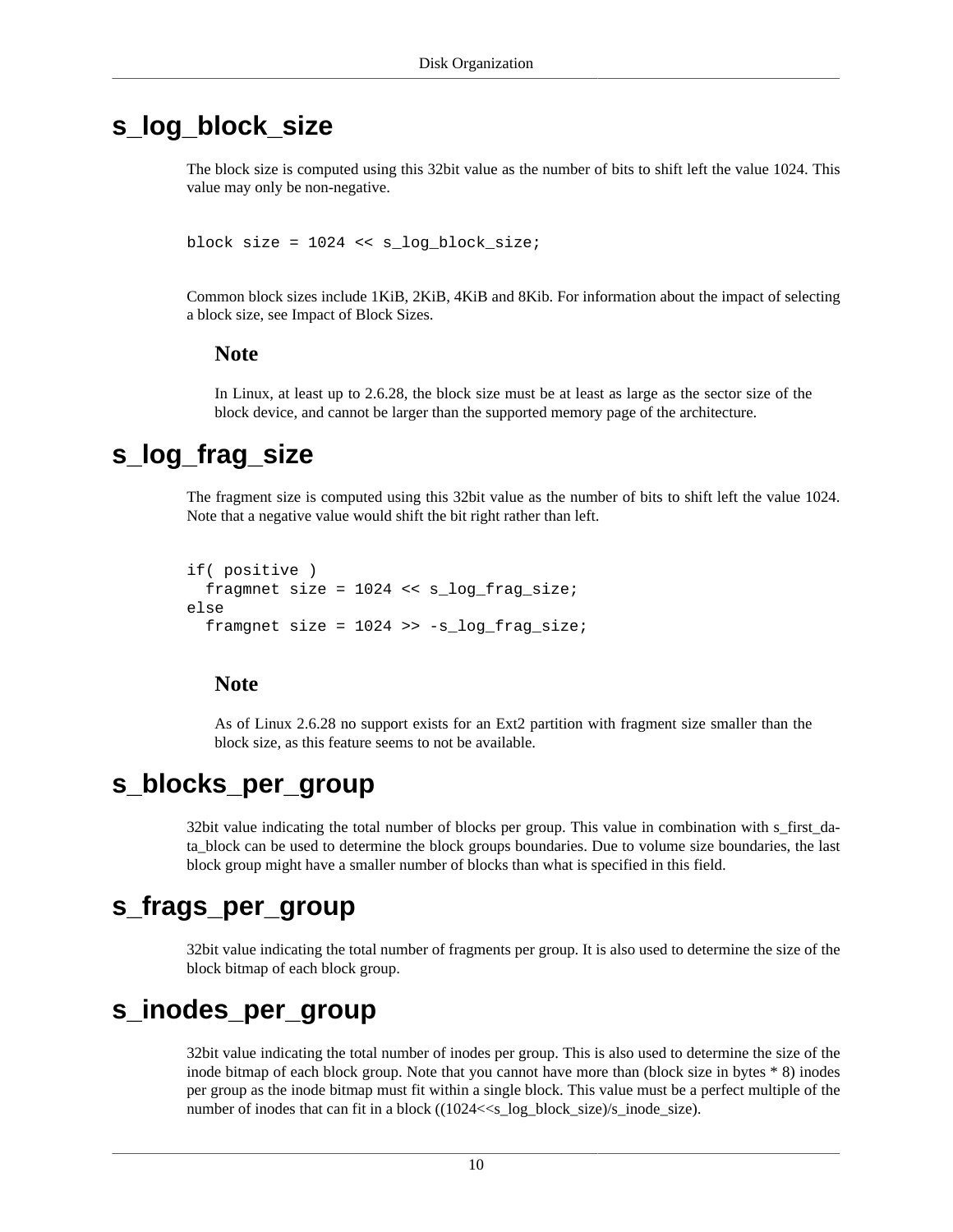### <span id="page-17-0"></span>**s\_log\_block\_size**

The block size is computed using this 32bit value as the number of bits to shift left the value 1024. This value may only be non-negative.

block size =  $1024 \leq s$  log block size;

Common block sizes include 1KiB, 2KiB, 4KiB and 8Kib. For information about the impact of selecting a block size, see [Impact of Block Sizes](#page-9-2).

#### **Note**

In Linux, at least up to 2.6.28, the block size must be at least as large as the sector size of the block device, and cannot be larger than the supported memory page of the architecture.

### <span id="page-17-1"></span>**s\_log\_frag\_size**

The fragment size is computed using this 32bit value as the number of bits to shift left the value 1024. Note that a negative value would shift the bit right rather than left.

```
if( positive )
  fragmnet size = 1024 << s_log_frag_size;
else
  framgnet size = 1024 \gg -s log frag size;
```
#### **Note**

As of Linux 2.6.28 no support exists for an Ext2 partition with fragment size smaller than the block size, as this feature seems to not be available.

### <span id="page-17-2"></span>**s\_blocks\_per\_group**

32bit value indicating the total number of blocks per group. This value in combination with [s\\_first\\_da](#page-16-5)[ta\\_block](#page-16-5) can be used to determine the block groups boundaries. Due to volume size boundaries, the last block group might have a smaller number of blocks than what is specified in this field.

### <span id="page-17-3"></span>**s\_frags\_per\_group**

32bit value indicating the total number of fragments per group. It is also used to determine the size of the block bitmap of each block group.

### <span id="page-17-4"></span>**s\_inodes\_per\_group**

32bit value indicating the total number of inodes per group. This is also used to determine the size of the inode bitmap of each block group. Note that you cannot have more than (block size in bytes \* 8) inodes per group as the inode bitmap must fit within a single block. This value must be a perfect multiple of the number of inodes that can fit in a block ((1024<<s\_log\_block\_size)/s\_inode\_size).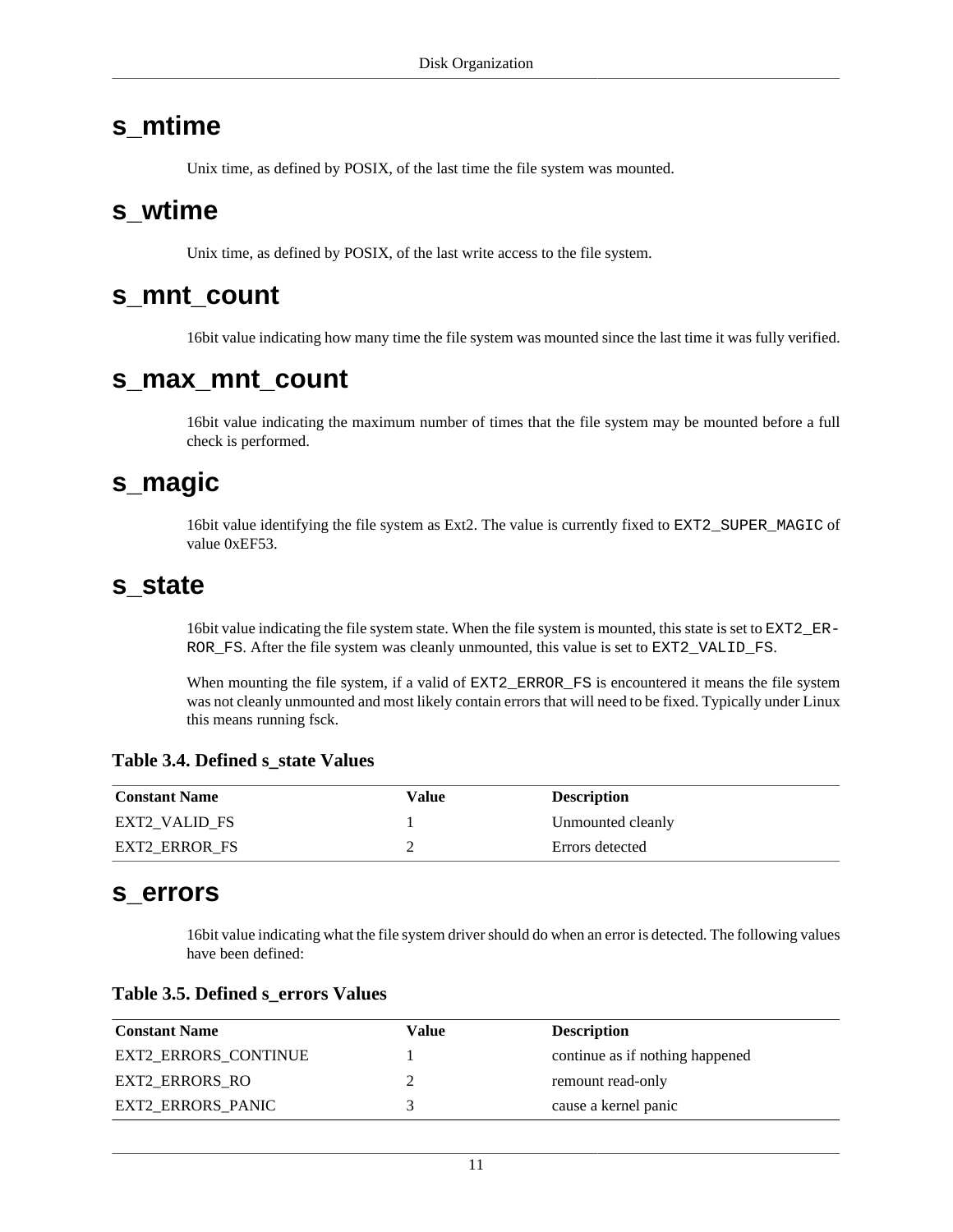### <span id="page-18-0"></span>**s\_mtime**

Unix time, as defined by POSIX, of the last time the file system was mounted.

### <span id="page-18-1"></span>**s\_wtime**

Unix time, as defined by POSIX, of the last write access to the file system.

### <span id="page-18-2"></span>**s\_mnt\_count**

16bit value indicating how many time the file system was mounted since the last time it was fully verified.

### <span id="page-18-3"></span>**s\_max\_mnt\_count**

16bit value indicating the maximum number of times that the file system may be mounted before a full check is performed.

### <span id="page-18-4"></span>**s\_magic**

16bit value identifying the file system as Ext2. The value is currently fixed to EXT2\_SUPER\_MAGIC of value 0xEF53.

### <span id="page-18-5"></span>**s\_state**

16bit value indicating the file system state. When the file system is mounted, this state is set to EXT2\_ER-ROR\_FS. After the file system was cleanly unmounted, this value is set to EXT2\_VALID\_FS.

When mounting the file system, if a valid of  $\text{EXT}2\_\text{ERROR}\_\text{FS}$  is encountered it means the file system was not cleanly unmounted and most likely contain errors that will need to be fixed. Typically under Linux this means running fsck.

#### <span id="page-18-7"></span>**Table 3.4. Defined s\_state Values**

| <b>Constant Name</b> | Value | <b>Description</b> |
|----------------------|-------|--------------------|
| EXT2 VALID FS        |       | Unmounted cleanly  |
| EXT2 ERROR FS        |       | Errors detected    |

#### <span id="page-18-6"></span>**s\_errors**

16bit value indicating what the file system driver should do when an error is detected. The following values have been defined:

#### <span id="page-18-8"></span>**Table 3.5. Defined s\_errors Values**

| <b>Constant Name</b>        | Value | <b>Description</b>              |
|-----------------------------|-------|---------------------------------|
| <b>EXT2 ERRORS CONTINUE</b> |       | continue as if nothing happened |
| EXT2 ERRORS RO              |       | remount read-only               |
| <b>EXT2 ERRORS PANIC</b>    |       | cause a kernel panic            |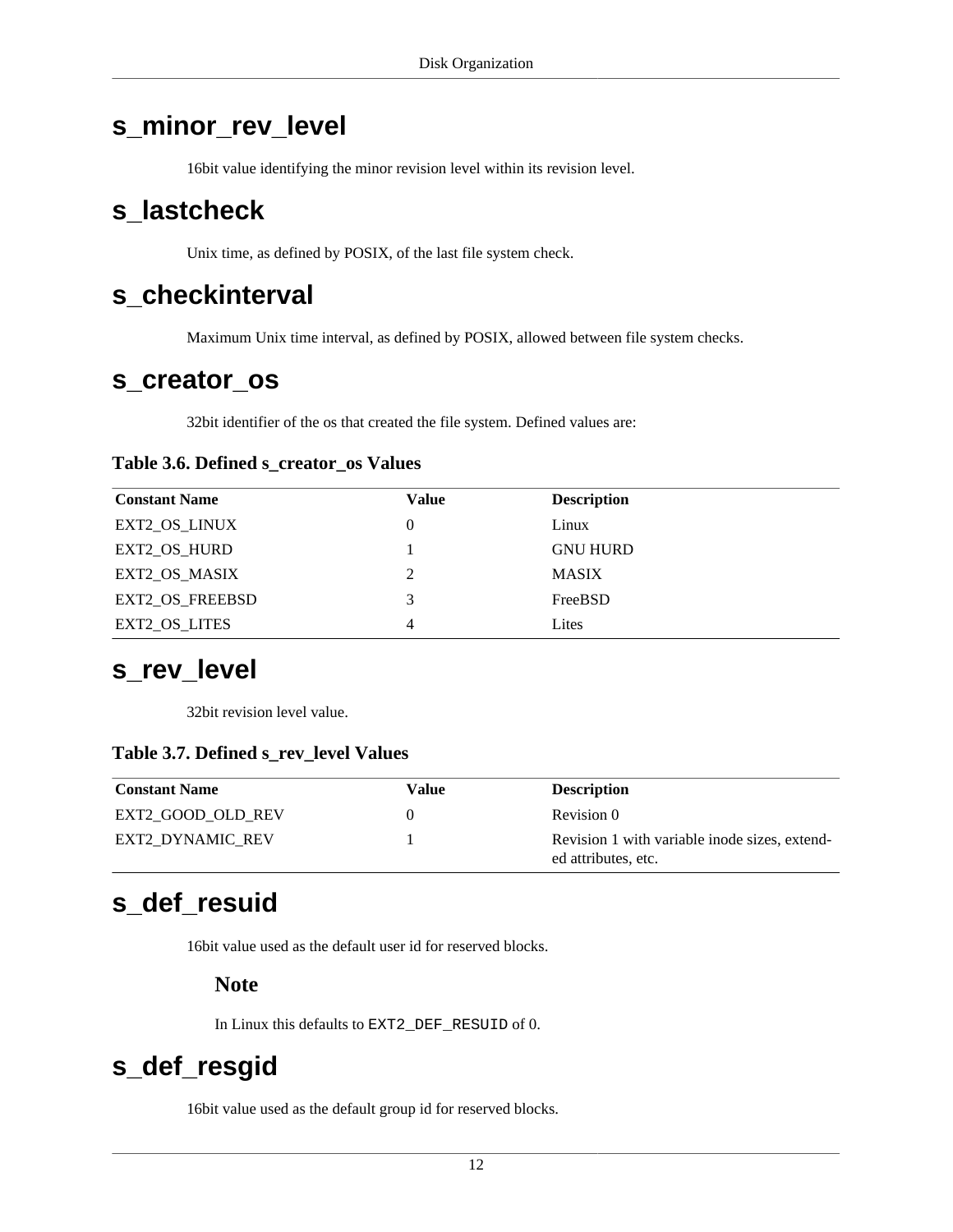## <span id="page-19-0"></span>**s\_minor\_rev\_level**

16bit value identifying the minor revision level within its [revision level.](#page-19-4)

### <span id="page-19-1"></span>**s\_lastcheck**

Unix time, as defined by POSIX, of the last file system check.

### <span id="page-19-2"></span>**s\_checkinterval**

Maximum Unix time interval, as defined by POSIX, allowed between file system checks.

### <span id="page-19-3"></span>**s\_creator\_os**

32bit identifier of the os that created the file system. Defined values are:

#### <span id="page-19-7"></span>**Table 3.6. Defined s\_creator\_os Values**

| <b>Constant Name</b> | Value | <b>Description</b> |
|----------------------|-------|--------------------|
| EXT2_OS_LINUX        | 0     | Linux              |
| EXT2_OS_HURD         |       | <b>GNU HURD</b>    |
| EXT2 OS MASIX        | 2     | <b>MASIX</b>       |
| EXT2_OS_FREEBSD      | 3     | FreeBSD            |
| EXT2_OS_LITES        | 4     | Lites              |

### <span id="page-19-4"></span>**s\_rev\_level**

32bit revision level value.

#### <span id="page-19-8"></span>**Table 3.7. Defined s\_rev\_level Values**

| <b>Constant Name</b>    | Value | <b>Description</b>                                                   |
|-------------------------|-------|----------------------------------------------------------------------|
| EXT2 GOOD OLD REV       |       | Revision 0                                                           |
| <b>EXT2 DYNAMIC REV</b> |       | Revision 1 with variable inode sizes, extend-<br>ed attributes, etc. |

## <span id="page-19-5"></span>**s\_def\_resuid**

16bit value used as the default user id for reserved blocks.

**Note**

In Linux this defaults to EXT2\_DEF\_RESUID of 0.

## <span id="page-19-6"></span>**s\_def\_resgid**

16bit value used as the default group id for reserved blocks.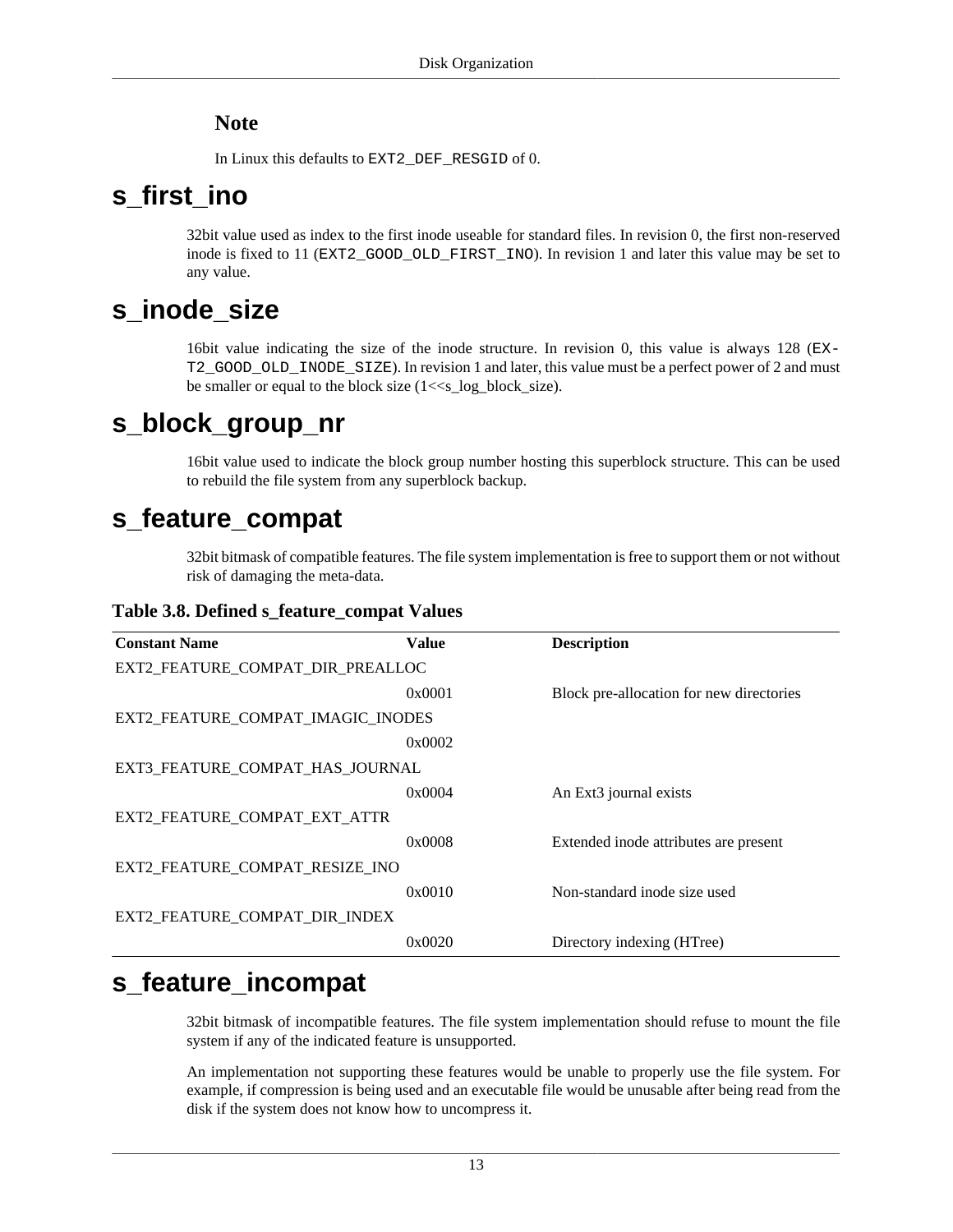#### **Note**

In Linux this defaults to EXT2\_DEF\_RESGID of 0.

## <span id="page-20-0"></span>**s\_first\_ino**

32bit value used as index to the first inode useable for standard files. In revision 0, the first non-reserved inode is fixed to 11 (EXT2\_GOOD\_OLD\_FIRST\_INO). In revision 1 and later this value may be set to any value.

## <span id="page-20-1"></span>**s\_inode\_size**

16bit value indicating the size of the inode structure. In revision 0, this value is always 128 (EX-T2\_GOOD\_OLD\_INODE\_SIZE). In revision 1 and later, this value must be a perfect power of 2 and must be smaller or equal to the block size (1<<s\_log\_block\_size).

## <span id="page-20-2"></span>**s\_block\_group\_nr**

16bit value used to indicate the block group number hosting this superblock structure. This can be used to rebuild the file system from any superblock backup.

## <span id="page-20-3"></span>**s\_feature\_compat**

32bit bitmask of compatible features. The file system implementation is free to support them or not without risk of damaging the meta-data.

<span id="page-20-5"></span>**Table 3.8. Defined s\_feature\_compat Values**

| <b>Constant Name</b>              | Value  | <b>Description</b>                       |
|-----------------------------------|--------|------------------------------------------|
| EXT2 FEATURE COMPAT DIR PREALLOC  |        |                                          |
|                                   | 0x0001 | Block pre-allocation for new directories |
| EXT2 FEATURE COMPAT IMAGIC INODES |        |                                          |
|                                   | 0x0002 |                                          |
| EXT3_FEATURE_COMPAT_HAS_JOURNAL   |        |                                          |
|                                   | 0x0004 | An Ext <sub>3</sub> journal exists       |
| EXT2 FEATURE COMPAT EXT ATTR      |        |                                          |
|                                   | 0x0008 | Extended inode attributes are present    |
| EXT2 FEATURE COMPAT RESIZE INO    |        |                                          |
|                                   | 0x0010 | Non-standard inode size used             |
| EXT2 FEATURE COMPAT DIR INDEX     |        |                                          |
|                                   | 0x0020 | Directory indexing (HTree)               |

## <span id="page-20-4"></span>**s\_feature\_incompat**

32bit bitmask of incompatible features. The file system implementation should refuse to mount the file system if any of the indicated feature is unsupported.

An implementation not supporting these features would be unable to properly use the file system. For example, if compression is being used and an executable file would be unusable after being read from the disk if the system does not know how to uncompress it.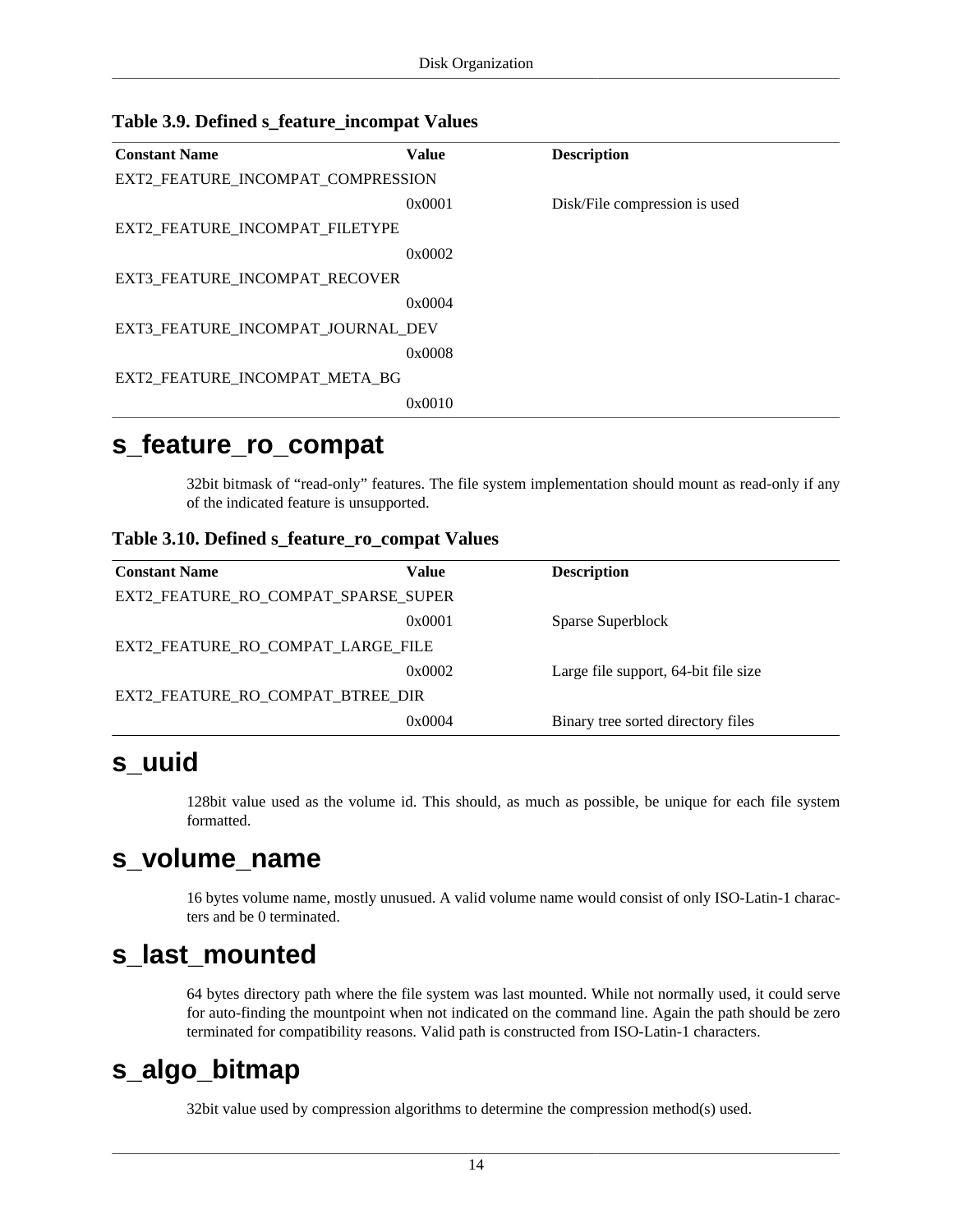| <b>Constant Name</b>              | <b>Value</b> | <b>Description</b>            |
|-----------------------------------|--------------|-------------------------------|
| EXT2_FEATURE_INCOMPAT_COMPRESSION |              |                               |
|                                   | 0x0001       | Disk/File compression is used |
| EXT2_FEATURE_INCOMPAT_FILETYPE    |              |                               |
|                                   | 0x0002       |                               |
| EXT3_FEATURE_INCOMPAT_RECOVER     |              |                               |
|                                   | 0x0004       |                               |
| EXT3 FEATURE INCOMPAT JOURNAL DEV |              |                               |
|                                   | 0x0008       |                               |
| EXT2_FEATURE_INCOMPAT_META_BG     |              |                               |
|                                   | 0x0010       |                               |
|                                   |              |                               |

#### <span id="page-21-5"></span>**Table 3.9. Defined s\_feature\_incompat Values**

### <span id="page-21-0"></span>**s\_feature\_ro\_compat**

32bit bitmask of "read-only" features. The file system implementation should mount as read-only if any of the indicated feature is unsupported.

#### <span id="page-21-6"></span>**Table 3.10. Defined s\_feature\_ro\_compat Values**

| <b>Constant Name</b>                | Value  | <b>Description</b>                   |
|-------------------------------------|--------|--------------------------------------|
| EXT2 FEATURE RO COMPAT SPARSE SUPER |        |                                      |
|                                     | 0x0001 | Sparse Superblock                    |
| EXT2 FEATURE RO COMPAT LARGE FILE   |        |                                      |
|                                     | 0x0002 | Large file support, 64-bit file size |
| EXT2 FEATURE RO COMPAT BTREE DIR    |        |                                      |
|                                     | 0x0004 | Binary tree sorted directory files   |

### <span id="page-21-1"></span>**s\_uuid**

128bit value used as the volume id. This should, as much as possible, be unique for each file system formatted.

### <span id="page-21-2"></span>**s\_volume\_name**

16 bytes volume name, mostly unusued. A valid volume name would consist of only ISO-Latin-1 characters and be 0 terminated.

### <span id="page-21-3"></span>**s\_last\_mounted**

64 bytes directory path where the file system was last mounted. While not normally used, it could serve for auto-finding the mountpoint when not indicated on the command line. Again the path should be zero terminated for compatibility reasons. Valid path is constructed from ISO-Latin-1 characters.

## <span id="page-21-4"></span>**s\_algo\_bitmap**

32bit value used by compression algorithms to determine the compression method(s) used.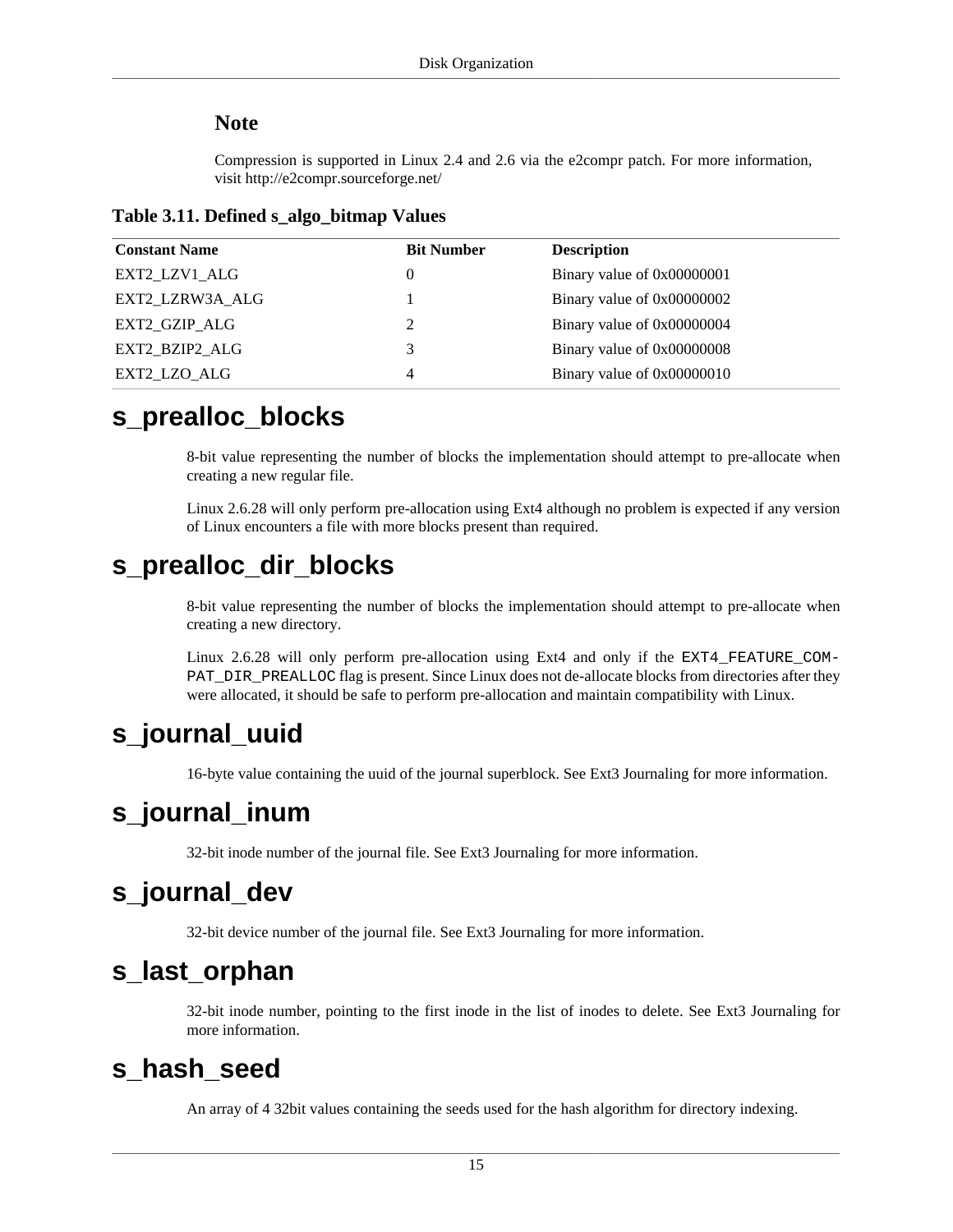#### **Note**

Compression is supported in Linux 2.4 and 2.6 via the e2compr patch. For more information, visit http://e2compr.sourceforge.net/

<span id="page-22-7"></span>

| <b>Constant Name</b> | <b>Bit Number</b> | <b>Description</b>         |
|----------------------|-------------------|----------------------------|
| EXT2 LZV1 ALG        | 0                 | Binary value of 0x00000001 |
| EXT2 LZRW3A ALG      |                   | Binary value of 0x00000002 |
| EXT2 GZIP ALG        | 2                 | Binary value of 0x00000004 |
| EXT2 BZIP2 ALG       | 3                 | Binary value of 0x00000008 |
| EXT2 LZO ALG         | 4                 | Binary value of 0x00000010 |

### <span id="page-22-0"></span>**s\_prealloc\_blocks**

8-bit value representing the number of blocks the implementation should attempt to pre-allocate when creating a new regular file.

Linux 2.6.28 will only perform pre-allocation using Ext4 although no problem is expected if any version of Linux encounters a file with more blocks present than required.

## <span id="page-22-1"></span>**s\_prealloc\_dir\_blocks**

8-bit value representing the number of blocks the implementation should attempt to pre-allocate when creating a new directory.

Linux 2.6.28 will only perform pre-allocation using Ext4 and only if the EXT4\_FEATURE\_COM-PAT\_DIR\_PREALLOC flag is present. Since Linux does not de-allocate blocks from directories after they were allocated, it should be safe to perform pre-allocation and maintain compatibility with Linux.

## <span id="page-22-2"></span>**s\_journal\_uuid**

16-byte value containing the uuid of the journal superblock. See Ext3 Journaling for more information.

## <span id="page-22-3"></span>**s\_journal\_inum**

32-bit inode number of the journal file. See Ext3 Journaling for more information.

## <span id="page-22-4"></span>**s\_journal\_dev**

32-bit device number of the journal file. See Ext3 Journaling for more information.

## <span id="page-22-5"></span>**s\_last\_orphan**

32-bit inode number, pointing to the first inode in the list of inodes to delete. See Ext3 Journaling for more information.

### <span id="page-22-6"></span>**s\_hash\_seed**

An array of 4 32bit values containing the seeds used for the hash algorithm for directory indexing.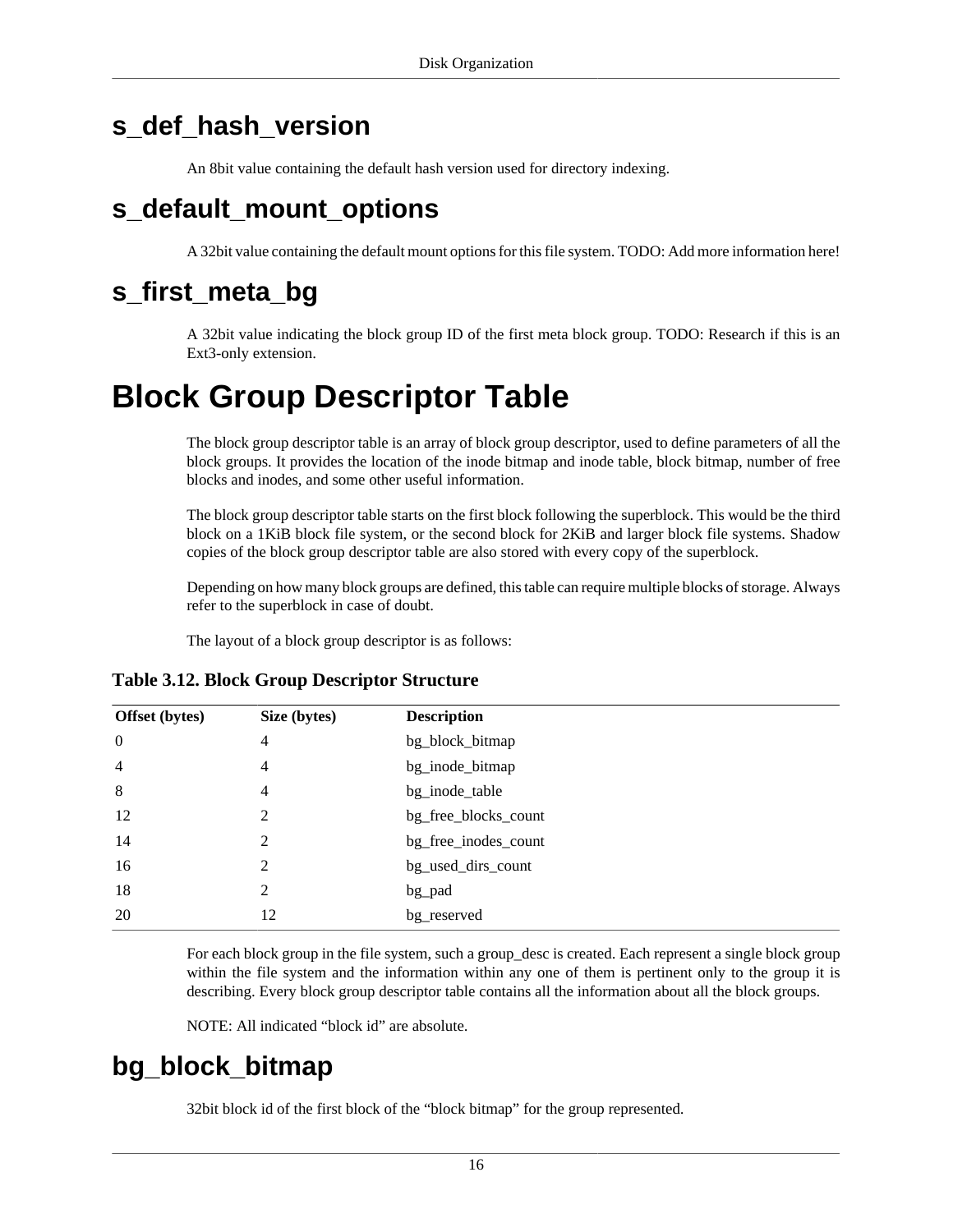## <span id="page-23-0"></span>**s\_def\_hash\_version**

An 8bit value containing the default hash version used for directory indexing.

## <span id="page-23-1"></span>**s\_default\_mount\_options**

A 32bit value containing the default mount options for this file system. TODO: Add more information here!

## <span id="page-23-2"></span>**s\_first\_meta\_bg**

A 32bit value indicating the block group ID of the first meta block group. TODO: Research if this is an Ext3-only extension.

## <span id="page-23-3"></span>**Block Group Descriptor Table**

The block group descriptor table is an array of [block group descriptor](#page-23-5), used to define parameters of all the [block groups](#page-10-0). It provides the location of the inode bitmap and inode table, block bitmap, number of free blocks and inodes, and some other useful information.

The block group descriptor table starts on the first block following the superblock. This would be the third block on a 1KiB block file system, or the second block for 2KiB and larger block file systems. Shadow copies of the block group descriptor table are also stored with every copy of the superblock.

Depending on how many block groups are defined, this table can require multiple blocks of storage. Always refer to the superblock in case of doubt.

The layout of a block group descriptor is as follows:

| <b>Offset</b> (bytes) | Size (bytes) | <b>Description</b>   |
|-----------------------|--------------|----------------------|
| $\boldsymbol{0}$      | 4            | bg_block_bitmap      |
| $\overline{4}$        | 4            | bg_inode_bitmap      |
| 8                     | 4            | bg_inode_table       |
| 12                    | 2            | bg_free_blocks_count |
| 14                    | 2            | bg_free_inodes_count |
| 16                    | 2            | bg_used_dirs_count   |
| 18                    | 2            | bg_pad               |
| 20                    | 12           | bg_reserved          |

#### <span id="page-23-5"></span>**Table 3.12. Block Group Descriptor Structure**

For each block group in the file system, such a group\_desc is created. Each represent a single block group within the file system and the information within any one of them is pertinent only to the group it is describing. Every block group descriptor table contains all the information about all the block groups.

NOTE: All indicated "block id" are absolute.

## <span id="page-23-4"></span>**bg\_block\_bitmap**

32bit block id of the first block of the "[block bitmap](#page-24-7)" for the group represented.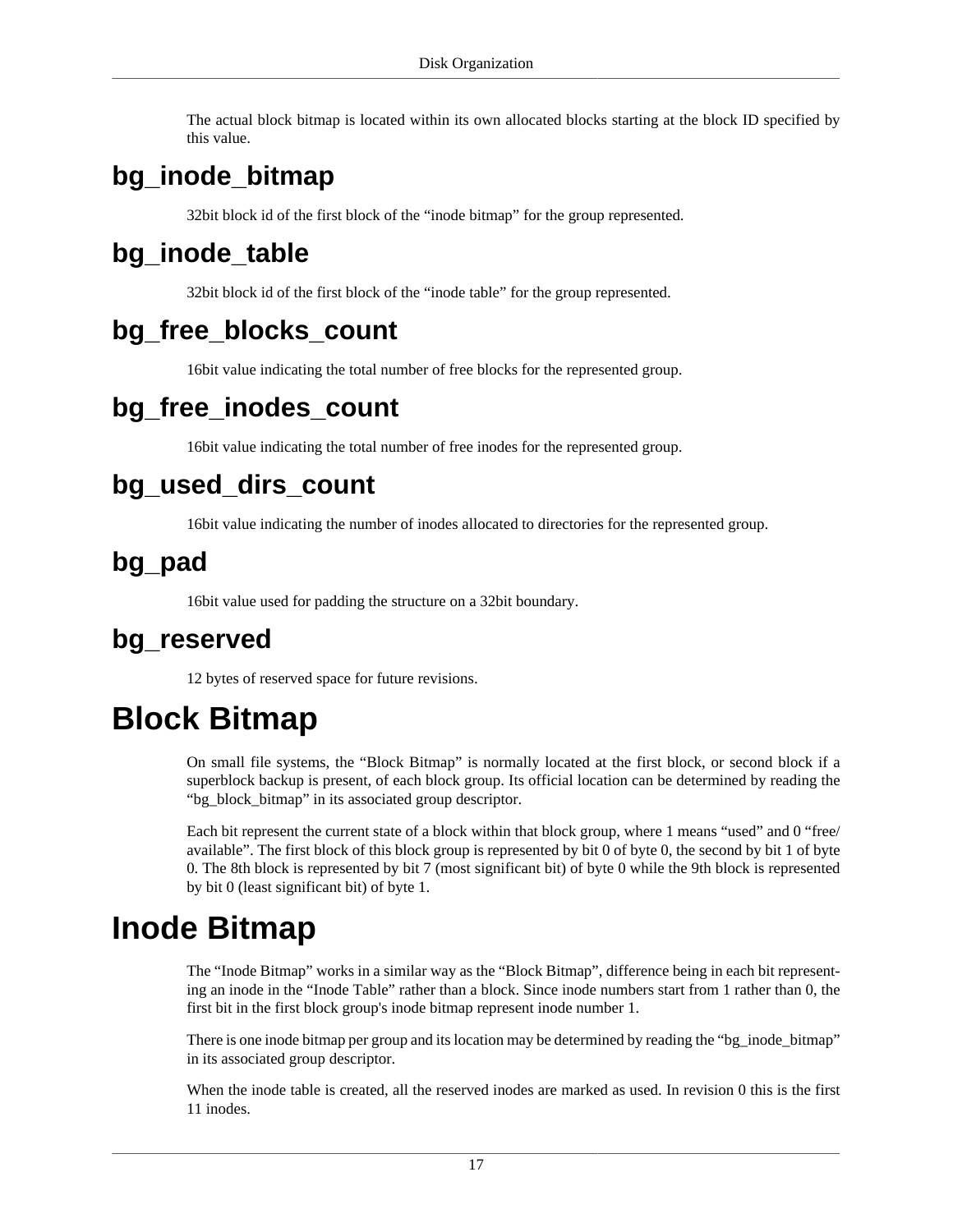The actual block bitmap is located within its own allocated blocks starting at the block ID specified by this value.

## <span id="page-24-0"></span>**bg\_inode\_bitmap**

32bit block id of the first block of the "[inode bitmap](#page-24-8)" for the group represented.

## <span id="page-24-1"></span>**bg\_inode\_table**

32bit block id of the first block of the "[inode table](#page-25-0)" for the group represented.

## <span id="page-24-2"></span>**bg\_free\_blocks\_count**

16bit value indicating the total number of free blocks for the represented group.

## <span id="page-24-3"></span>**bg\_free\_inodes\_count**

16bit value indicating the total number of free inodes for the represented group.

## <span id="page-24-4"></span>**bg\_used\_dirs\_count**

16bit value indicating the number of inodes allocated to directories for the represented group.

## <span id="page-24-5"></span>**bg\_pad**

16bit value used for padding the structure on a 32bit boundary.

### <span id="page-24-6"></span>**bg\_reserved**

12 bytes of reserved space for future revisions.

## <span id="page-24-7"></span>**Block Bitmap**

On small file systems, the "Block Bitmap" is normally located at the first block, or second block if a superblock backup is present, of each block group. Its official location can be determined by reading the ["bg\\_block\\_bitmap](#page-23-4)" in its associated [group descriptor](#page-23-3).

Each bit represent the current state of a block within that block group, where 1 means "used" and 0 "free/ available". The first block of this block group is represented by bit 0 of byte 0, the second by bit 1 of byte 0. The 8th block is represented by bit 7 (most significant bit) of byte 0 while the 9th block is represented by bit 0 (least significant bit) of byte 1.

## <span id="page-24-8"></span>**Inode Bitmap**

The "Inode Bitmap" works in a similar way as the "[Block Bitmap](#page-24-7)", difference being in each bit representing an inode in the "[Inode Table"](#page-25-0) rather than a block. Since inode numbers start from 1 rather than 0, the first bit in the first block group's inode bitmap represent inode number 1.

There is one inode bitmap per group and its location may be determined by reading the "[bg\\_inode\\_bitmap"](#page-24-0) in its associated [group descriptor.](#page-23-3)

When the inode table is created, all the reserved inodes are marked as used. In revision 0 this is the first 11 inodes.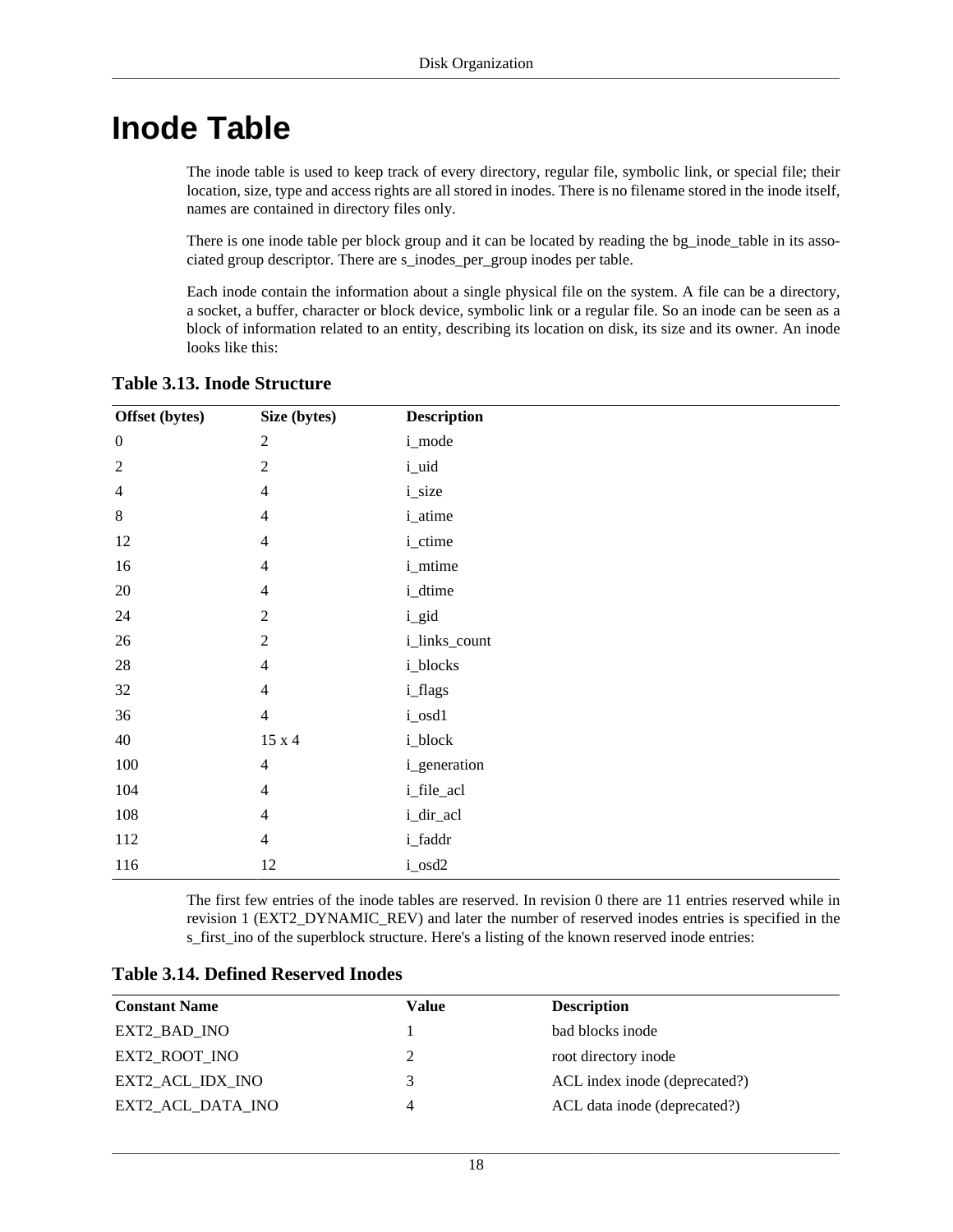## <span id="page-25-0"></span>**Inode Table**

The inode table is used to keep track of every directory, regular file, symbolic link, or special file; their location, size, type and access rights are all stored in inodes. There is no filename stored in the inode itself, names are contained in [directory](#page-33-0) files only.

There is one inode table per block group and it can be located by reading the [bg\\_inode\\_table](#page-24-1) in its associated [group descriptor](#page-23-3). There are [s\\_inodes\\_per\\_group](#page-17-4) inodes per table.

Each inode contain the information about a single physical file on the system. A file can be a directory, a socket, a buffer, character or block device, symbolic link or a regular file. So an inode can be seen as a block of information related to an entity, describing its location on disk, its size and its owner. An inode looks like this:

| Offset (bytes)   | Size (bytes)            | <b>Description</b> |
|------------------|-------------------------|--------------------|
| $\boldsymbol{0}$ | $\sqrt{2}$              | i_mode             |
| $\sqrt{2}$       | $\overline{2}$          | i_uid              |
| $\overline{4}$   | $\overline{4}$          | <i>i_size</i>      |
| $8\,$            | $\overline{4}$          | i_atime            |
| 12               | $\overline{4}$          | i_ctime            |
| 16               | $\overline{4}$          | i_mtime            |
| $20\,$           | $\overline{4}$          | i_dtime            |
| 24               | $\overline{2}$          | i_gid              |
| $26\,$           | $\sqrt{2}$              | i_links_count      |
| $28\,$           | $\overline{4}$          | i_blocks           |
| 32               | $\overline{4}$          | i_flags            |
| 36               | $\overline{4}$          | i_osd1             |
| 40               | $15$ x $4\,$            | i_block            |
| $100\,$          | $\overline{4}$          | i_generation       |
| 104              | $\overline{\mathbf{4}}$ | i_file_acl         |
| 108              | $\overline{4}$          | i_dir_acl          |
| 112              | $\overline{4}$          | i_faddr            |
| 116              | 12                      | i_osd2             |

#### <span id="page-25-1"></span>**Table 3.13. Inode Structure**

The first few entries of the inode tables are reserved. In revision 0 there are 11 entries reserved while in revision 1 (EXT2\_DYNAMIC\_REV) and later the number of reserved inodes entries is specified in the [s\\_first\\_ino](#page-20-0) of the superblock structure. Here's a listing of the known reserved inode entries:

<span id="page-25-2"></span>

| <b>Table 3.14. Defined Reserved Inodes</b> |  |  |  |
|--------------------------------------------|--|--|--|
|--------------------------------------------|--|--|--|

| <b>Constant Name</b> | Value | <b>Description</b>            |
|----------------------|-------|-------------------------------|
| EXT2 BAD INO         |       | bad blocks inode              |
| EXT2 ROOT INO        |       | root directory inode          |
| EXT2 ACL IDX INO     | 3     | ACL index inode (deprecated?) |
| EXT2 ACL DATA INO    | 4     | ACL data inode (deprecated?)  |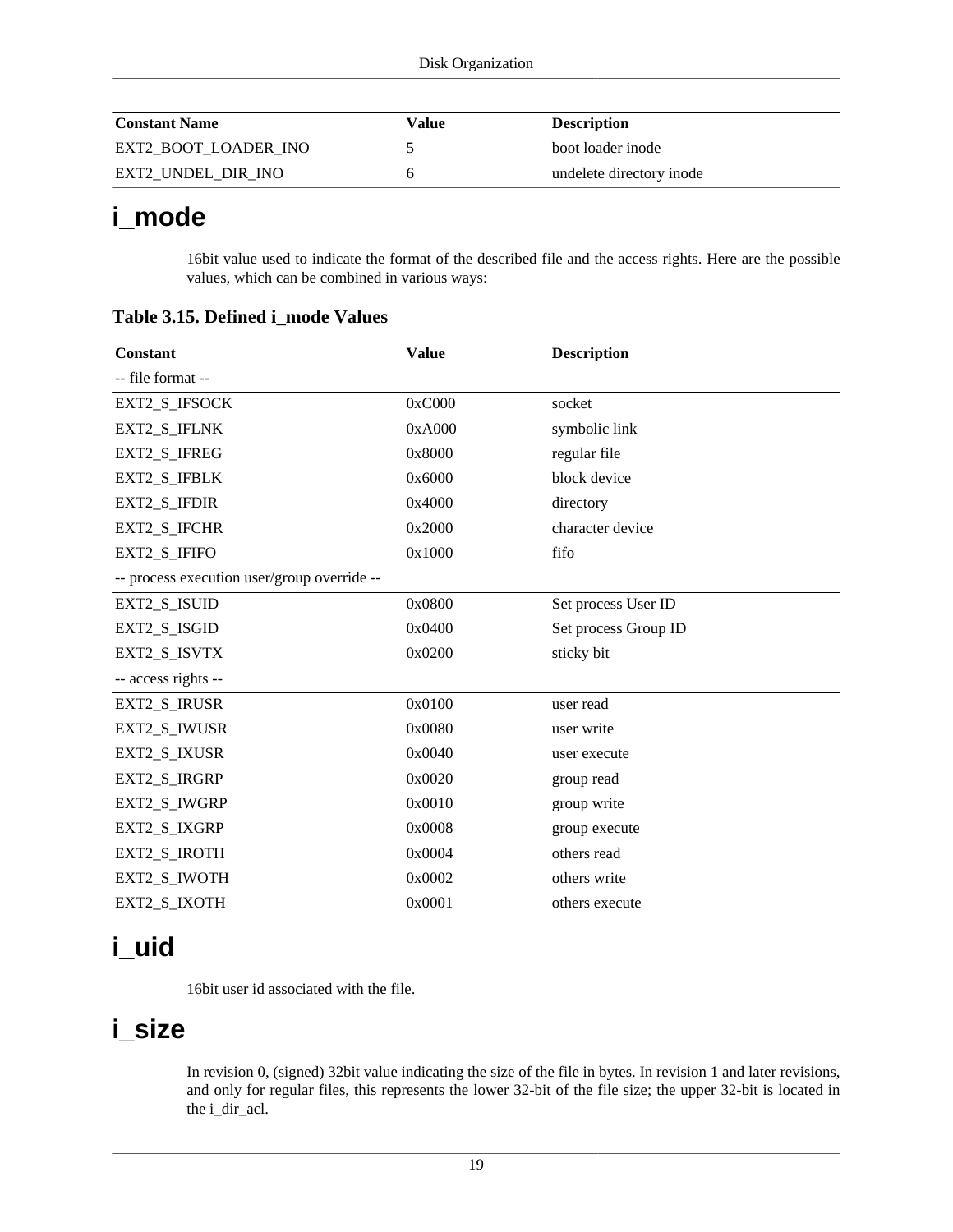| <b>Constant Name</b> | Value | <b>Description</b>       |
|----------------------|-------|--------------------------|
| EXT2 BOOT LOADER INO |       | boot loader inode        |
| EXT2_UNDEL_DIR_INO   |       | undelete directory inode |

## <span id="page-26-0"></span>**i\_mode**

16bit value used to indicate the format of the described file and the access rights. Here are the possible values, which can be combined in various ways:

| <b>Constant</b>                             | <b>Value</b> | <b>Description</b>   |
|---------------------------------------------|--------------|----------------------|
| -- file format --                           |              |                      |
| EXT2_S_IFSOCK                               | 0xC000       | socket               |
| EXT2_S_IFLNK                                | 0xA000       | symbolic link        |
| EXT2_S_IFREG                                | 0x8000       | regular file         |
| EXT2 S IFBLK                                | 0x6000       | block device         |
| EXT2 S IFDIR                                | 0x4000       | directory            |
| EXT2_S_IFCHR                                | 0x2000       | character device     |
| EXT2_S_IFIFO                                | 0x1000       | fifo                 |
| -- process execution user/group override -- |              |                      |
| EXT2_S_ISUID                                | 0x0800       | Set process User ID  |
| EXT2 S ISGID                                | 0x0400       | Set process Group ID |
| EXT2_S_ISVTX                                | 0x0200       | sticky bit           |
| -- access rights --                         |              |                      |
| EXT2_S_IRUSR                                | 0x0100       | user read            |
| EXT2_S_IWUSR                                | 0x0080       | user write           |
| EXT2_S_IXUSR                                | 0x0040       | user execute         |
| EXT2_S_IRGRP                                | 0x0020       | group read           |
| EXT2_S_IWGRP                                | 0x0010       | group write          |
| <b>EXT2 S IXGRP</b>                         | 0x0008       | group execute        |
| EXT2_S_IROTH                                | 0x0004       | others read          |
| EXT2_S_IWOTH                                | 0x0002       | others write         |
| EXT2_S_IXOTH                                | 0x0001       | others execute       |

<span id="page-26-3"></span>**Table 3.15. Defined i\_mode Values**

## <span id="page-26-1"></span>**i\_uid**

16bit user id associated with the file.

## <span id="page-26-2"></span>**i\_size**

In revision 0, (signed) 32bit value indicating the size of the file in bytes. In revision 1 and later revisions, and only for regular files, this represents the lower 32-bit of the file size; the upper 32-bit is located in the i\_dir\_acl.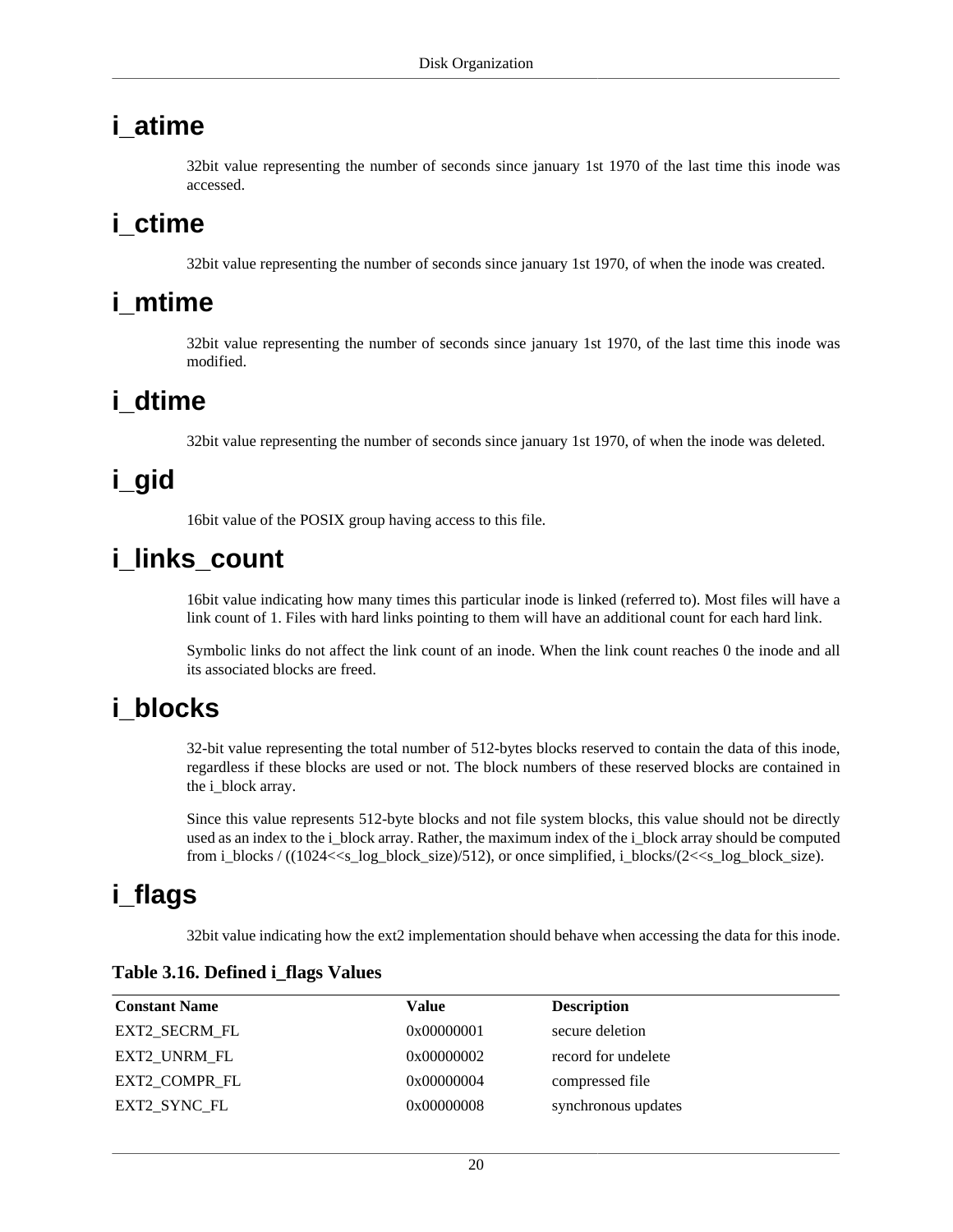## <span id="page-27-0"></span>**i\_atime**

32bit value representing the number of seconds since january 1st 1970 of the last time this inode was accessed.

### <span id="page-27-1"></span>**i\_ctime**

32bit value representing the number of seconds since january 1st 1970, of when the inode was created.

### <span id="page-27-2"></span>**i\_mtime**

32bit value representing the number of seconds since january 1st 1970, of the last time this inode was modified.

## <span id="page-27-3"></span>**i\_dtime**

32bit value representing the number of seconds since january 1st 1970, of when the inode was deleted.

## <span id="page-27-4"></span>**i\_gid**

16bit value of the POSIX group having access to this file.

## <span id="page-27-5"></span>**i\_links\_count**

16bit value indicating how many times this particular inode is linked (referred to). Most files will have a link count of 1. Files with hard links pointing to them will have an additional count for each hard link.

Symbolic links do not affect the link count of an inode. When the link count reaches 0 the inode and all its associated blocks are freed.

### <span id="page-27-6"></span>**i\_blocks**

32-bit value representing the total number of 512-bytes blocks reserved to contain the data of this inode, regardless if these blocks are used or not. The block numbers of these reserved blocks are contained in the [i\\_block](#page-28-1) array.

Since this value represents 512-byte blocks and not file system blocks, this value should not be directly used as an index to the i\_block array. Rather, the maximum index of the i\_block array should be computed from i\_blocks /  $((1024 < s \_log_b) \cdot \text{block}_s$  ize)/512), or once simplified, i\_blocks/ $(2 < s \_log_b) \cdot \text{block}_s$  ize).

## <span id="page-27-7"></span>**i\_flags**

32bit value indicating how the ext2 implementation should behave when accessing the data for this inode.

| <b>Constant Name</b> | Value      | <b>Description</b>  |
|----------------------|------------|---------------------|
| EXT2 SECRM FL        | 0x00000001 | secure deletion     |
| EXT2 UNRM FL         | 0x00000002 | record for undelete |
| EXT2 COMPR FL        | 0x00000004 | compressed file     |
| EXT2 SYNC FL         | 0x00000008 | synchronous updates |

#### <span id="page-27-8"></span>**Table 3.16. Defined i\_flags Values**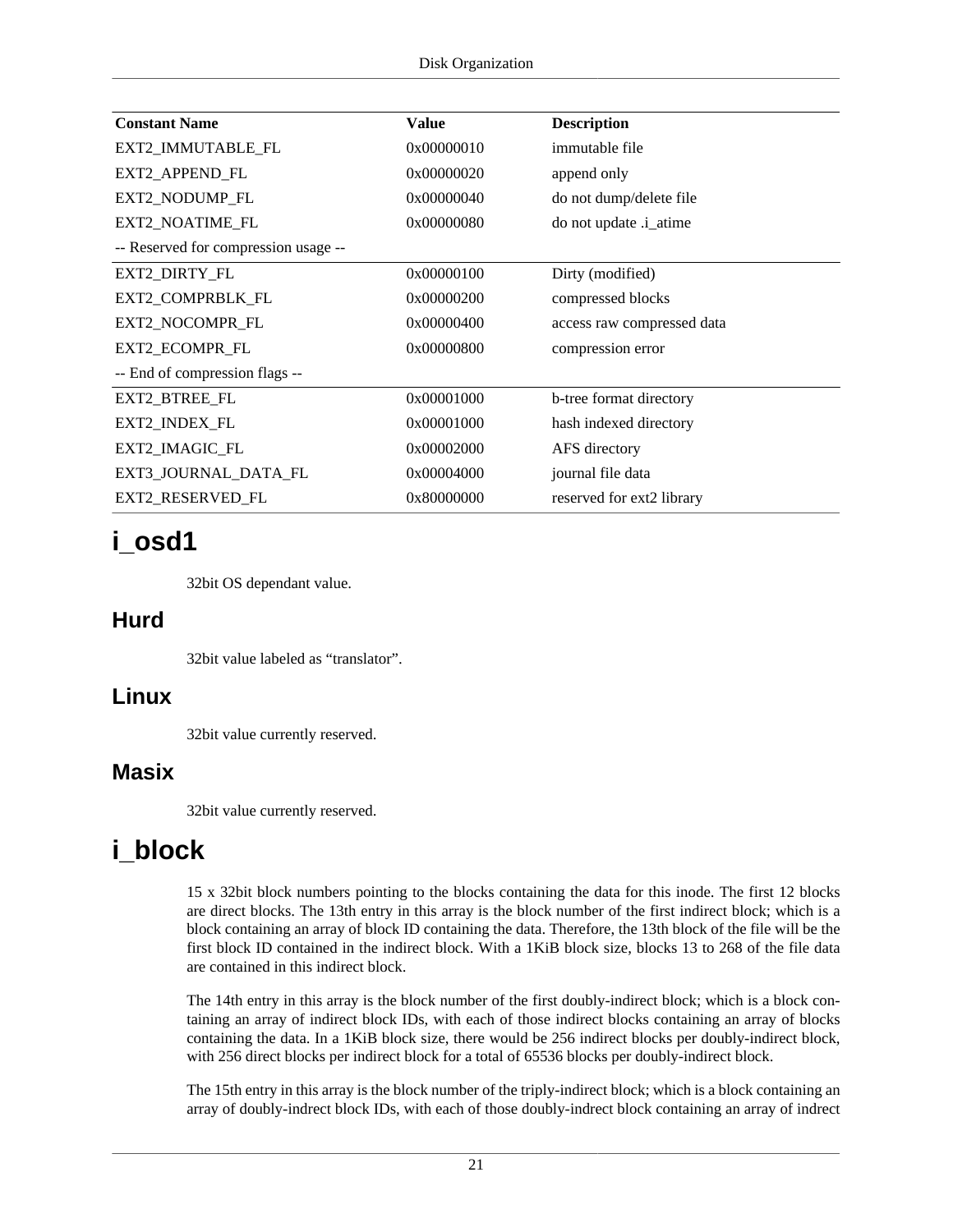| <b>Constant Name</b>                 | <b>Value</b> | <b>Description</b>         |
|--------------------------------------|--------------|----------------------------|
| EXT2_IMMUTABLE_FL                    | 0x00000010   | immutable file             |
| EXT2_APPEND_FL                       | 0x00000020   | append only                |
| EXT2_NODUMP_FL                       | 0x00000040   | do not dump/delete file    |
| EXT2_NOATIME_FL                      | 0x00000080   | do not update .i_atime     |
| -- Reserved for compression usage -- |              |                            |
| EXT2_DIRTY_FL                        | 0x00000100   | Dirty (modified)           |
| EXT2_COMPRBLK_FL                     | 0x00000200   | compressed blocks          |
| EXT2_NOCOMPR_FL                      | 0x00000400   | access raw compressed data |
| EXT2_ECOMPR_FL                       | 0x00000800   | compression error          |
| -- End of compression flags --       |              |                            |
| EXT2_BTREE_FL                        | 0x00001000   | b-tree format directory    |
| EXT2_INDEX_FL                        | 0x00001000   | hash indexed directory     |
| EXT2_IMAGIC_FL                       | 0x00002000   | AFS directory              |
| EXT3_JOURNAL_DATA_FL                 | 0x00004000   | journal file data          |
| EXT2_RESERVED_FL                     | 0x80000000   | reserved for ext2 library  |

## <span id="page-28-0"></span>**i\_osd1**

32bit OS dependant value.

#### **Hurd**

32bit value labeled as "translator".

#### **Linux**

32bit value currently reserved.

#### **Masix**

32bit value currently reserved.

## <span id="page-28-1"></span>**i\_block**

15 x 32bit block numbers pointing to the blocks containing the data for this inode. The first 12 blocks are direct blocks. The 13th entry in this array is the block number of the first indirect block; which is a block containing an array of block ID containing the data. Therefore, the 13th block of the file will be the first block ID contained in the indirect block. With a 1KiB block size, blocks 13 to 268 of the file data are contained in this indirect block.

The 14th entry in this array is the block number of the first doubly-indirect block; which is a block containing an array of indirect block IDs, with each of those indirect blocks containing an array of blocks containing the data. In a 1KiB block size, there would be 256 indirect blocks per doubly-indirect block, with 256 direct blocks per indirect block for a total of 65536 blocks per doubly-indirect block.

The 15th entry in this array is the block number of the triply-indirect block; which is a block containing an array of doubly-indrect block IDs, with each of those doubly-indrect block containing an array of indrect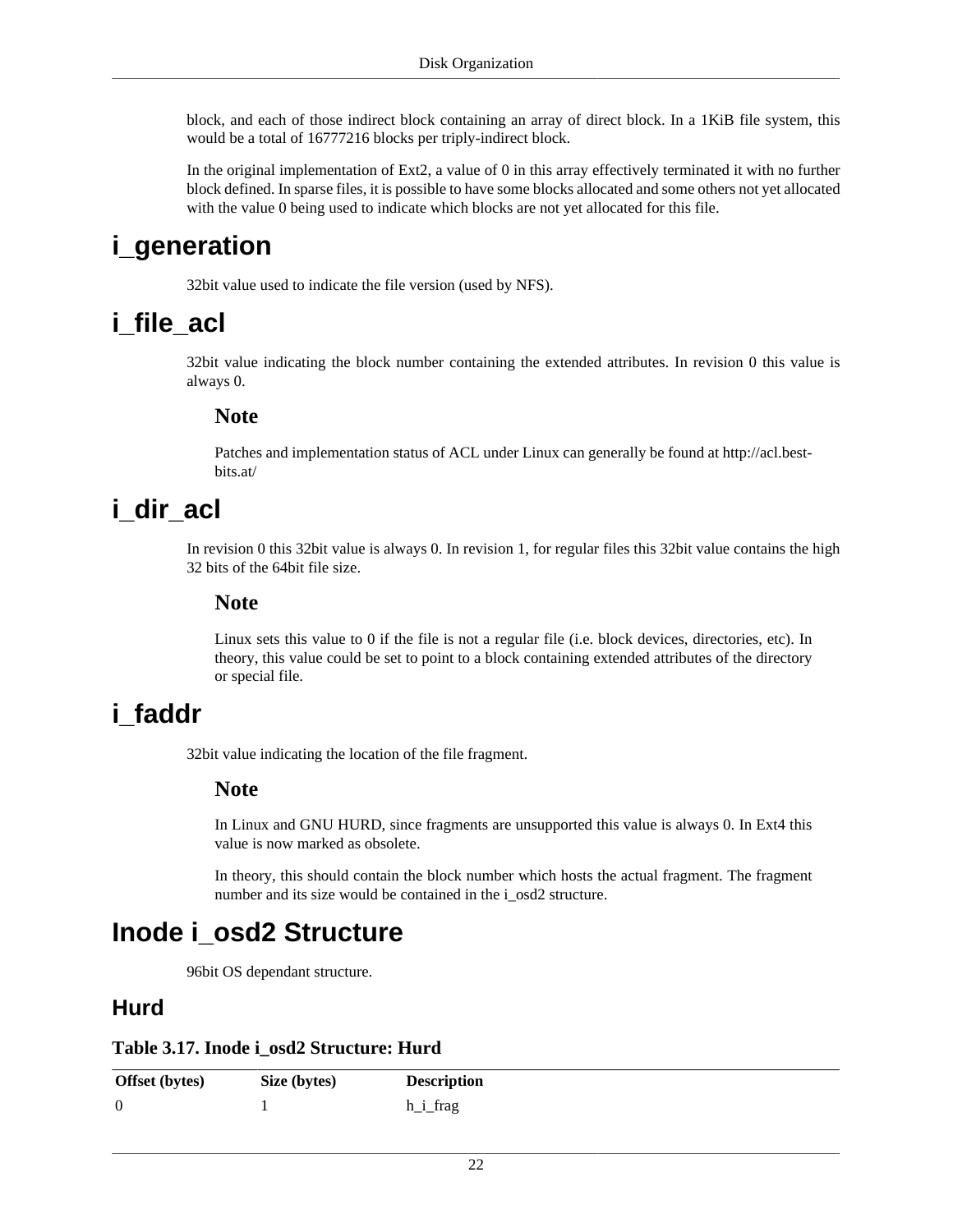block, and each of those indirect block containing an array of direct block. In a 1KiB file system, this would be a total of 16777216 blocks per triply-indirect block.

In the original implementation of Ext2, a value of 0 in this array effectively terminated it with no further block defined. In sparse files, it is possible to have some blocks allocated and some others not yet allocated with the value 0 being used to indicate which blocks are not yet allocated for this file.

### <span id="page-29-0"></span>**i\_generation**

32bit value used to indicate the file version (used by NFS).

### <span id="page-29-1"></span>**i\_file\_acl**

32bit value indicating the block number containing the extended attributes. In revision 0 this value is always 0.

#### **Note**

Patches and implementation status of ACL under Linux can generally be found at http://acl.bestbits.at/

## <span id="page-29-2"></span>**i\_dir\_acl**

In revision 0 this 32bit value is always 0. In revision 1, for regular files this 32bit value contains the high 32 bits of the 64bit file size.

#### **Note**

Linux sets this value to 0 if the file is not a regular file (i.e. block devices, directories, etc). In theory, this value could be set to point to a block containing extended attributes of the directory or special file.

## <span id="page-29-3"></span>**i\_faddr**

32bit value indicating the location of the file fragment.

#### **Note**

In Linux and GNU HURD, since fragments are unsupported this value is always 0. In Ext4 this value is now marked as obsolete.

In theory, this should contain the block number which hosts the actual fragment. The fragment number and its size would be contained in the [i\\_osd2](#page-29-4) structure.

### <span id="page-29-4"></span>**Inode i\_osd2 Structure**

96bit OS dependant structure.

#### **Hurd**

#### <span id="page-29-5"></span>**Table 3.17. Inode i\_osd2 Structure: Hurd**

| Offset (bytes) | Size (bytes) | <b>Description</b> |
|----------------|--------------|--------------------|
| 0              |              | h_i_frag           |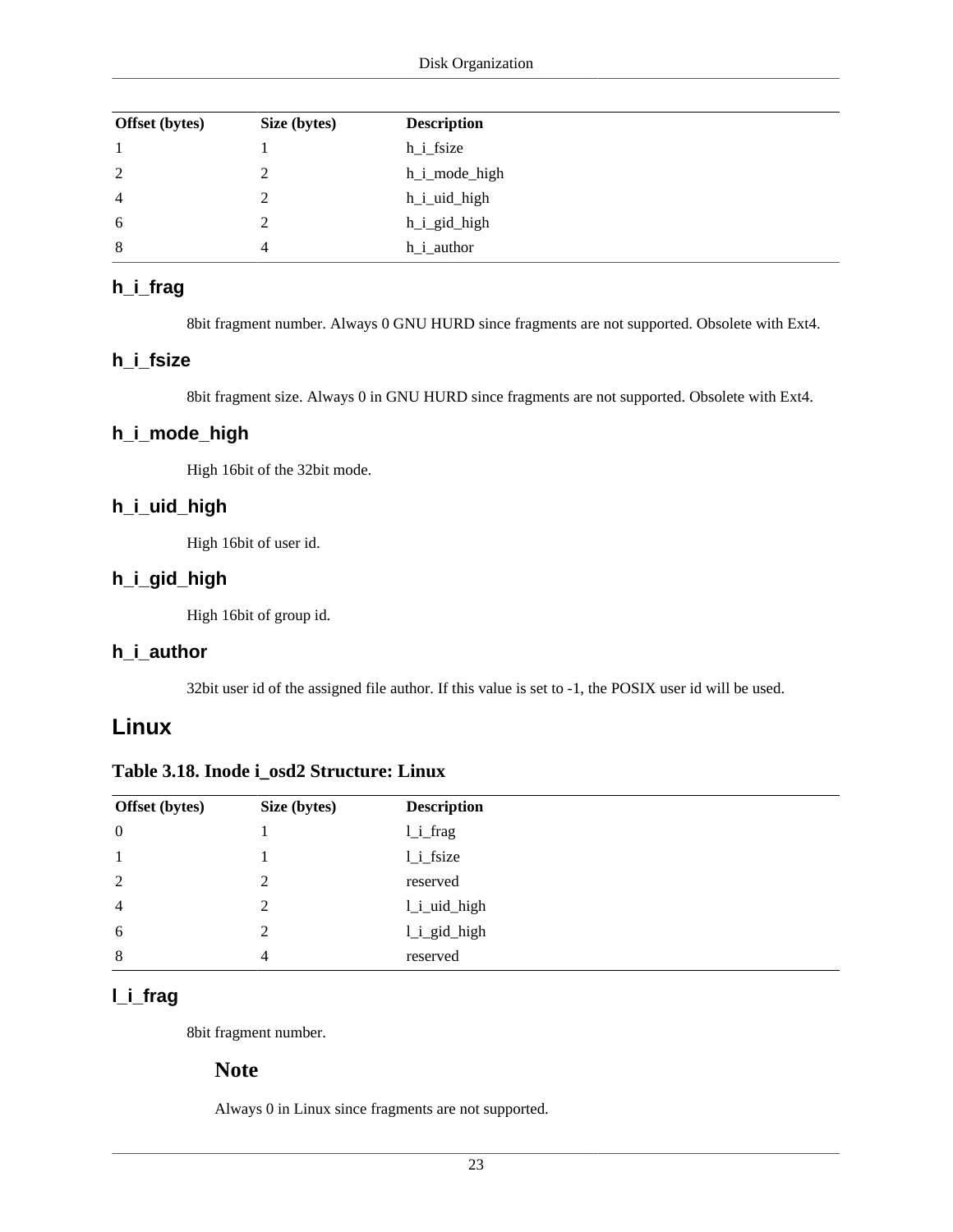| <b>Offset</b> (bytes) | Size (bytes) | <b>Description</b> |
|-----------------------|--------------|--------------------|
|                       |              | h_i_fsize          |
| 2                     | າ            | h_i_mode_high      |
| $\overline{4}$        |              | h_i_uid_high       |
| 6                     |              | h_i_gid_high       |
| 8                     |              | h_i_author         |

#### <span id="page-30-1"></span>**h\_i\_frag**

8bit fragment number. Always 0 GNU HURD since fragments are not supported. Obsolete with Ext4.

#### <span id="page-30-2"></span>**h\_i\_fsize**

8bit fragment size. Always 0 in GNU HURD since fragments are not supported. Obsolete with Ext4.

#### <span id="page-30-3"></span>**h\_i\_mode\_high**

High 16bit of the 32bit mode.

#### <span id="page-30-4"></span>**h\_i\_uid\_high**

High 16bit of [user id](#page-26-1).

#### <span id="page-30-5"></span>**h\_i\_gid\_high**

High 16bit of [group id](#page-27-4).

#### <span id="page-30-6"></span>**h\_i\_author**

32bit user id of the assigned file author. If this value is set to -1, the POSIX [user id](#page-26-1) will be used.

#### **Linux**

<span id="page-30-0"></span>

| Table 3.18. Inode i_osd2 Structure: Linux |  |  |  |
|-------------------------------------------|--|--|--|
|-------------------------------------------|--|--|--|

| <b>Offset</b> (bytes) | Size (bytes)  | <b>Description</b> |
|-----------------------|---------------|--------------------|
| $\boldsymbol{0}$      |               | 1_i_frag           |
|                       |               | $l_i$ fsize        |
| 2                     | $\mathcal{D}$ | reserved           |
| $\overline{4}$        | C             | 1_i_uid_high       |
| 6                     | ∍             | 1_i_gid_high       |
| 8                     | 4             | reserved           |

#### <span id="page-30-7"></span>**l\_i\_frag**

8bit fragment number.

#### **Note**

Always 0 in Linux since fragments are not supported.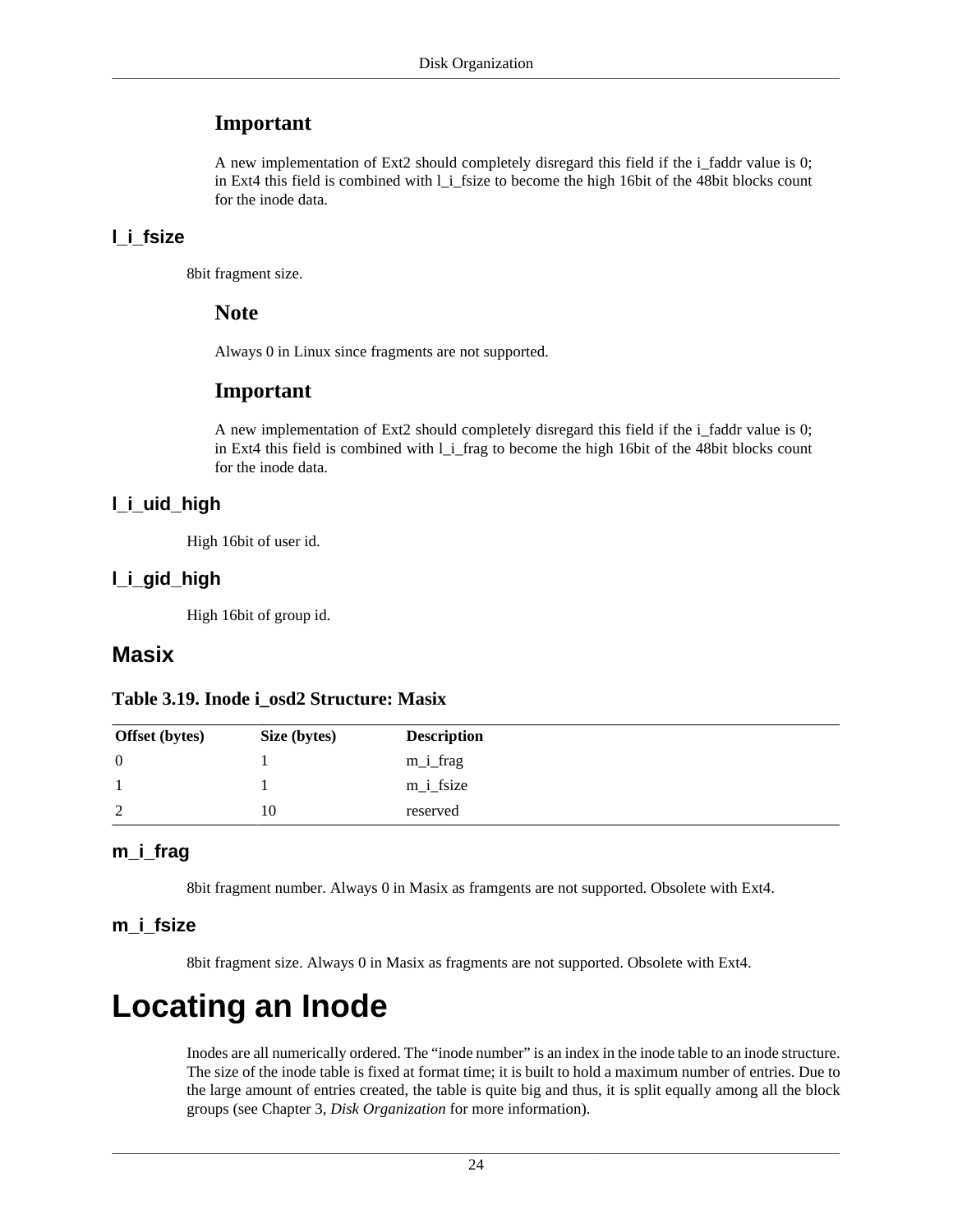#### **Important**

A new implementation of Ext2 should completely disregard this field if the [i\\_faddr](#page-29-3) value is 0; in Ext4 this field is combined with [l\\_i\\_fsize](#page-31-2) to become the high 16bit of the 48bit blocks count for the inode data.

#### <span id="page-31-2"></span>**l\_i\_fsize**

8bit fragment size.

#### **Note**

Always 0 in Linux since fragments are not supported.

#### **Important**

A new implementation of Ext2 should completely disregard this field if the i faddr value is 0; in Ext4 this field is combined with [l\\_i\\_frag](#page-30-7) to become the high 16bit of the 48bit blocks count for the inode data.

#### <span id="page-31-3"></span>**l\_i\_uid\_high**

High 16bit of [user id](#page-26-1).

#### <span id="page-31-4"></span>**l\_i\_gid\_high**

High 16bit of [group id](#page-27-4).

#### **Masix**

#### <span id="page-31-1"></span>**Table 3.19. Inode i\_osd2 Structure: Masix**

| <b>Offset</b> (bytes) | Size (bytes) | <b>Description</b> |
|-----------------------|--------------|--------------------|
| $\theta$              |              | $m_i$ frag         |
|                       |              | $m_i$ fsize        |
| 2                     | 10           | reserved           |

#### <span id="page-31-5"></span>**m\_i\_frag**

8bit fragment number. Always 0 in Masix as framgents are not supported. Obsolete with Ext4.

#### <span id="page-31-6"></span>**m\_i\_fsize**

8bit fragment size. Always 0 in Masix as fragments are not supported. Obsolete with Ext4.

## <span id="page-31-0"></span>**Locating an Inode**

Inodes are all numerically ordered. The "inode number" is an index in the [inode table](#page-25-0) to an [inode](#page-25-1) structure. The size of the inode table is fixed at format time; it is built to hold a maximum number of entries. Due to the large amount of entries created, the table is quite big and thus, it is split equally among all the [block](#page-23-3) [groups](#page-23-3) (see Chapter 3, *[Disk Organization](#page-13-0)* for more information).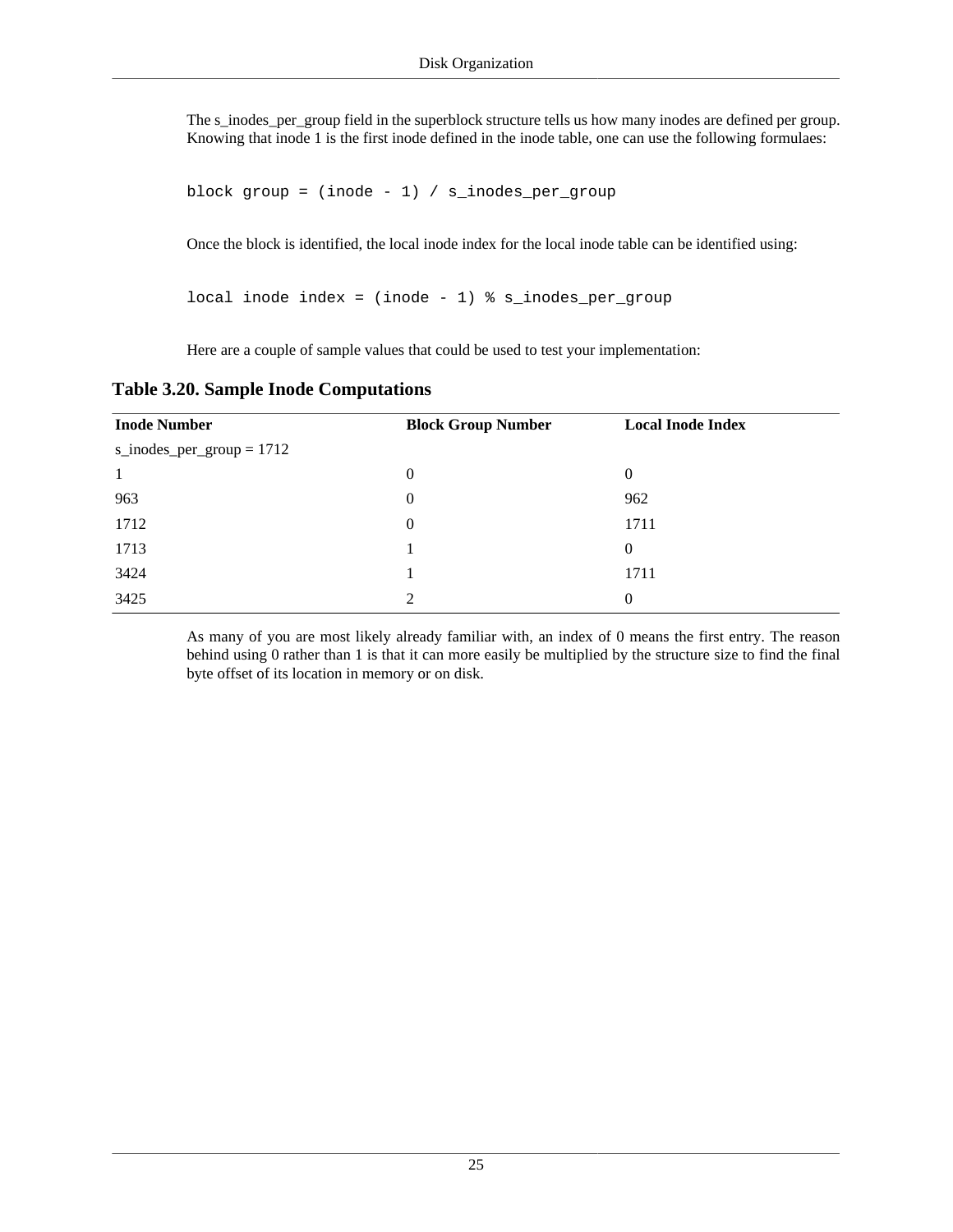The [s\\_inodes\\_per\\_group](#page-17-4) field in the [superblock](#page-14-0) structure tells us how many inodes are defined per group. Knowing that inode 1 is the first inode defined in the inode table, one can use the following formulaes:

```
block group = (inode - 1) / s_inodes_per-group
```
Once the block is identified, the local inode index for the local inode table can be identified using:

local inode index = (inode - 1) % s\_inodes\_per\_group

Here are a couple of sample values that could be used to test your implementation:

<span id="page-32-0"></span>

|  | <b>Table 3.20. Sample Inode Computations</b> |  |
|--|----------------------------------------------|--|
|  |                                              |  |

| <b>Inode Number</b>         | <b>Block Group Number</b> | <b>Local Inode Index</b> |
|-----------------------------|---------------------------|--------------------------|
| s_inodes_per_group = $1712$ |                           |                          |
| -1                          | $\boldsymbol{0}$          | $\theta$                 |
| 963                         | $\boldsymbol{0}$          | 962                      |
| 1712                        | $\boldsymbol{0}$          | 1711                     |
| 1713                        |                           | $\theta$                 |
| 3424                        |                           | 1711                     |
| 3425                        | 2                         | $\Omega$                 |

As many of you are most likely already familiar with, an index of 0 means the first entry. The reason behind using 0 rather than 1 is that it can more easily be multiplied by the structure size to find the final byte offset of its location in memory or on disk.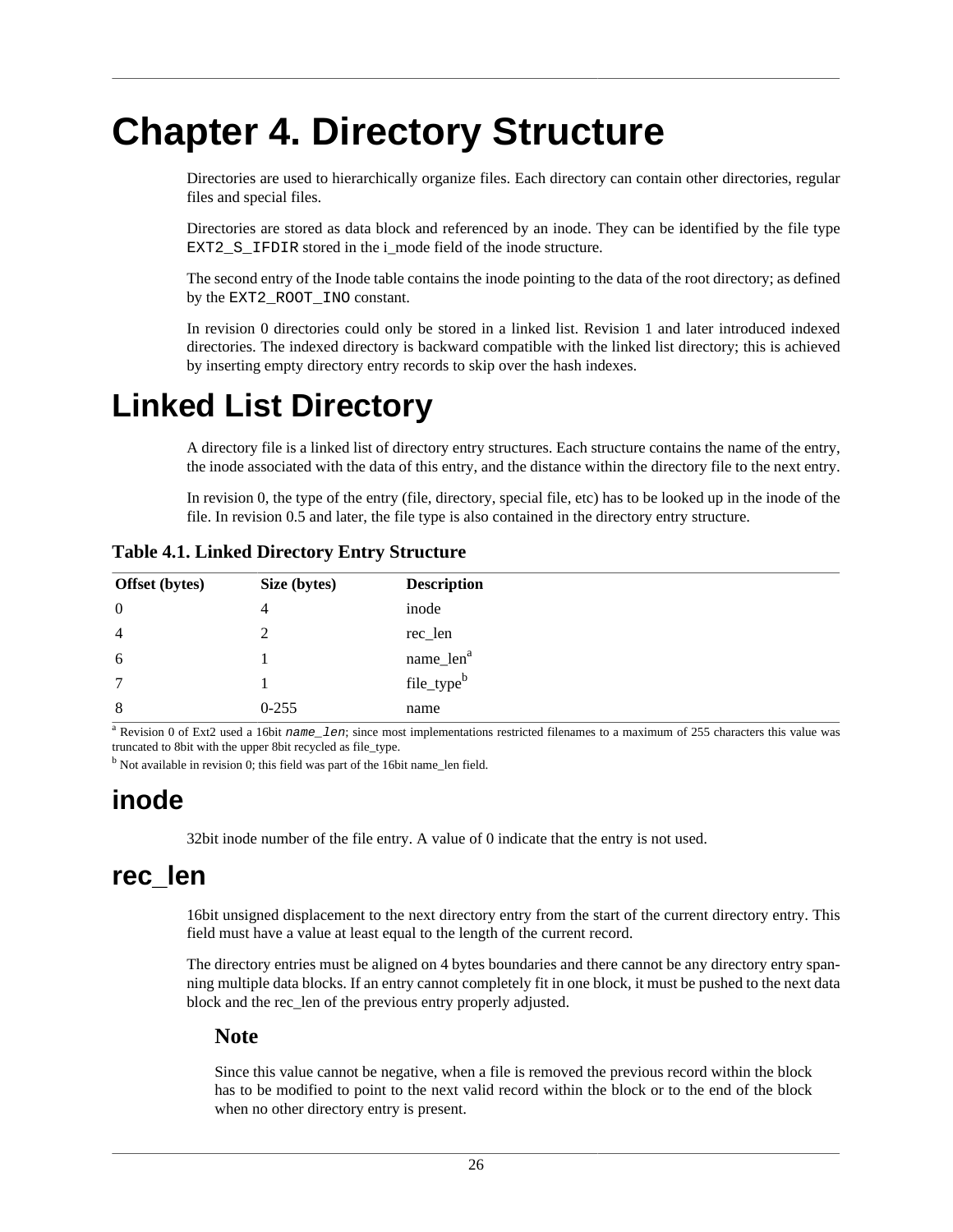# <span id="page-33-0"></span>**Chapter 4. Directory Structure**

Directories are used to hierarchically organize files. Each directory can contain other directories, regular files and special files.

Directories are stored as data block and referenced by an inode. They can be identified by the file type EXT2 S IFDIR stored in the i mode field of the [inode](#page-25-1) structure.

The second entry of the [Inode table](#page-25-0) contains the inode pointing to the data of the root directory; as defined by the EXT2\_ROOT\_INO constant.

In revision 0 directories could only be stored in a linked list. Revision 1 and later introduced indexed directories. The indexed directory is backward compatible with the linked list directory; this is achieved by inserting empty directory entry records to skip over the hash indexes.

## <span id="page-33-1"></span>**Linked List Directory**

A directory file is a linked list of [directory entry](#page-33-4) structures. Each structure contains the name of the entry, the inode associated with the data of this entry, and the distance within the directory file to the next entry.

In revision 0, the type of the entry (file, directory, special file, etc) has to be looked up in the inode of the file. In revision 0.5 and later, the file type is also contained in the [directory entry](#page-33-4) structure.

| Offset (bytes) | Size (bytes) | <b>Description</b>     |
|----------------|--------------|------------------------|
| $\theta$       | 4            | inode                  |
| $\overline{4}$ |              | rec_len                |
| 6              |              | name_len <sup>a</sup>  |
| 7              |              | file_type <sup>b</sup> |
| 8              | $0 - 255$    | name                   |

<span id="page-33-4"></span>**Table 4.1. Linked Directory Entry Structure**

<sup>a</sup> Revision 0 of Ext2 used a 16bit name\_len; since most implementations restricted filenames to a maximum of 255 characters this value was truncated to 8bit with the upper 8bit recycled as [file\\_type](#page-34-1).

<sup>b</sup> Not available in revision 0; this field was part of the 16bit [name\\_len](#page-34-0) field.

### <span id="page-33-2"></span>**inode**

32bit inode number of the file entry. A value of 0 indicate that the entry is not used.

### <span id="page-33-3"></span>**rec\_len**

16bit unsigned displacement to the next directory entry from the start of the current directory entry. This field must have a value at least equal to the length of the current record.

The directory entries must be aligned on 4 bytes boundaries and there cannot be any directory entry spanning multiple data blocks. If an entry cannot completely fit in one block, it must be pushed to the next data block and the rec\_len of the previous entry properly adjusted.

#### **Note**

Since this value cannot be negative, when a file is removed the previous record within the block has to be modified to point to the next valid record within the block or to the end of the block when no other directory entry is present.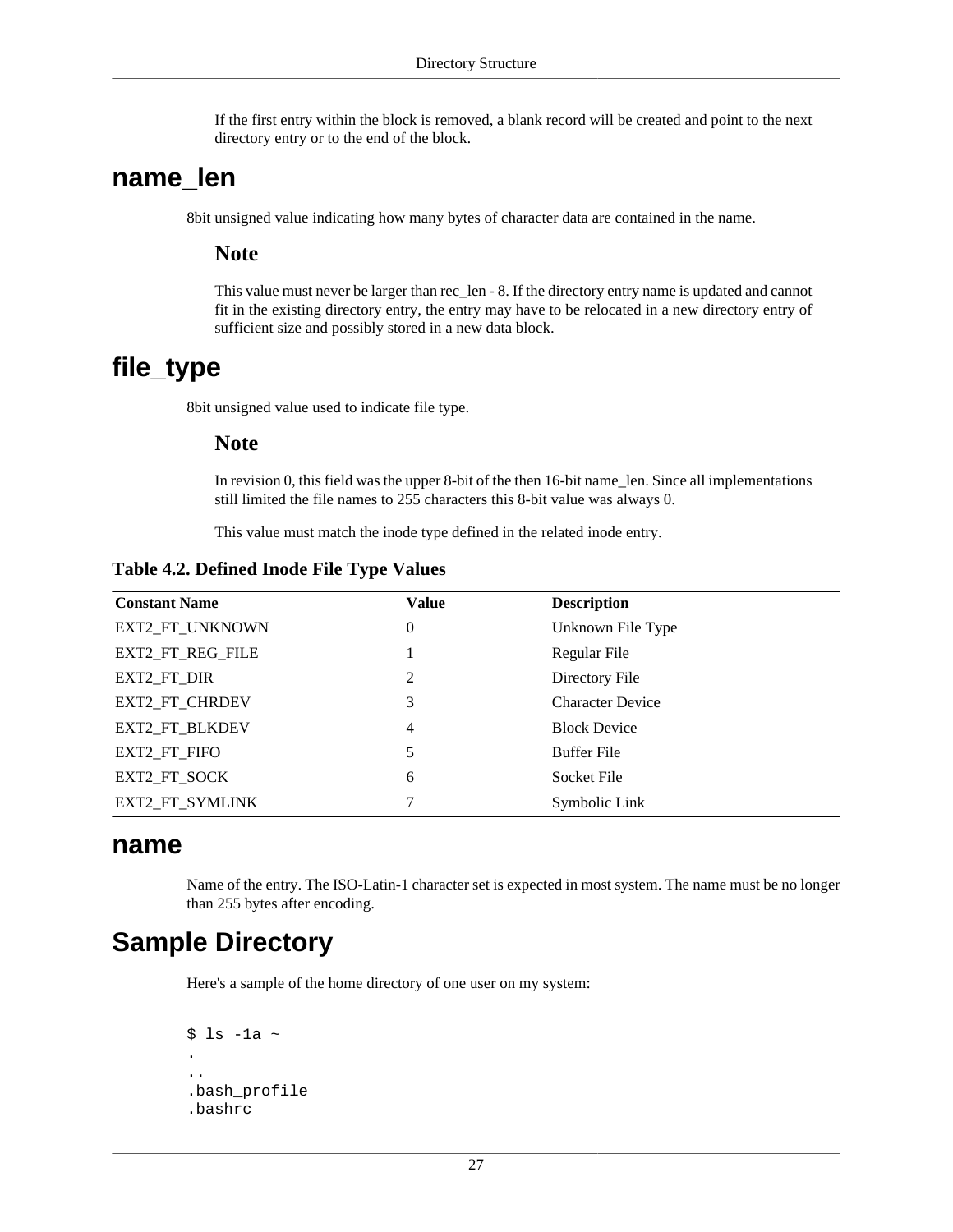If the first entry within the block is removed, a blank record will be created and point to the next directory entry or to the end of the block.

#### <span id="page-34-0"></span>**name\_len**

8bit unsigned value indicating how many bytes of character data are contained in the name.

#### **Note**

This value must never be larger than rec\_len - 8. If the directory entry name is updated and cannot fit in the existing directory entry, the entry may have to be relocated in a new directory entry of sufficient size and possibly stored in a new data block.

### <span id="page-34-1"></span>**file\_type**

8bit unsigned value used to indicate file type.

#### **Note**

In revision 0, this field was the upper 8-bit of the then 16-bit name\_len. Since all implementations still limited the file names to 255 characters this 8-bit value was always 0.

This value must match the inode type defined in the related inode entry.

<span id="page-34-4"></span>**Table 4.2. Defined Inode File Type Values**

| <b>Constant Name</b> | <b>Value</b>   | <b>Description</b>      |
|----------------------|----------------|-------------------------|
| EXT2_FT_UNKNOWN      | $\theta$       | Unknown File Type       |
| EXT2_FT_REG_FILE     |                | Regular File            |
| EXT2_FT_DIR          | $\overline{2}$ | Directory File          |
| EXT2_FT_CHRDEV       | 3              | <b>Character Device</b> |
| EXT2_FT_BLKDEV       | 4              | <b>Block Device</b>     |
| EXT2 FT FIFO         | 5              | Buffer File             |
| EXT2_FT_SOCK         | 6              | Socket File             |
| EXT2_FT_SYMLINK      | 7              | Symbolic Link           |

#### <span id="page-34-2"></span>**name**

Name of the entry. The ISO-Latin-1 character set is expected in most system. The name must be no longer than 255 bytes after encoding.

## <span id="page-34-3"></span>**Sample Directory**

Here's a sample of the home directory of one user on my system:

```
$ 1s -1a ~.
..
.bash profile
.bashrc
```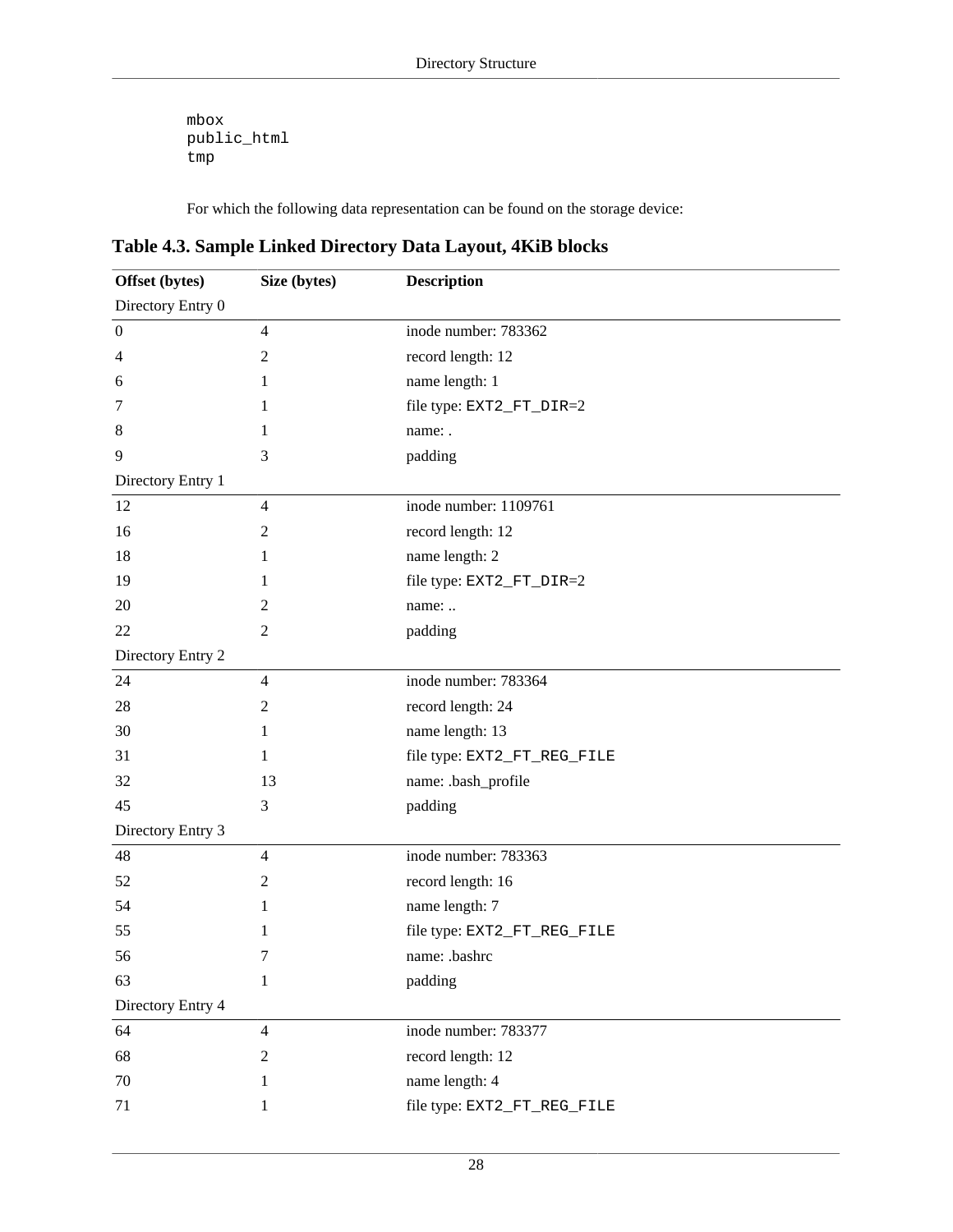mbox public\_html tmp

For which the following data representation can be found on the storage device:

<span id="page-35-0"></span>**Table 4.3. Sample Linked Directory Data Layout, 4KiB blocks**

| Offset (bytes)    | Size (bytes)   | <b>Description</b>          |
|-------------------|----------------|-----------------------------|
| Directory Entry 0 |                |                             |
| $\boldsymbol{0}$  | $\overline{4}$ | inode number: 783362        |
| 4                 | $\mathfrak{2}$ | record length: 12           |
| 6                 | 1              | name length: 1              |
| 7                 | 1              | file type: EXT2_FT_DIR=2    |
| 8                 | 1              | name: .                     |
| 9                 | 3              | padding                     |
| Directory Entry 1 |                |                             |
| 12                | 4              | inode number: 1109761       |
| 16                | $\overline{2}$ | record length: 12           |
| 18                | 1              | name length: 2              |
| 19                | 1              | file type: EXT2_FT_DIR=2    |
| 20                | 2              | name:                       |
| 22                | 2              | padding                     |
| Directory Entry 2 |                |                             |
| 24                | $\overline{4}$ | inode number: 783364        |
| 28                | $\mathfrak{2}$ | record length: 24           |
| 30                | 1              | name length: 13             |
| 31                | 1              | file type: EXT2_FT_REG_FILE |
| 32                | 13             | name: .bash_profile         |
| 45                | 3              | padding                     |
| Directory Entry 3 |                |                             |
| 48                | $\overline{4}$ | inode number: 783363        |
| 52                | $\mathfrak{2}$ | record length: 16           |
| 54                | 1              | name length: 7              |
| 55                | 1              | file type: EXT2_FT_REG_FILE |
| 56                | 7              | name: .bashrc               |
| 63                | 1              | padding                     |
| Directory Entry 4 |                |                             |
| 64                | $\overline{4}$ | inode number: 783377        |
| 68                | $\mathfrak{2}$ | record length: 12           |
| 70                | 1              | name length: 4              |
| 71                | 1              | file type: EXT2_FT_REG_FILE |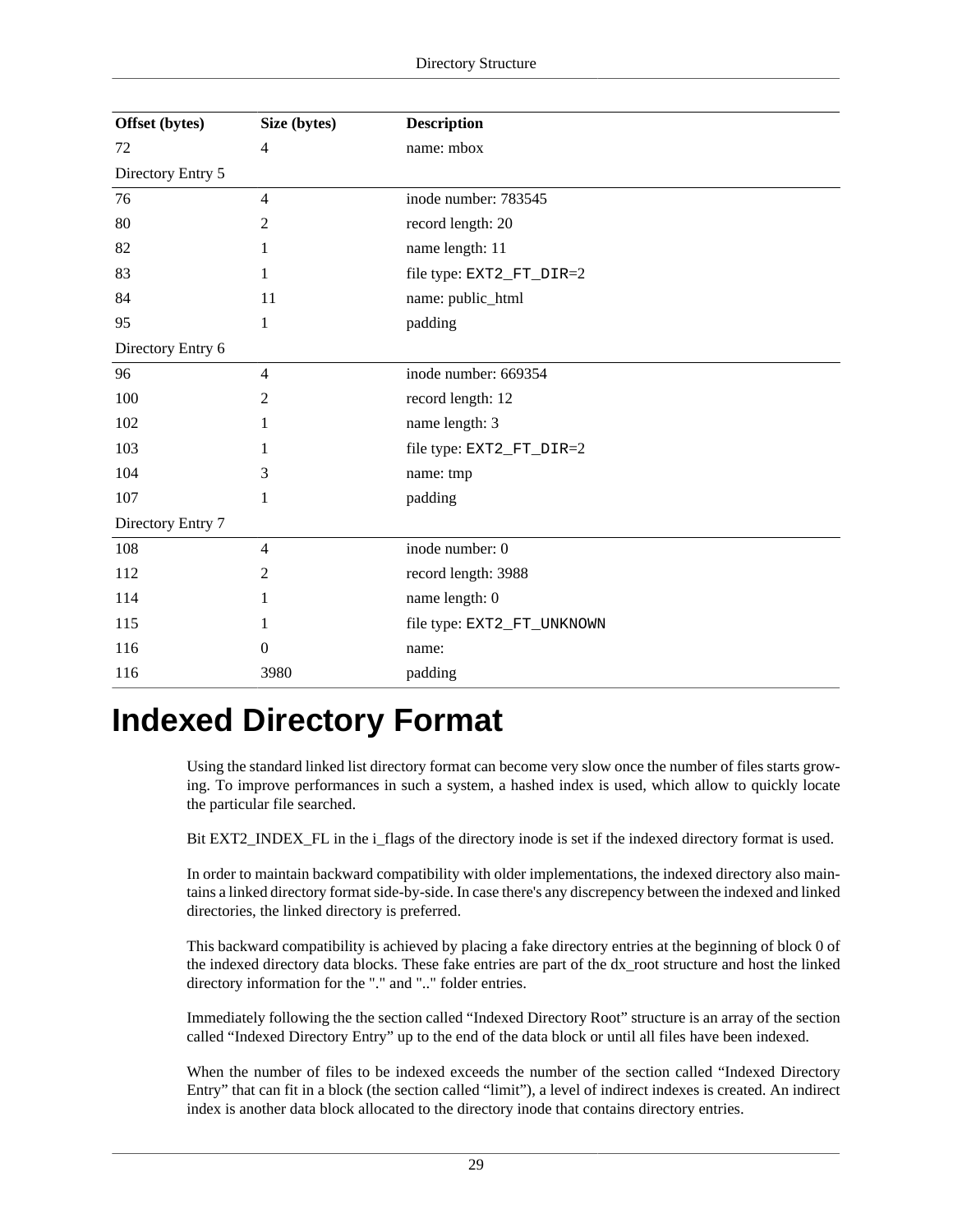| Offset (bytes)    | Size (bytes)   | <b>Description</b>         |
|-------------------|----------------|----------------------------|
| 72                | $\overline{4}$ | name: mbox                 |
| Directory Entry 5 |                |                            |
| 76                | $\overline{4}$ | inode number: 783545       |
| 80                | 2              | record length: 20          |
| 82                | 1              | name length: 11            |
| 83                |                | file type: EXT2_FT_DIR=2   |
| 84                | 11             | name: public_html          |
| 95                | 1              | padding                    |
| Directory Entry 6 |                |                            |
| 96                | $\overline{4}$ | inode number: 669354       |
| 100               | 2              | record length: 12          |
| 102               | 1              | name length: 3             |
| 103               |                | file type: EXT2_FT_DIR=2   |
| 104               | 3              | name: tmp                  |
| 107               | 1              | padding                    |
| Directory Entry 7 |                |                            |
| 108               | $\overline{4}$ | inode number: 0            |
| 112               | 2              | record length: 3988        |
| 114               |                | name length: 0             |
| 115               |                | file type: EXT2_FT_UNKNOWN |
| 116               | $\theta$       | name:                      |
| 116               | 3980           | padding                    |

## <span id="page-36-0"></span>**Indexed Directory Format**

Using the standard linked list directory format can become very slow once the number of files starts growing. To improve performances in such a system, a hashed index is used, which allow to quickly locate the particular file searched.

Bit [EXT2\\_INDEX\\_FL](#page-47-1) in the [i\\_flags](#page-27-7) of the directory inode is set if the indexed directory format is used.

In order to maintain backward compatibility with older implementations, the indexed directory also maintains a linked directory format side-by-side. In case there's any discrepency between the indexed and linked directories, the linked directory is preferred.

This backward compatibility is achieved by placing a fake directory entries at the beginning of block 0 of the indexed directory data blocks. These fake entries are part of the [dx\\_root](#page-37-1) structure and host the linked directory information for the "." and ".." folder entries.

Immediately following the [the section called "Indexed Directory Root"](#page-37-0) structure is an array of [the section](#page-38-0) [called "Indexed Directory Entry"](#page-38-0) up to the end of the data block or until all files have been indexed.

When the number of files to be indexed exceeds the number of [the section called "Indexed Directory](#page-38-0) [Entry"](#page-38-0) that can fit in a block [\(the section called "limit"](#page-38-4)), a level of indirect indexes is created. An indirect index is another data block allocated to the directory inode that contains directory entries.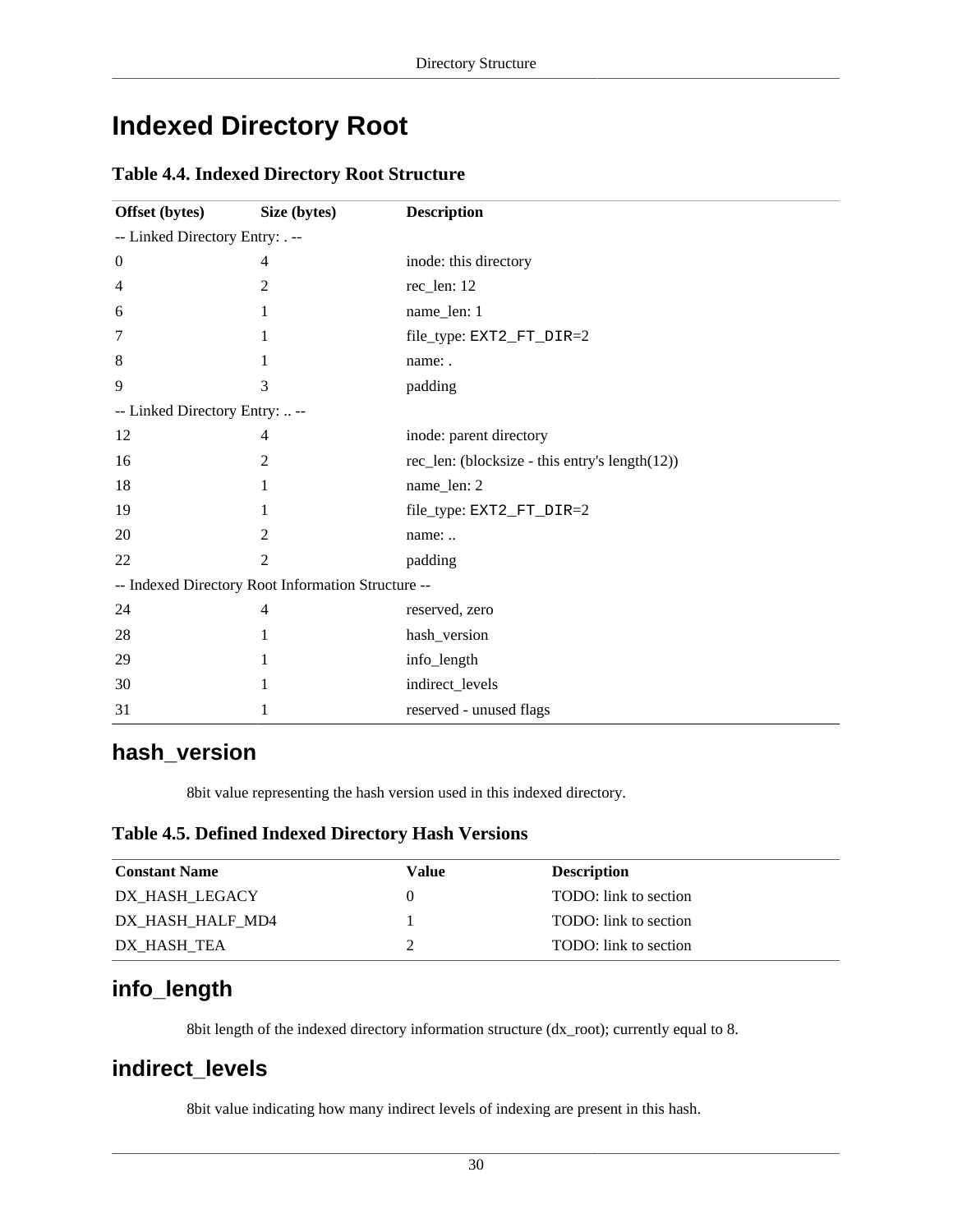## <span id="page-37-0"></span>**Indexed Directory Root**

#### <span id="page-37-1"></span>**Table 4.4. Indexed Directory Root Structure**

| Offset (bytes)                  | Size (bytes)                                       | <b>Description</b>                             |
|---------------------------------|----------------------------------------------------|------------------------------------------------|
| -- Linked Directory Entry: . -- |                                                    |                                                |
| $\boldsymbol{0}$                | 4                                                  | inode: this directory                          |
| $\overline{4}$                  | 2                                                  | rec_len: 12                                    |
| 6                               | 1                                                  | name_len: 1                                    |
| 7                               | 1                                                  | file_type: EXT2_FT_DIR=2                       |
| 8                               |                                                    | name: .                                        |
| 9                               | 3                                                  | padding                                        |
| -- Linked Directory Entry:  --  |                                                    |                                                |
| 12                              | 4                                                  | inode: parent directory                        |
| 16                              | 2                                                  | rec_len: (blocksize - this entry's length(12)) |
| 18                              |                                                    | name_len: 2                                    |
| 19                              |                                                    | file_type: EXT2_FT_DIR=2                       |
| 20                              | 2                                                  | name:                                          |
| 22                              | 2                                                  | padding                                        |
|                                 | -- Indexed Directory Root Information Structure -- |                                                |
| 24                              | 4                                                  | reserved, zero                                 |
| 28                              | 1                                                  | hash_version                                   |
| 29                              | 1                                                  | info_length                                    |
| 30                              |                                                    | indirect_levels                                |
| 31                              |                                                    | reserved - unused flags                        |

#### <span id="page-37-3"></span>**hash\_version**

8bit value representing the hash version used in this indexed directory.

#### <span id="page-37-2"></span>**Table 4.5. Defined Indexed Directory Hash Versions**

| <b>Constant Name</b> | Value | <b>Description</b>    |
|----------------------|-------|-----------------------|
| DX HASH LEGACY       |       | TODO: link to section |
| DX HASH HALF MD4     |       | TODO: link to section |
| DX HASH TEA          |       | TODO: link to section |

### <span id="page-37-4"></span>**info\_length**

8bit length of the indexed directory information structure (dx\_root); currently equal to 8.

#### <span id="page-37-5"></span>**indirect\_levels**

8bit value indicating how many indirect levels of indexing are present in this hash.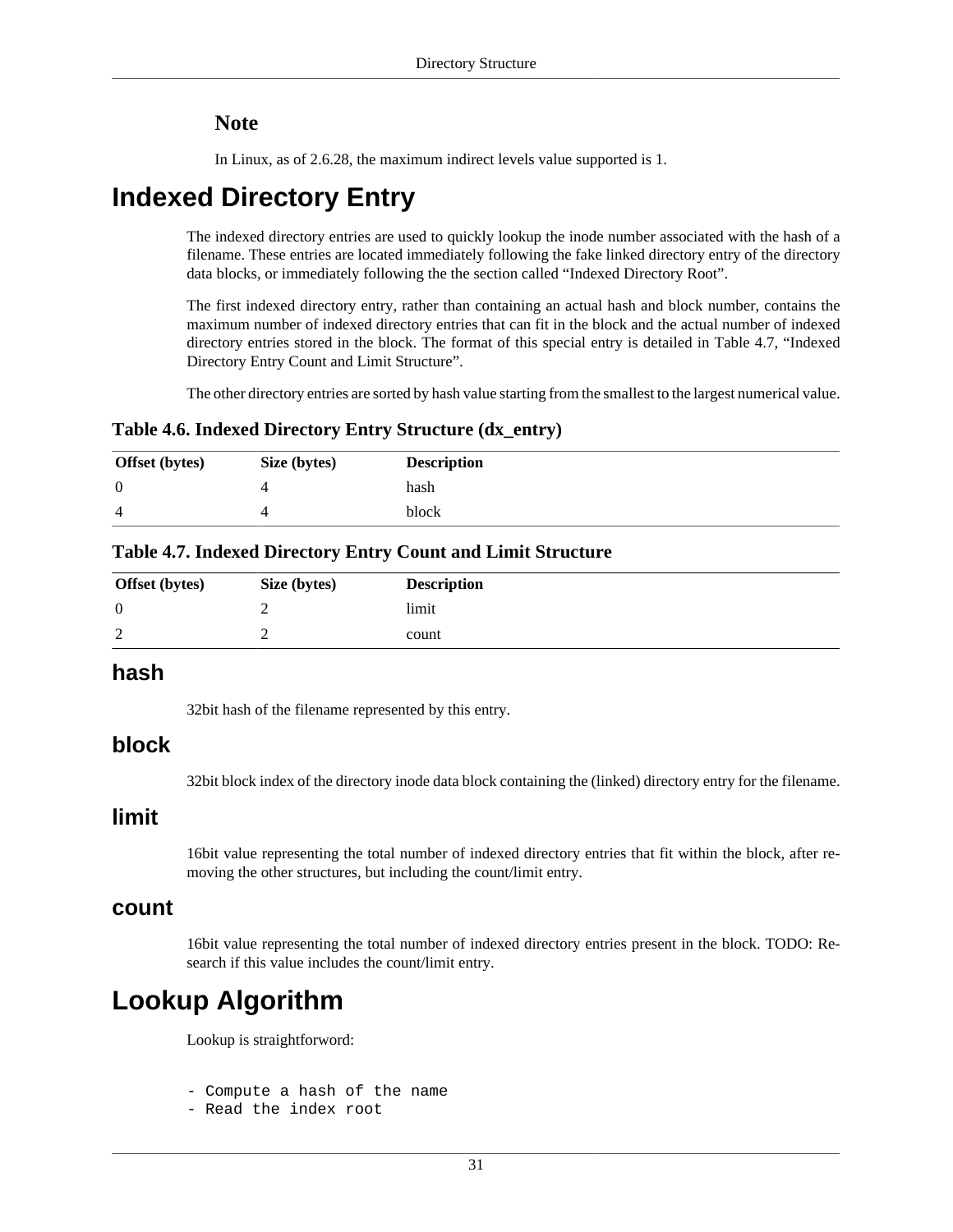#### **Note**

In Linux, as of 2.6.28, the maximum indirect levels value supported is 1.

### <span id="page-38-0"></span>**Indexed Directory Entry**

The indexed directory entries are used to quickly lookup the inode number associated with the hash of a filename. These entries are located immediately following the fake linked directory entry of the directory data blocks, or immediately following the [the section called "Indexed Directory Root".](#page-37-0)

The first indexed directory entry, rather than containing an actual hash and block number, contains the maximum number of indexed directory entries that can fit in the block and the actual number of indexed directory entries stored in the block. The format of this special entry is detailed in [Table 4.7, "Indexed](#page-38-3) [Directory Entry Count and Limit Structure"](#page-38-3).

The other directory entries are sorted by hash value starting from the smallest to the largest numerical value.

#### <span id="page-38-2"></span>**Table 4.6. Indexed Directory Entry Structure (dx\_entry)**

| <b>Offset</b> (bytes) | Size (bytes) | <b>Description</b> |
|-----------------------|--------------|--------------------|
| $\theta$              |              | hash               |
| 4                     |              | block              |

#### <span id="page-38-3"></span>**Table 4.7. Indexed Directory Entry Count and Limit Structure**

| <b>Offset</b> (bytes) | Size (bytes) | <b>Description</b> |
|-----------------------|--------------|--------------------|
|                       |              | limit              |
| $\sqrt{2}$            |              | count              |

#### <span id="page-38-5"></span>**hash**

32bit hash of the filename represented by this entry.

#### <span id="page-38-6"></span>**block**

32bit block index of the directory inode data block containing the (linked) directory entry for the filename.

#### <span id="page-38-4"></span>**limit**

16bit value representing the total number of indexed directory entries that fit within the block, after removing the other structures, but including the count/limit entry.

#### <span id="page-38-7"></span>**count**

16bit value representing the total number of indexed directory entries present in the block. TODO: Research if this value includes the count/limit entry.

### <span id="page-38-1"></span>**Lookup Algorithm**

Lookup is straightforword:

- Compute a hash of the name

- Read the index root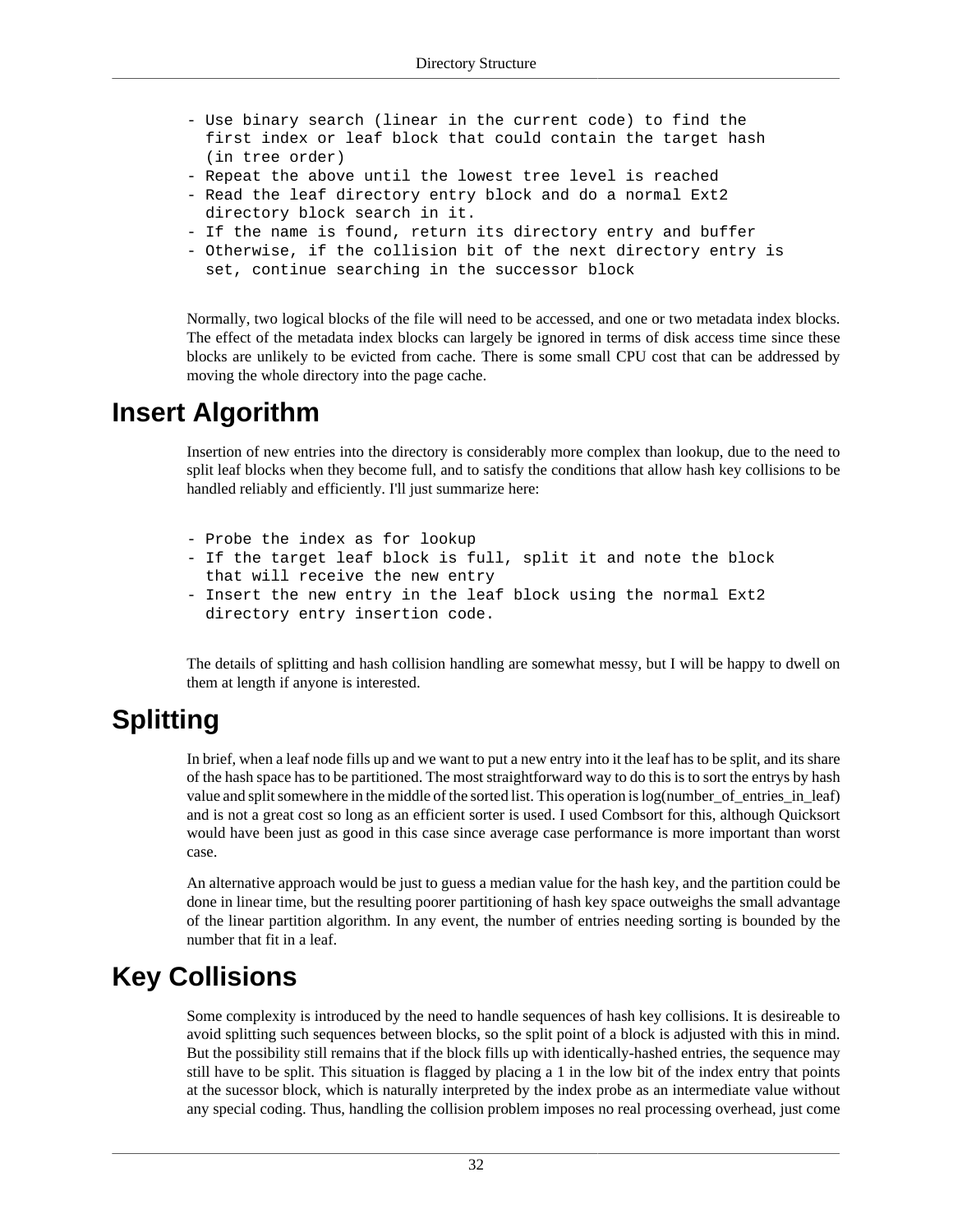- Use binary search (linear in the current code) to find the first index or leaf block that could contain the target hash (in tree order)
- Repeat the above until the lowest tree level is reached
- Read the leaf directory entry block and do a normal Ext2 directory block search in it.
- If the name is found, return its directory entry and buffer
- Otherwise, if the collision bit of the next directory entry is
	- set, continue searching in the successor block

Normally, two logical blocks of the file will need to be accessed, and one or two metadata index blocks. The effect of the metadata index blocks can largely be ignored in terms of disk access time since these blocks are unlikely to be evicted from cache. There is some small CPU cost that can be addressed by moving the whole directory into the page cache.

### <span id="page-39-0"></span>**Insert Algorithm**

Insertion of new entries into the directory is considerably more complex than lookup, due to the need to split leaf blocks when they become full, and to satisfy the conditions that allow hash key collisions to be handled reliably and efficiently. I'll just summarize here:

- Probe the index as for lookup
- If the target leaf block is full, split it and note the block that will receive the new entry
- Insert the new entry in the leaf block using the normal Ext2 directory entry insertion code.

The details of splitting and hash collision handling are somewhat messy, but I will be happy to dwell on them at length if anyone is interested.

## <span id="page-39-1"></span>**Splitting**

In brief, when a leaf node fills up and we want to put a new entry into it the leaf has to be split, and its share of the hash space has to be partitioned. The most straightforward way to do this is to sort the entrys by hash value and split somewhere in the middle of the sorted list. This operation is log(number\_of\_entries\_in\_leaf) and is not a great cost so long as an efficient sorter is used. I used Combsort for this, although Quicksort would have been just as good in this case since average case performance is more important than worst case.

An alternative approach would be just to guess a median value for the hash key, and the partition could be done in linear time, but the resulting poorer partitioning of hash key space outweighs the small advantage of the linear partition algorithm. In any event, the number of entries needing sorting is bounded by the number that fit in a leaf.

## <span id="page-39-2"></span>**Key Collisions**

Some complexity is introduced by the need to handle sequences of hash key collisions. It is desireable to avoid splitting such sequences between blocks, so the split point of a block is adjusted with this in mind. But the possibility still remains that if the block fills up with identically-hashed entries, the sequence may still have to be split. This situation is flagged by placing a 1 in the low bit of the index entry that points at the sucessor block, which is naturally interpreted by the index probe as an intermediate value without any special coding. Thus, handling the collision problem imposes no real processing overhead, just come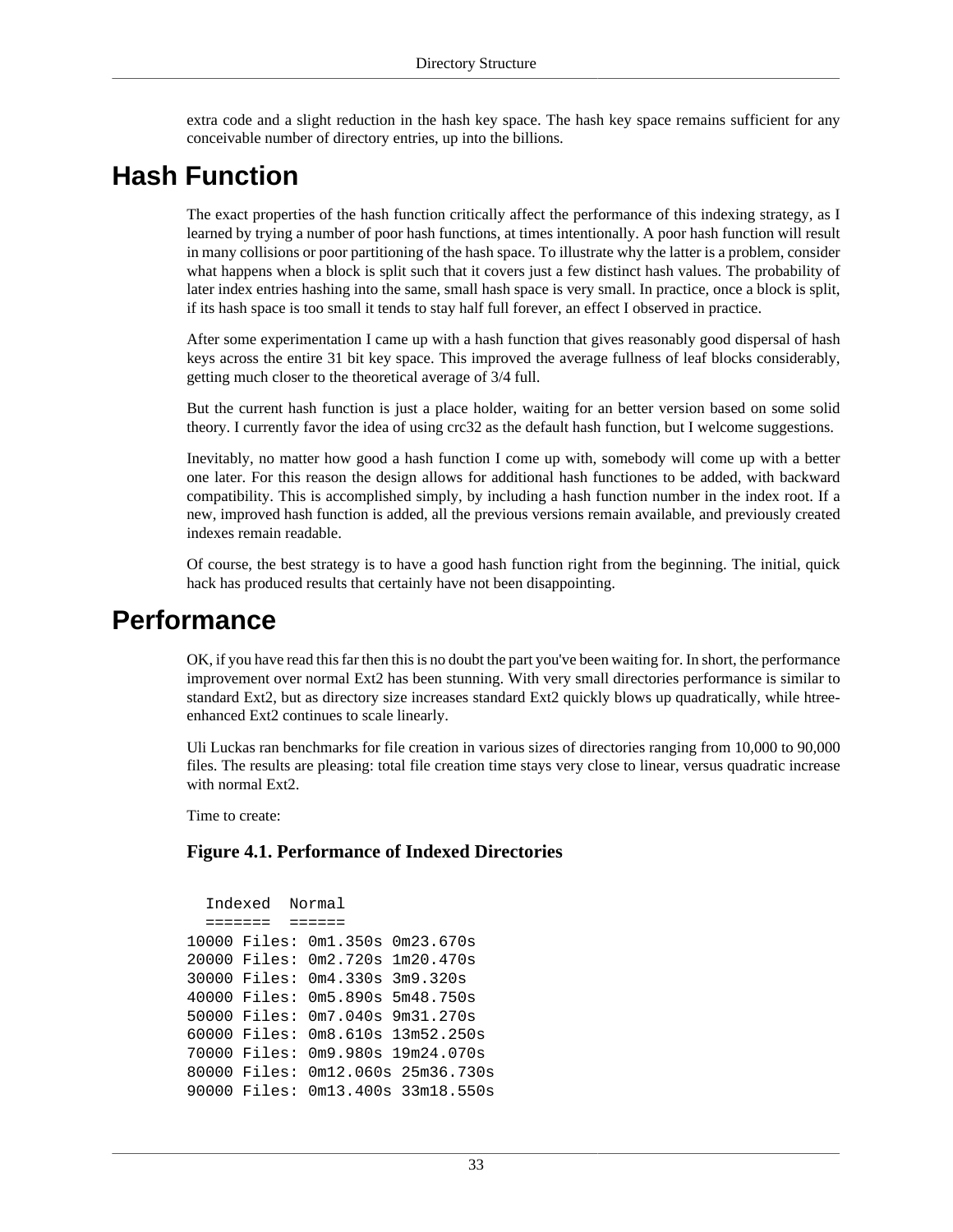extra code and a slight reduction in the hash key space. The hash key space remains sufficient for any conceivable number of directory entries, up into the billions.

## <span id="page-40-0"></span>**Hash Function**

The exact properties of the hash function critically affect the performance of this indexing strategy, as I learned by trying a number of poor hash functions, at times intentionally. A poor hash function will result in many collisions or poor partitioning of the hash space. To illustrate why the latter is a problem, consider what happens when a block is split such that it covers just a few distinct hash values. The probability of later index entries hashing into the same, small hash space is very small. In practice, once a block is split, if its hash space is too small it tends to stay half full forever, an effect I observed in practice.

After some experimentation I came up with a hash function that gives reasonably good dispersal of hash keys across the entire 31 bit key space. This improved the average fullness of leaf blocks considerably, getting much closer to the theoretical average of 3/4 full.

But the current hash function is just a place holder, waiting for an better version based on some solid theory. I currently favor the idea of using crc32 as the default hash function, but I welcome suggestions.

Inevitably, no matter how good a hash function I come up with, somebody will come up with a better one later. For this reason the design allows for additional hash functiones to be added, with backward compatibility. This is accomplished simply, by including a hash function number in the index root. If a new, improved hash function is added, all the previous versions remain available, and previously created indexes remain readable.

Of course, the best strategy is to have a good hash function right from the beginning. The initial, quick hack has produced results that certainly have not been disappointing.

### <span id="page-40-1"></span>**Performance**

OK, if you have read this far then this is no doubt the part you've been waiting for. In short, the performance improvement over normal Ext2 has been stunning. With very small directories performance is similar to standard Ext2, but as directory size increases standard Ext2 quickly blows up quadratically, while htreeenhanced Ext2 continues to scale linearly.

Uli Luckas ran benchmarks for file creation in various sizes of directories ranging from 10,000 to 90,000 files. The results are pleasing: total file creation time stays very close to linear, versus quadratic increase with normal Ext2.

Time to create:

#### <span id="page-40-2"></span>**Figure 4.1. Performance of Indexed Directories**

```
 Indexed Normal
   ======= ======
10000 Files: 0m1.350s 0m23.670s
20000 Files: 0m2.720s 1m20.470s
30000 Files: 0m4.330s 3m9.320s
40000 Files: 0m5.890s 5m48.750s
50000 Files: 0m7.040s 9m31.270s
60000 Files: 0m8.610s 13m52.250s
70000 Files: 0m9.980s 19m24.070s
80000 Files: 0m12.060s 25m36.730s
90000 Files: 0m13.400s 33m18.550s
```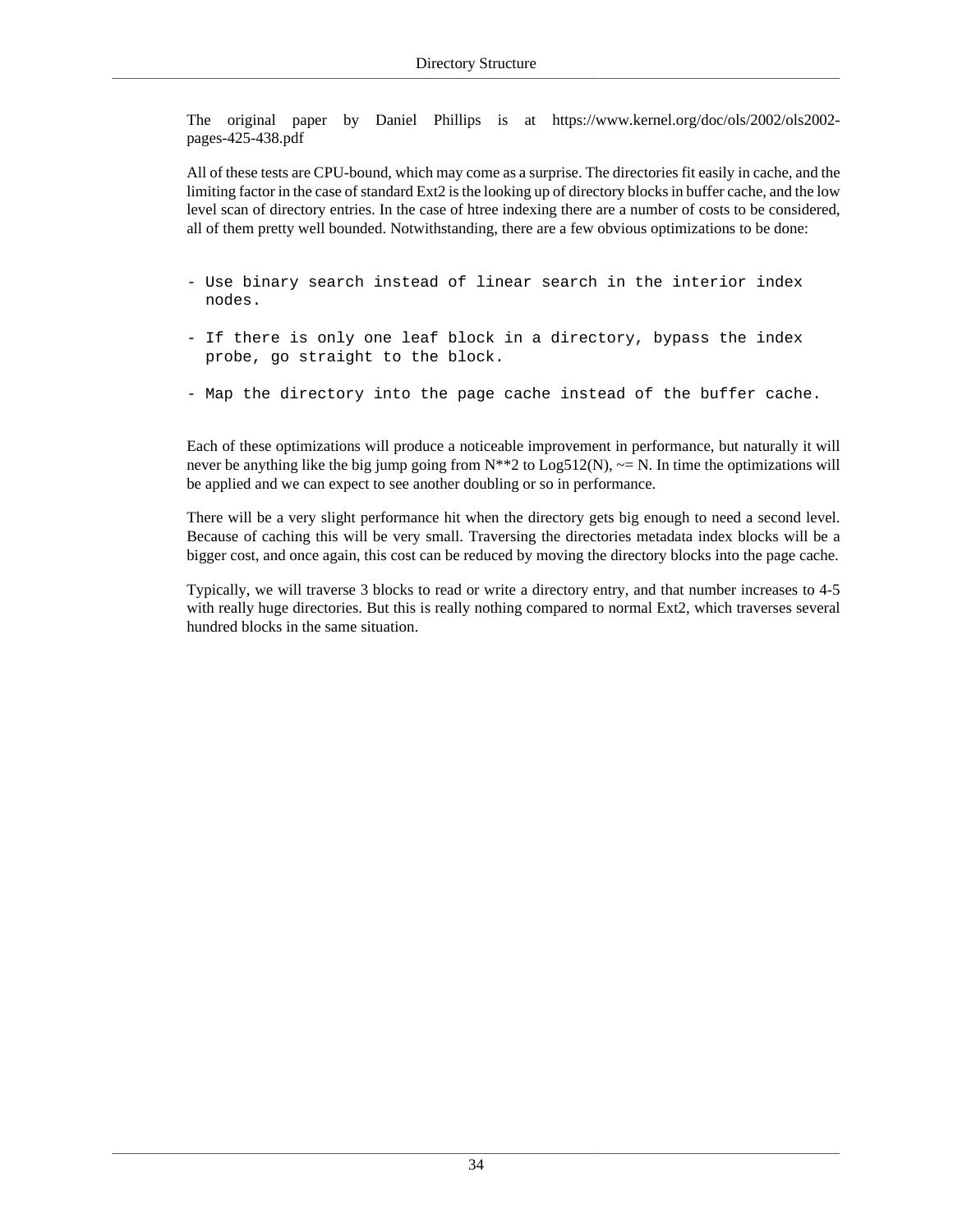The original paper by Daniel Phillips is at https://www.kernel.org/doc/ols/2002/ols2002 pages-425-438.pdf

All of these tests are CPU-bound, which may come as a surprise. The directories fit easily in cache, and the limiting factor in the case of standard Ext2 is the looking up of directory blocks in buffer cache, and the low level scan of directory entries. In the case of htree indexing there are a number of costs to be considered, all of them pretty well bounded. Notwithstanding, there are a few obvious optimizations to be done:

- Use binary search instead of linear search in the interior index nodes.
- If there is only one leaf block in a directory, bypass the index probe, go straight to the block.
- Map the directory into the page cache instead of the buffer cache.

Each of these optimizations will produce a noticeable improvement in performance, but naturally it will never be anything like the big jump going from  $N^{**}2$  to  $Log512(N)$ ,  $\sim$  N. In time the optimizations will be applied and we can expect to see another doubling or so in performance.

There will be a very slight performance hit when the directory gets big enough to need a second level. Because of caching this will be very small. Traversing the directories metadata index blocks will be a bigger cost, and once again, this cost can be reduced by moving the directory blocks into the page cache.

Typically, we will traverse 3 blocks to read or write a directory entry, and that number increases to 4-5 with really huge directories. But this is really nothing compared to normal Ext2, which traverses several hundred blocks in the same situation.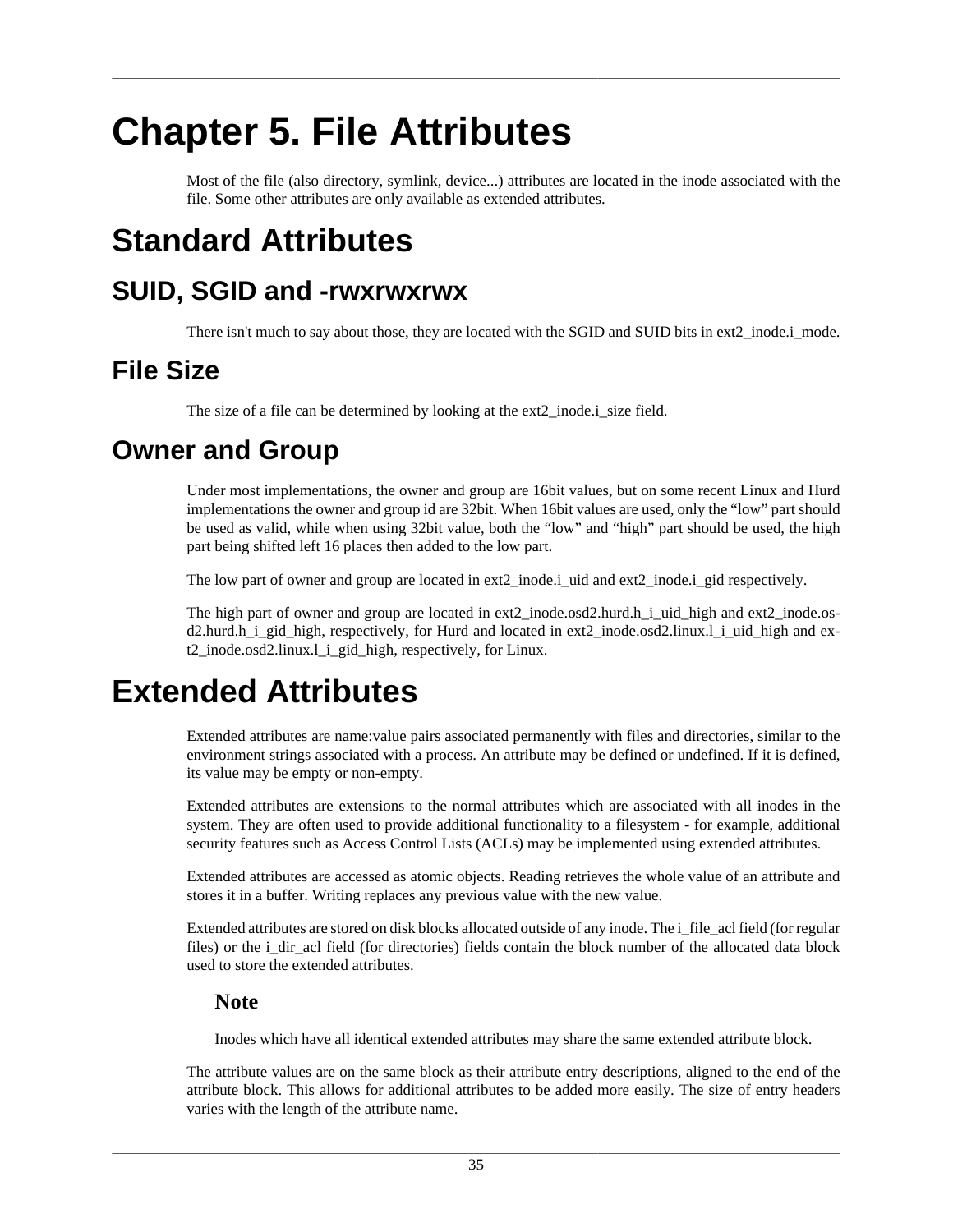# <span id="page-42-0"></span>**Chapter 5. File Attributes**

Most of the file (also directory, symlink, device...) attributes are located in the [inode](#page-25-0) associated with the file. Some other attributes are only available as extended attributes.

## <span id="page-42-1"></span>**Standard Attributes**

## <span id="page-42-2"></span>**SUID, SGID and -rwxrwxrwx**

There isn't much to say about those, they are located with the SGID and SUID bits in [ext2\\_inode.i\\_mode.](#page-26-0)

## <span id="page-42-3"></span>**File Size**

The size of a file can be determined by looking at the [ext2\\_inode.i\\_size](#page-26-2) field.

## <span id="page-42-4"></span>**Owner and Group**

Under most implementations, the owner and group are 16bit values, but on some recent Linux and Hurd implementations the owner and group id are 32bit. When 16bit values are used, only the "low" part should be used as valid, while when using 32bit value, both the "low" and "high" part should be used, the high part being shifted left 16 places then added to the low part.

The low part of owner and group are located in [ext2\\_inode.i\\_uid](#page-26-1) and [ext2\\_inode.i\\_gid](#page-27-4) respectively.

The high part of owner and group are located in [ext2\\_inode.osd2.hurd.h\\_i\\_uid\\_high](#page-30-4) and [ext2\\_inode.os](#page-31-4)[d2.hurd.h\\_i\\_gid\\_high,](#page-31-4) respectively, for Hurd and located in [ext2\\_inode.osd2.linux.l\\_i\\_uid\\_high](#page-31-3) and [ex](#page-31-4)[t2\\_inode.osd2.linux.l\\_i\\_gid\\_high](#page-31-4), respectively, for Linux.

## <span id="page-42-5"></span>**Extended Attributes**

Extended attributes are name:value pairs associated permanently with files and directories, similar to the environment strings associated with a process. An attribute may be defined or undefined. If it is defined, its value may be empty or non-empty.

Extended attributes are extensions to the normal attributes which are associated with all inodes in the system. They are often used to provide additional functionality to a filesystem - for example, additional security features such as Access Control Lists (ACLs) may be implemented using extended attributes.

Extended attributes are accessed as atomic objects. Reading retrieves the whole value of an attribute and stores it in a buffer. Writing replaces any previous value with the new value.

Extended attributes are stored on disk blocks allocated outside of any inode. The [i\\_file\\_acl](#page-29-1) field (for regular files) or the [i\\_dir\\_acl](#page-29-2) field (for directories) fields contain the block number of the allocated data block used to store the extended attributes.

#### **Note**

Inodes which have all identical extended attributes may share the same extended attribute block.

The attribute values are on the same block as their attribute entry descriptions, aligned to the end of the attribute block. This allows for additional attributes to be added more easily. The size of entry headers varies with the length of the attribute name.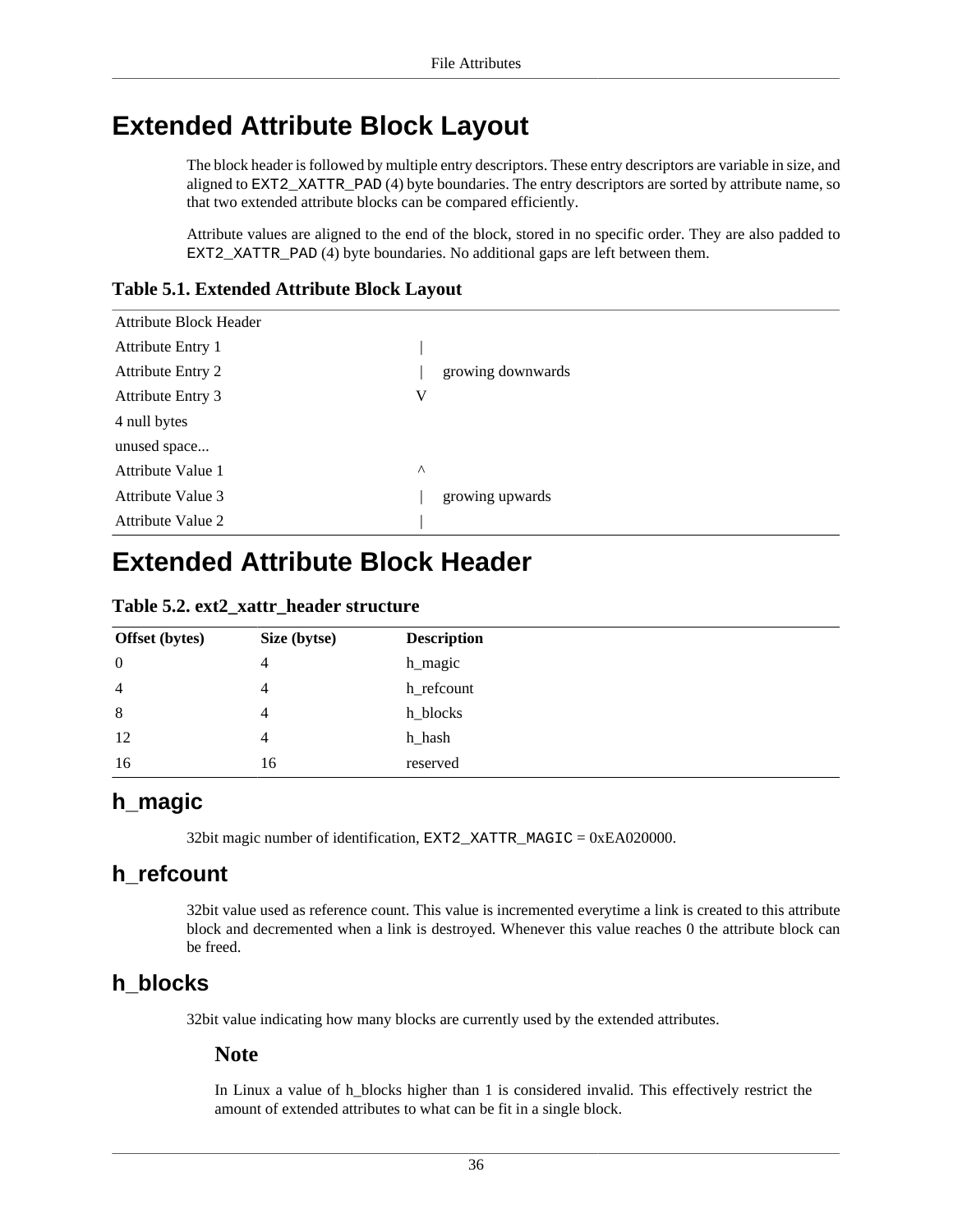### <span id="page-43-0"></span>**Extended Attribute Block Layout**

The block header is followed by multiple entry descriptors. These entry descriptors are variable in size, and aligned to EXT2\_XATTR\_PAD (4) byte boundaries. The entry descriptors are sorted by attribute name, so that two extended attribute blocks can be compared efficiently.

Attribute values are aligned to the end of the block, stored in no specific order. They are also padded to EXT2\_XATTR\_PAD (4) byte boundaries. No additional gaps are left between them.

<span id="page-43-2"></span>**Table 5.1. Extended Attribute Block Layout**

| <b>Attribute Block Header</b> |          |                   |
|-------------------------------|----------|-------------------|
| Attribute Entry 1             |          |                   |
| <b>Attribute Entry 2</b>      |          | growing downwards |
| <b>Attribute Entry 3</b>      | V        |                   |
| 4 null bytes                  |          |                   |
| unused space                  |          |                   |
| Attribute Value 1             | $\wedge$ |                   |
| Attribute Value 3             |          | growing upwards   |
| Attribute Value 2             |          |                   |

## <span id="page-43-1"></span>**Extended Attribute Block Header**

<span id="page-43-3"></span>

| Table 5.2. ext2_xattr_header structure |  |
|----------------------------------------|--|
|----------------------------------------|--|

| <b>Offset</b> (bytes) | Size (bytse) | <b>Description</b> |
|-----------------------|--------------|--------------------|
| $\mathbf{0}$          | 4            | h_magic            |
| $\overline{4}$        | 4            | h_refcount         |
| 8                     | 4            | h_blocks           |
| 12                    | 4            | h_hash             |
| 16                    | 16           | reserved           |

#### <span id="page-43-4"></span>**h\_magic**

32bit magic number of identification, EXT2\_XATTR\_MAGIC = 0xEA020000.

#### <span id="page-43-5"></span>**h\_refcount**

32bit value used as reference count. This value is incremented everytime a link is created to this attribute block and decremented when a link is destroyed. Whenever this value reaches 0 the attribute block can be freed.

#### <span id="page-43-6"></span>**h\_blocks**

32bit value indicating how many blocks are currently used by the extended attributes.

#### **Note**

In Linux a value of h\_blocks higher than 1 is considered invalid. This effectively restrict the amount of extended attributes to what can be fit in a single block.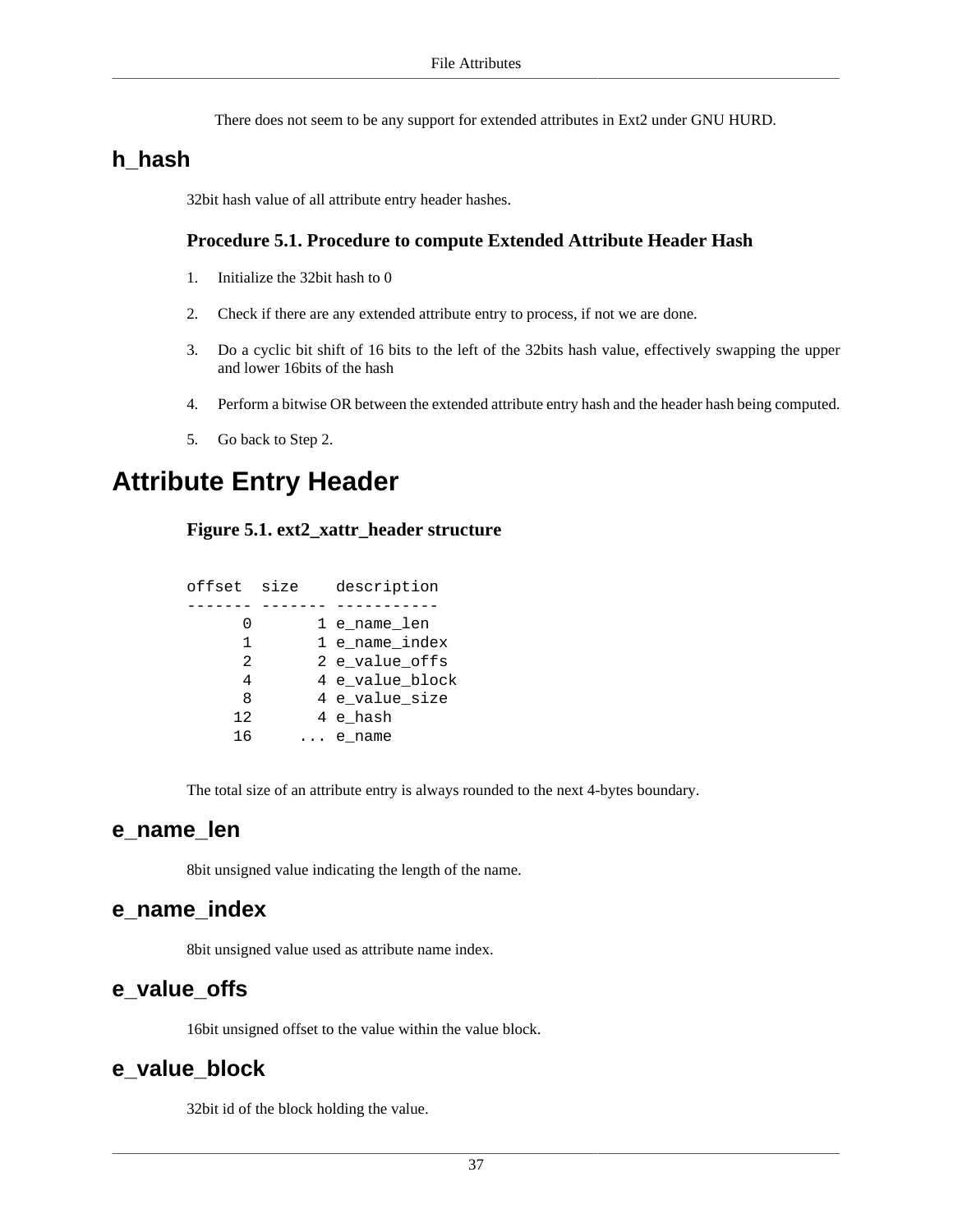There does not seem to be any support for extended attributes in Ext2 under GNU HURD.

#### <span id="page-44-2"></span>**h\_hash**

32bit hash value of all attribute entry header hashes.

#### **Procedure 5.1. Procedure to compute Extended Attribute Header Hash**

- 1. Initialize the 32bit hash to 0
- <span id="page-44-3"></span>2. Check if there are any extended attribute entry to process, if not we are done.
- 3. Do a cyclic bit shift of 16 bits to the left of the 32bits hash value, effectively swapping the upper and lower 16bits of the hash
- 4. Perform a bitwise OR between the extended attribute entry [hash](#page-45-4) and the header hash being computed.
- 5. Go back to [Step 2.](#page-44-3)

### <span id="page-44-1"></span><span id="page-44-0"></span>**Attribute Entry Header**

#### **Figure 5.1. ext2\_xattr\_header structure**

| offset | size | description     |
|--------|------|-----------------|
|        |      |                 |
| Ⴖ      |      | 1 e name len    |
| 1      |      | 1 e_name_index  |
| 2      |      | 2 e value offs  |
| 4      |      | 4 e_value_block |
| 8      |      | 4 e value size  |
| 12     |      | 4 e hash        |
| 16     |      | e name          |
|        |      |                 |

The total size of an attribute entry is always rounded to the next 4-bytes boundary.

#### <span id="page-44-4"></span>**e\_name\_len**

8bit unsigned value indicating the length of the name.

#### <span id="page-44-5"></span>**e\_name\_index**

8bit unsigned value used as attribute name index.

#### <span id="page-44-6"></span>**e\_value\_offs**

16bit unsigned offset to the value within the value block.

#### <span id="page-44-7"></span>**e\_value\_block**

32bit id of the block holding the value.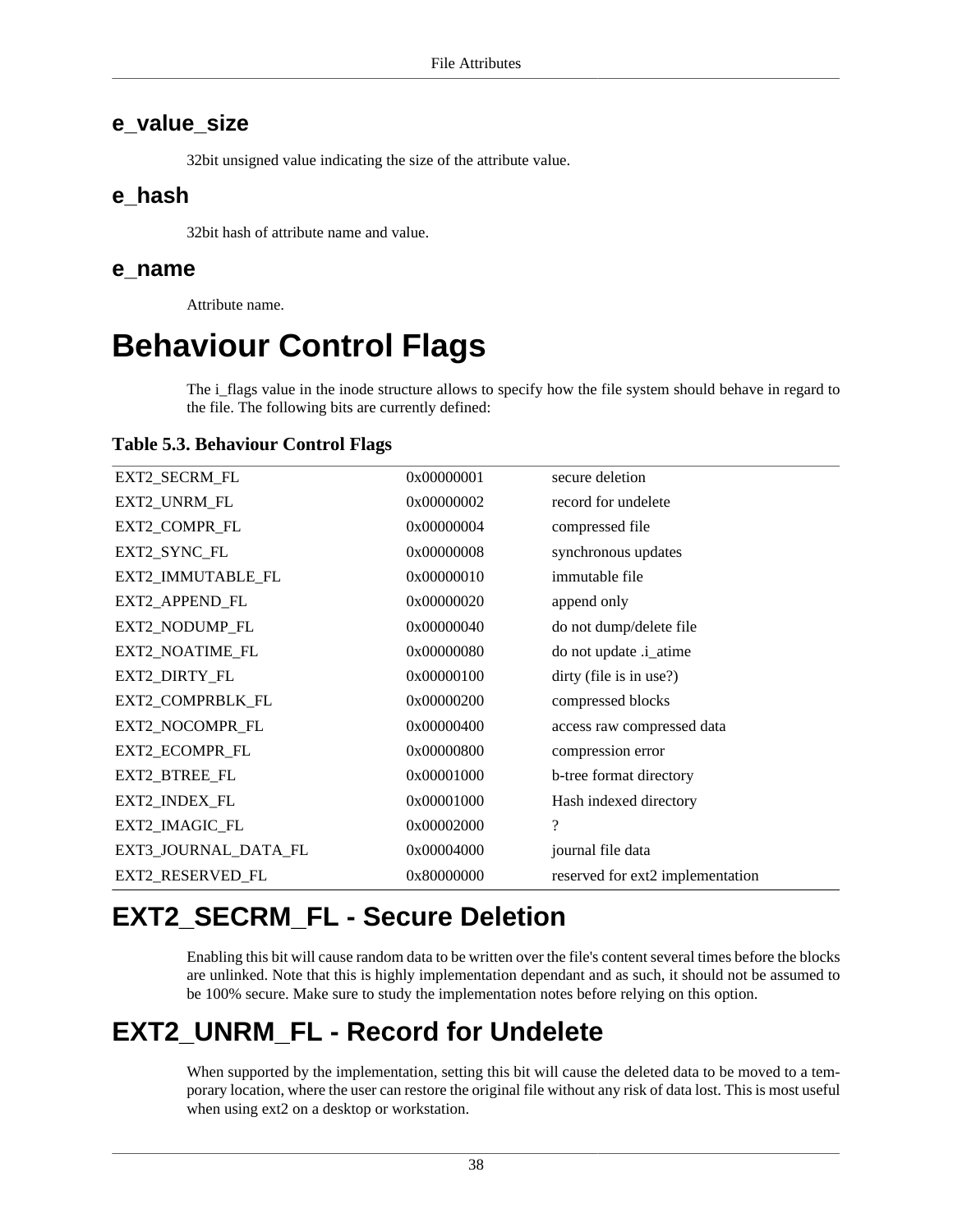#### <span id="page-45-5"></span>**e\_value\_size**

32bit unsigned value indicating the size of the attribute value.

#### <span id="page-45-4"></span>**e\_hash**

32bit hash of attribute name and value.

#### <span id="page-45-6"></span>**e\_name**

Attribute name.

## <span id="page-45-0"></span>**Behaviour Control Flags**

The [i\\_flags](#page-27-7) value in the [inode](#page-25-1) structure allows to specify how the file system should behave in regard to the file. The following bits are currently defined:

#### <span id="page-45-3"></span>**Table 5.3. Behaviour Control Flags**

| EXT2_SECRM_FL        | 0x00000001 | secure deletion                  |
|----------------------|------------|----------------------------------|
| EXT2_UNRM_FL         | 0x00000002 | record for undelete              |
| EXT2_COMPR_FL        | 0x00000004 | compressed file                  |
| EXT2_SYNC_FL         | 0x00000008 | synchronous updates              |
| EXT2_IMMUTABLE_FL    | 0x00000010 | immutable file                   |
| EXT2_APPEND_FL       | 0x00000020 | append only                      |
| EXT2_NODUMP_FL       | 0x00000040 | do not dump/delete file          |
| EXT2_NOATIME_FL      | 0x00000080 | do not update .i_atime           |
| EXT2_DIRTY_FL        | 0x00000100 | dirty (file is in use?)          |
| EXT2_COMPRBLK_FL     | 0x00000200 | compressed blocks                |
| EXT2_NOCOMPR_FL      | 0x00000400 | access raw compressed data       |
| EXT2_ECOMPR_FL       | 0x00000800 | compression error                |
| EXT2_BTREE_FL        | 0x00001000 | b-tree format directory          |
| EXT2_INDEX_FL        | 0x00001000 | Hash indexed directory           |
| EXT2_IMAGIC_FL       | 0x00002000 | $\overline{\mathcal{C}}$         |
| EXT3_JOURNAL_DATA_FL | 0x00004000 | journal file data                |
| EXT2_RESERVED_FL     | 0x80000000 | reserved for ext2 implementation |

## <span id="page-45-1"></span>**EXT2\_SECRM\_FL - Secure Deletion**

Enabling this bit will cause random data to be written over the file's content several times before the blocks are unlinked. Note that this is highly implementation dependant and as such, it should not be assumed to be 100% secure. Make sure to study the implementation notes before relying on this option.

## <span id="page-45-2"></span>**EXT2\_UNRM\_FL - Record for Undelete**

When supported by the implementation, setting this bit will cause the deleted data to be moved to a temporary location, where the user can restore the original file without any risk of data lost. This is most useful when using ext2 on a desktop or workstation.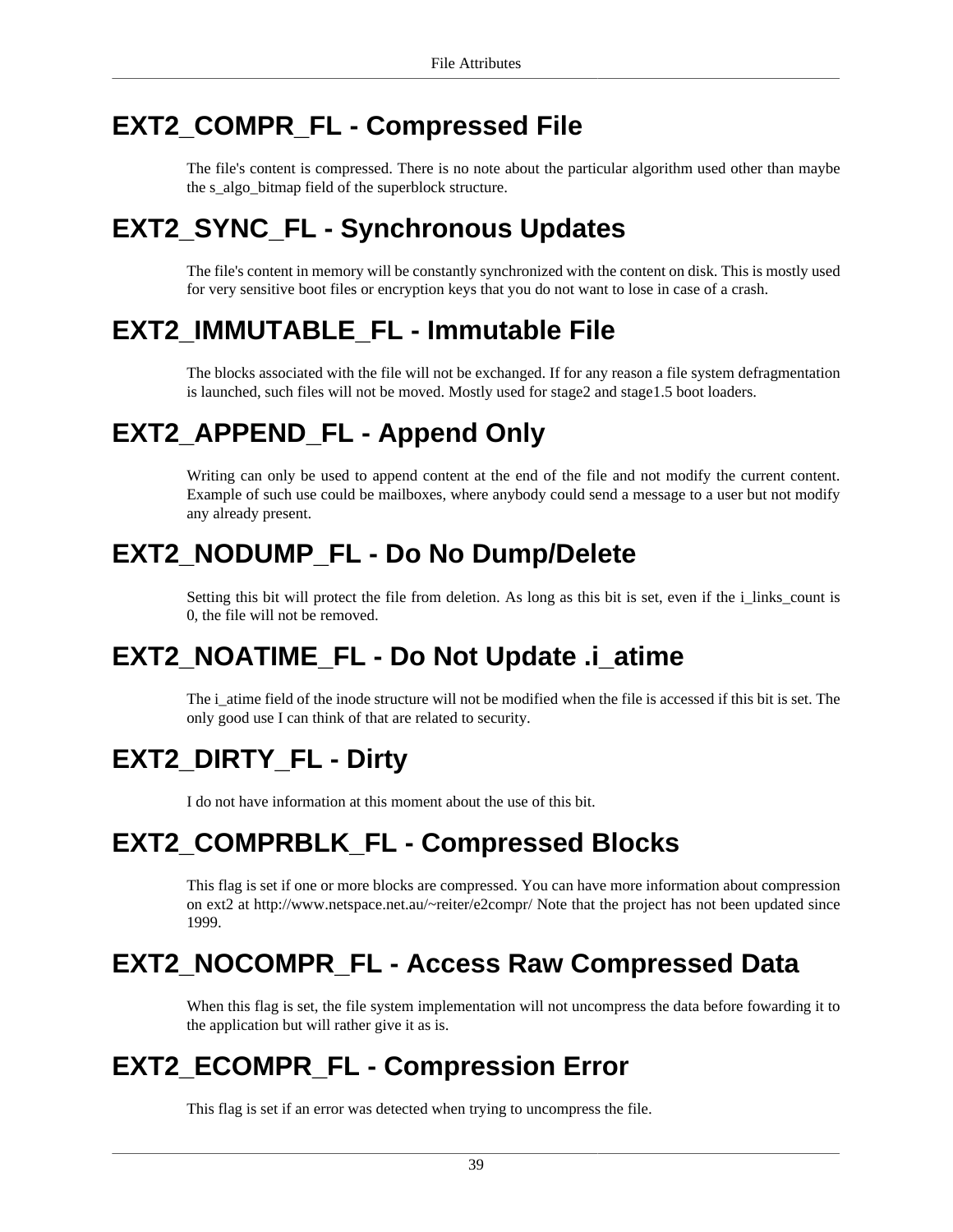## <span id="page-46-0"></span>**EXT2\_COMPR\_FL - Compressed File**

The file's content is compressed. There is no note about the particular algorithm used other than maybe the [s\\_algo\\_bitmap](#page-21-4) field of the [superblock](#page-14-0) structure.

## <span id="page-46-1"></span>**EXT2\_SYNC\_FL - Synchronous Updates**

The file's content in memory will be constantly synchronized with the content on disk. This is mostly used for very sensitive boot files or encryption keys that you do not want to lose in case of a crash.

## <span id="page-46-2"></span>**EXT2\_IMMUTABLE\_FL - Immutable File**

The blocks associated with the file will not be exchanged. If for any reason a file system defragmentation is launched, such files will not be moved. Mostly used for stage2 and stage1.5 boot loaders.

## <span id="page-46-3"></span>**EXT2\_APPEND\_FL - Append Only**

Writing can only be used to append content at the end of the file and not modify the current content. Example of such use could be mailboxes, where anybody could send a message to a user but not modify any already present.

## <span id="page-46-4"></span>**EXT2\_NODUMP\_FL - Do No Dump/Delete**

Setting this bit will protect the file from deletion. As long as this bit is set, even if the [i\\_links\\_count](#page-27-5) is 0, the file will not be removed.

## <span id="page-46-5"></span>**EXT2\_NOATIME\_FL - Do Not Update .i\_atime**

The [i\\_atime](#page-27-0) field of the [inode](#page-25-1) structure will not be modified when the file is accessed if this bit is set. The only good use I can think of that are related to security.

## <span id="page-46-6"></span>**EXT2\_DIRTY\_FL - Dirty**

I do not have information at this moment about the use of this bit.

## <span id="page-46-7"></span>**EXT2\_COMPRBLK\_FL - Compressed Blocks**

This flag is set if one or more blocks are compressed. You can have more information about compression on ext2 at http://www.netspace.net.au/~reiter/e2compr/ Note that the project has not been updated since 1999.

## <span id="page-46-8"></span>**EXT2\_NOCOMPR\_FL - Access Raw Compressed Data**

When this flag is set, the file system implementation will not uncompress the data before fowarding it to the application but will rather give it as is.

## <span id="page-46-9"></span>**EXT2\_ECOMPR\_FL - Compression Error**

This flag is set if an error was detected when trying to uncompress the file.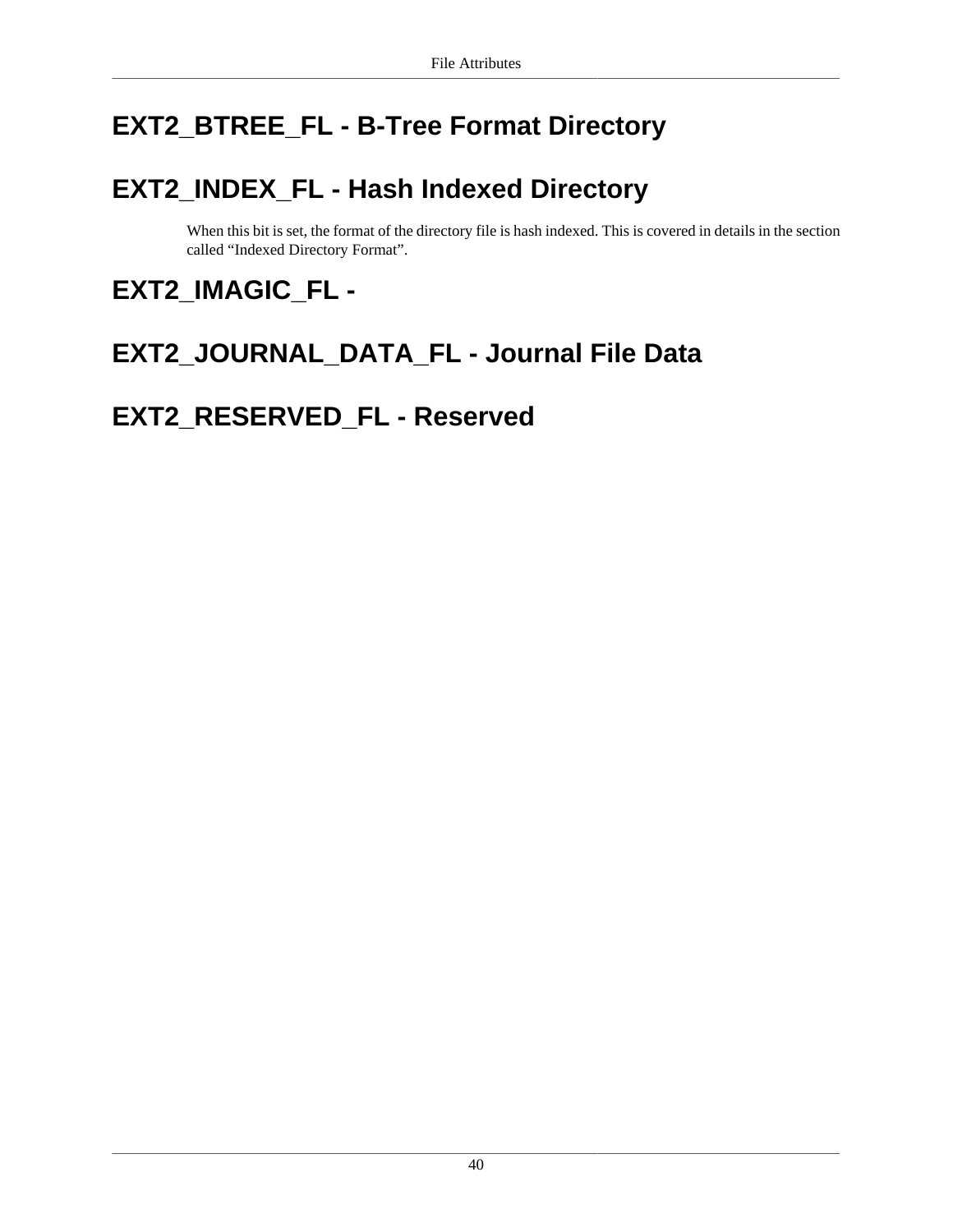## <span id="page-47-0"></span>**EXT2\_BTREE\_FL - B-Tree Format Directory**

## <span id="page-47-1"></span>**EXT2\_INDEX\_FL - Hash Indexed Directory**

When this bit is set, the format of the directory file is hash indexed. This is covered in details in [the section](#page-36-0) [called "Indexed Directory Format".](#page-36-0)

## <span id="page-47-2"></span>**EXT2\_IMAGIC\_FL -**

## <span id="page-47-3"></span>**EXT2\_JOURNAL\_DATA\_FL - Journal File Data**

## <span id="page-47-4"></span>**EXT2\_RESERVED\_FL - Reserved**